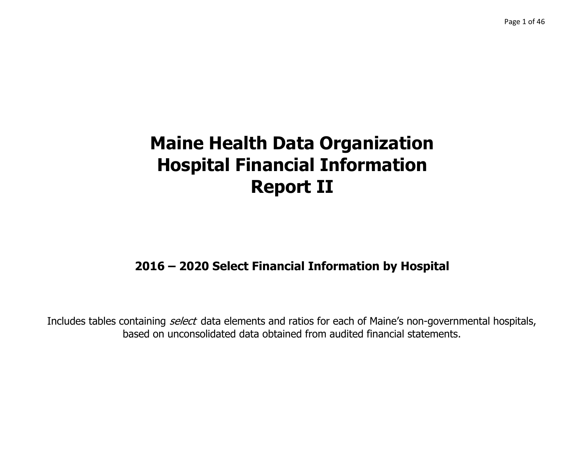## **2016 – 2020 Select Financial Information by Hospital**

Includes tables containing *select* data elements and ratios for each of Maine's non-governmental hospitals, based on unconsolidated data obtained from audited financial statements.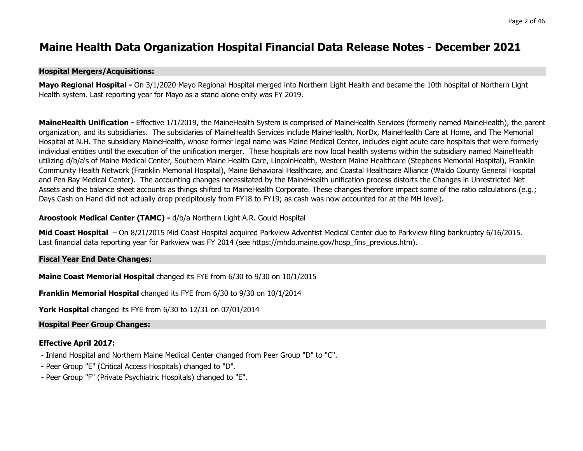#### **Maine Health Data Organization Hospital Financial Data Release Notes - December 2021**

#### **Hospital Mergers/Acquisitions:**

**Mayo Regional Hospital -** On 3/1/2020 Mayo Regional Hospital merged into Northern Light Health and became the 10th hospital of Northern Light Health system. Last reporting year for Mayo as a stand alone enity was FY 2019.

**MaineHealth Unification -** Effective 1/1/2019, the MaineHealth System is comprised of MaineHealth Services (formerly named MaineHealth), the parent organization, and its subsidiaries. The subsidaries of MaineHealth Services include MaineHealth, NorDx, MaineHealth Care at Home, and The Memorial Hospital at N.H. The subsidiary MaineHealth, whose former legal name was Maine Medical Center, includes eight acute care hospitals that were formerly individual entities until the execution of the unification merger. These hospitals are now local health systems within the subsidiary named MaineHealth utilizing d/b/a's of Maine Medical Center, Southern Maine Health Care, LincolnHealth, Western Maine Healthcare (Stephens Memorial Hospital), Franklin Community Health Network (Franklin Memorial Hospital), Maine Behavioral Healthcare, and Coastal Healthcare Alliance (Waldo County General Hospital and Pen Bay Medical Center). The accounting changes necessitated by the MaineHealth unification process distorts the Changes in Unrestricted Net Assets and the balance sheet accounts as things shifted to MaineHealth Corporate. These changes therefore impact some of the ratio calculations (e.g.; Days Cash on Hand did not actually drop precipitously from FY18 to FY19; as cash was now accounted for at the MH level).

#### **Aroostook Medical Center (TAMC) -** d/b/a Northern Light A.R. Gould Hospital

**Mid Coast Hospital** – On 8/21/2015 Mid Coast Hospital acquired Parkview Adventist Medical Center due to Parkview filing bankruptcy 6/16/2015. Last financial data reporting year for Parkview was FY 2014 (see https://mhdo.maine.gov/hosp\_fins\_previous.htm).

#### **Fiscal Year End Date Changes:**

**Maine Coast Memorial Hospital** changed its FYE from 6/30 to 9/30 on 10/1/2015

**Franklin Memorial Hospital** changed its FYE from 6/30 to 9/30 on 10/1/2014

**York Hospital** changed its FYE from 6/30 to 12/31 on 07/01/2014

#### **Hospital Peer Group Changes:**

#### **Effective April 2017:**

- Inland Hospital and Northern Maine Medical Center changed from Peer Group "D" to "C".
- Peer Group "E" (Critical Access Hospitals) changed to "D".
- Peer Group "F" (Private Psychiatric Hospitals) changed to "E".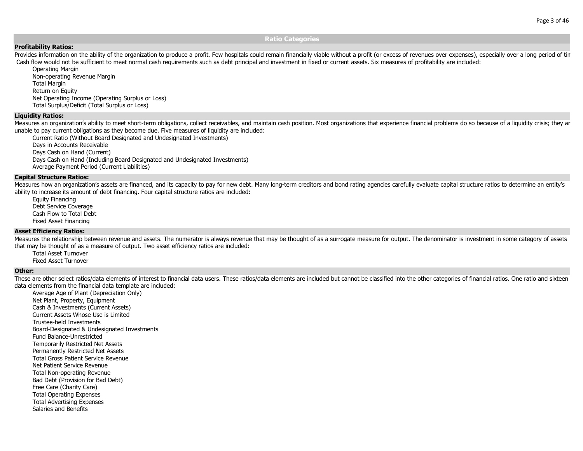#### **Ratio Categories**

#### **Profitability Ratios:**

Provides information on the ability of the organization to produce a profit. Few hospitals could remain financially viable without a profit (or excess of revenues over expenses), especially over a long period of tin Cash flow would not be sufficient to meet normal cash requirements such as debt principal and investment in fixed or current assets. Six measures of profitability are included:

Operating Margin Non-operating Revenue Margin Total Margin Return on Equity Net Operating Income (Operating Surplus or Loss) Total Surplus/Deficit (Total Surplus or Loss)

#### **Liquidity Ratios:**

Measures an organization's ability to meet short-term obligations, collect receivables, and maintain cash position. Most organizations that experience financial problems do so because of a liquidity crisis; they are unable to pay current obligations as they become due. Five measures of liquidity are included:

Current Ratio (Without Board Designated and Undesignated Investments) Days in Accounts Receivable Days Cash on Hand (Current) Days Cash on Hand (Including Board Designated and Undesignated Investments) Average Payment Period (Current Liabilities)

#### **Capital Structure Ratios:**

Measures how an organization's assets are financed, and its capacity to pay for new debt. Many long-term creditors and bond rating agencies carefully evaluate capital structure ratios to determine an entity's ability to increase its amount of debt financing. Four capital structure ratios are included:

Equity Financing Debt Service Coverage Cash Flow to Total DebtFixed Asset Financing

#### **Asset Efficiency Ratios:**

Measures the relationship between revenue and assets. The numerator is always revenue that may be thought of as a surrogate measure for output. The denominator is investment in some category of assets that may be thought of as a measure of output. Two asset efficiency ratios are included:

Total Asset TurnoverFixed Asset Turnover

#### **Other:**

These are other select ratios/data elements of interest to financial data users. These ratios/data elements are included but cannot be classified into the other categories of financial ratios. One ratio and sixteen data elements from the financial data template are included:

Average Age of Plant (Depreciation Only) Net Plant, Property, Equipment Cash & Investments (Current Assets) Current Assets Whose Use is LimitedTrustee-held InvestmentsBoard-Designated & Undesignated Investments Fund Balance-UnrestrictedTemporarily Restricted Net Assets Permanently Restricted Net Assets Total Gross Patient Service RevenueNet Patient Service RevenueTotal Non-operating Revenue Bad Debt (Provision for Bad Debt) Free Care (Charity Care) Total Operating Expenses Total Advertising Expenses Salaries and Benefits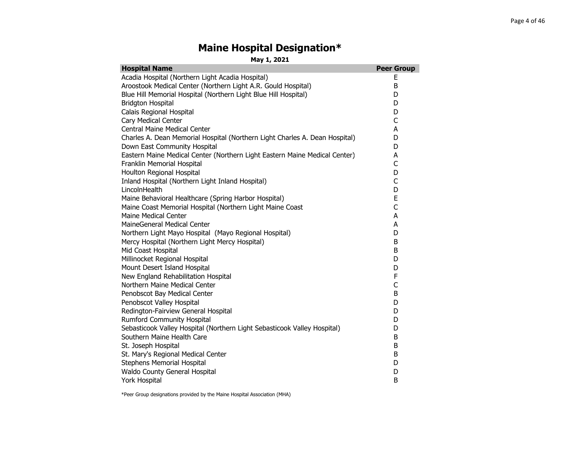#### **Maine Hospital Designation\***

**May 1, 2021**

| <b>Hospital Name</b>                                                        | <b>Peer Group</b> |
|-----------------------------------------------------------------------------|-------------------|
| Acadia Hospital (Northern Light Acadia Hospital)                            | Ε                 |
| Aroostook Medical Center (Northern Light A.R. Gould Hospital)               | B                 |
| Blue Hill Memorial Hospital (Northern Light Blue Hill Hospital)             | D                 |
| <b>Bridgton Hospital</b>                                                    | D                 |
| Calais Regional Hospital                                                    | D                 |
| Cary Medical Center                                                         | C                 |
| Central Maine Medical Center                                                | A                 |
| Charles A. Dean Memorial Hospital (Northern Light Charles A. Dean Hospital) | D                 |
| Down East Community Hospital                                                | D                 |
| Eastern Maine Medical Center (Northern Light Eastern Maine Medical Center)  | A                 |
| Franklin Memorial Hospital                                                  | C                 |
| Houlton Regional Hospital                                                   | D                 |
| Inland Hospital (Northern Light Inland Hospital)                            | C                 |
| LincolnHealth                                                               | D                 |
| Maine Behavioral Healthcare (Spring Harbor Hospital)                        | E                 |
| Maine Coast Memorial Hospital (Northern Light Maine Coast                   | $\overline{C}$    |
| Maine Medical Center                                                        | A                 |
| MaineGeneral Medical Center                                                 | A                 |
| Northern Light Mayo Hospital (Mayo Regional Hospital)                       | D                 |
| Mercy Hospital (Northern Light Mercy Hospital)                              | B                 |
| Mid Coast Hospital                                                          | B                 |
| Millinocket Regional Hospital                                               | D                 |
| Mount Desert Island Hospital                                                | D                 |
| New England Rehabilitation Hospital                                         | F                 |
| Northern Maine Medical Center                                               | C                 |
| Penobscot Bay Medical Center                                                | B                 |
| Penobscot Valley Hospital                                                   | D                 |
| Redington-Fairview General Hospital                                         | D                 |
| <b>Rumford Community Hospital</b>                                           | D                 |
| Sebasticook Valley Hospital (Northern Light Sebasticook Valley Hospital)    | D                 |
| Southern Maine Health Care                                                  | B                 |
| St. Joseph Hospital                                                         | B                 |
| St. Mary's Regional Medical Center                                          | B                 |
| <b>Stephens Memorial Hospital</b>                                           | D                 |
| Waldo County General Hospital                                               | D                 |
| York Hospital                                                               | B                 |

\*Peer Group designations provided by the Maine Hospital Association (MHA)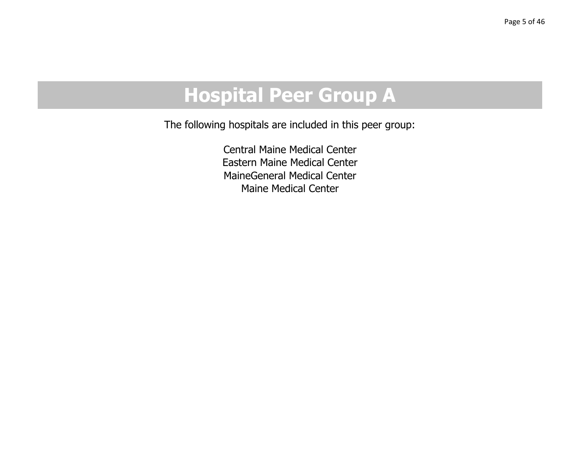# **Hospital Peer Group A**

The followin g hos pitals are included in this peer grou p:

Central Maine Medical CenterEastern Maine Medical CenterMaineGeneral Medical CenterMaine Medical Center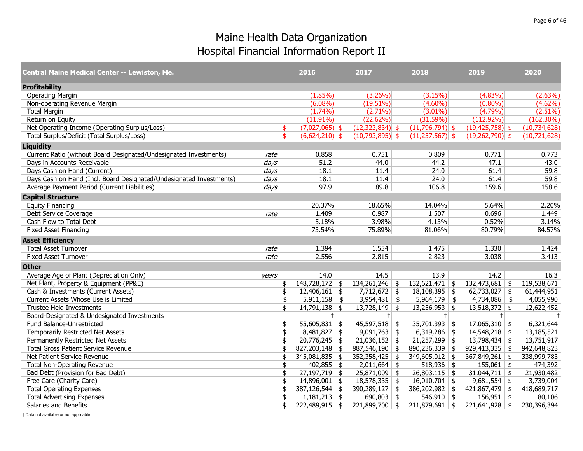| <b>Central Maine Medical Center -- Lewiston, Me.</b>                |                  | 2016                                   | 2017              | 2018                 | 2019                | 2020           |
|---------------------------------------------------------------------|------------------|----------------------------------------|-------------------|----------------------|---------------------|----------------|
| <b>Profitability</b>                                                |                  |                                        |                   |                      |                     |                |
| <b>Operating Margin</b>                                             |                  | $(1.85\%)$                             | $(3.26\%)$        | (3.15%)              | $(4.83\%)$          | (2.63%)        |
| Non-operating Revenue Margin                                        |                  | $(6.08\%)$                             | $(19.51\%)$       | $(4.60\%)$           | $(0.80\%)$          | (4.62%)        |
| <b>Total Margin</b>                                                 |                  | $(1.74\%)$                             | $(2.71\%)$        | $(3.01\%)$           | (4.79%)             | $(2.51\%)$     |
| Return on Equity                                                    |                  | $(11.91\%)$                            | (22.62%)          | (31.59%)             | $(112.92\%)$        | $(162.30\%)$   |
| Net Operating Income (Operating Surplus/Loss)                       |                  | $(7,027,065)$ \$<br>\$                 | $(12,323,834)$ \$ | $(11,796,794)$ \$    | $(19, 425, 758)$ \$ | (10, 734, 628) |
| Total Surplus/Deficit (Total Surplus/Loss)                          |                  | $\mathbf{\hat{S}}$<br>$(6,624,210)$ \$ | $(10,793,895)$ \$ | $(11,257,567)$ \$    | $(19,262,790)$ \$   | (10,721,628)   |
| <b>Liquidity</b>                                                    |                  |                                        |                   |                      |                     |                |
| Current Ratio (without Board Designated/Undesignated Investments)   | rate             | 0.858                                  | 0.751             | 0.809                | 0.771               | 0.773          |
| Days in Accounts Receivable                                         | days             | 51.2                                   | 44.0              | 44.2                 | 47.1                | 43.0           |
| Days Cash on Hand (Current)                                         | $\frac{days}{ }$ | 18.1                                   | 11.4              | 24.0                 | 61.4                | 59.8           |
| Days Cash on Hand (Incl. Board Designated/Undesignated Investments) | days             | 18.1                                   | 11.4              | 24.0                 | 61.4                | 59.8           |
| Average Payment Period (Current Liabilities)                        | days             | 97.9                                   | 89.8              | 106.8                | 159.6               | 158.6          |
| <b>Capital Structure</b>                                            |                  |                                        |                   |                      |                     |                |
| <b>Equity Financing</b>                                             |                  | 20.37%                                 | 18.65%            | 14.04%               | 5.64%               | 2.20%          |
| Debt Service Coverage                                               | rate             | 1.409                                  | 0.987             | 1.507                | 0.696               | 1.449          |
| Cash Flow to Total Debt                                             |                  | 5.18%                                  | 3.98%             | 4.13%                | 0.52%               | 3.14%          |
| <b>Fixed Asset Financing</b>                                        |                  | 73.54%                                 | 75.89%            | 81.06%               | 80.79%              | 84.57%         |
| <b>Asset Efficiency</b>                                             |                  |                                        |                   |                      |                     |                |
| <b>Total Asset Turnover</b>                                         | rate             | 1.394                                  | 1.554             | 1.475                | 1.330               | 1.424          |
| <b>Fixed Asset Turnover</b>                                         | rate             | 2.556                                  | 2.815             | 2.823                | 3.038               | 3.413          |
| <b>Other</b>                                                        |                  |                                        |                   |                      |                     |                |
| Average Age of Plant (Depreciation Only)                            | vears            | 14.0                                   | 14.5              | 13.9                 | 14.2                | 16.3           |
| Net Plant, Property & Equipment (PP&E)                              |                  | $148,728,172$ \$<br>\$                 | $134,261,246$ \$  | $132,621,471$ \$     | $132,473,681$ \$    | 119,538,671    |
| Cash & Investments (Current Assets)                                 |                  | \$<br>$12,406,161$ \$                  | $7,712,672$ \$    | $18,108,395$ \$      | $62,733,027$ \$     | 61,444,951     |
| Current Assets Whose Use is Limited                                 |                  | \$<br>$5,911,158$ \$                   | $3,954,481$ \$    | $5,964,179$ \$       | $4,734,086$ \$      | 4,055,990      |
| Trustee Held Investments                                            |                  | $14,791,138$ \$<br>\$                  | $13,728,149$ \$   | $13,256,953$ \$      | $13,518,372$ \$     | 12,622,452     |
| Board-Designated & Undesignated Investments                         |                  | $\pm$                                  | $+$               | $+$                  | $+$                 | $+$            |
| Fund Balance-Unrestricted                                           |                  | 55,605,831 \\$<br>\$                   | $45,597,518$ \$   | $35,701,393$ \$      | $17,065,310$ \$     | 6,321,644      |
| Temporarily Restricted Net Assets                                   |                  | \$<br>$8,481,827$ \$                   | $9,091,763$ \$    | $6,319,286$ \$       | $14,548,218$ \$     | 13,185,521     |
| Permanently Restricted Net Assets                                   |                  | $20,776,245$ \$<br>\$                  | $21,036,152$ \$   | $21,257,299$ \$      | $13,798,434$ \$     | 13,751,917     |
| <b>Total Gross Patient Service Revenue</b>                          |                  | \$<br>827,203,148                      | \$<br>887,546,190 | \$<br>890,236,339 \$ | $929,413,335$ \$    | 942,648,823    |
| Net Patient Service Revenue                                         |                  | \$<br>$345,081,835$ \$                 | $352,358,425$ \$  | 349,605,012 \$       | 367,849,261 \$      | 338,999,783    |
| <b>Total Non-Operating Revenue</b>                                  |                  | \$<br>$402,855$ \$                     | $2,011,664$ \$    | $518,936$ \$         | $155,061$ \$        | 474,392        |
| Bad Debt (Provision for Bad Debt)                                   |                  | $27,197,719$ \$<br>\$                  | $25,871,009$ \$   | $26,803,115$ \$      | $31,044,711$ \$     | 21,930,482     |
| Free Care (Charity Care)                                            |                  | \$<br>$14,896,001$ \$                  | $18,578,335$ \$   | $16,010,704$ \$      | $9,681,554$ \$      | 3,739,004      |
| <b>Total Operating Expenses</b>                                     |                  | 387,126,544<br>\$                      | \$<br>390,289,127 | \$<br>386,202,982 \$ | $421,867,479$ \$    | 418,689,717    |
| <b>Total Advertising Expenses</b>                                   |                  | \$<br>$1,181,213$ \$                   | 690,803 \\$       | $546,910$ \$         | $156,951$ \$        | 80,106         |
| Salaries and Benefits                                               |                  | \$<br>$222,489,915$ \$                 | $221,899,700$ \$  | $211,879,691$ \$     | $221,641,928$ \$    | 230,396,394    |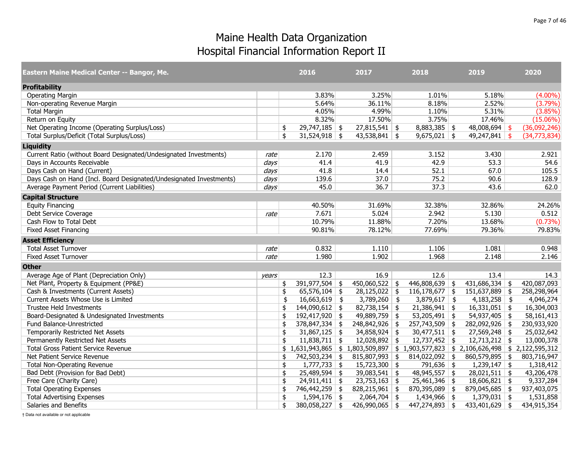| <b>Eastern Maine Medical Center -- Bangor, Me.</b>                  |                  | 2016                                  | 2017                 | 2018                                                     | 2019             | 2020         |
|---------------------------------------------------------------------|------------------|---------------------------------------|----------------------|----------------------------------------------------------|------------------|--------------|
| <b>Profitability</b>                                                |                  |                                       |                      |                                                          |                  |              |
| <b>Operating Margin</b>                                             |                  | 3.83%                                 | 3.25%                | 1.01%                                                    | 5.18%            | $(4.00\%)$   |
| Non-operating Revenue Margin                                        |                  | 5.64%                                 | 36.11%               | 8.18%                                                    | 2.52%            | (3.79%)      |
| <b>Total Margin</b>                                                 |                  | 4.05%                                 | 4.99%                | 1.10%                                                    | 5.31%            | (3.85%)      |
| Return on Equity                                                    |                  | 8.32%                                 | 17.50%               | 3.75%                                                    | 17.46%           | $(15.06\%)$  |
| Net Operating Income (Operating Surplus/Loss)                       |                  | $29,747,185$ \$<br>\$                 | $27,815,541$ \$      | $8,883,385$ \$                                           | $48,008,694$ \$  | (36,092,246) |
| Total Surplus/Deficit (Total Surplus/Loss)                          |                  | \$<br>$31,524,918$ \$                 | $43,538,841$ \$      | $9,675,021$ \$                                           | $49,247,841$ \$  | (34,773,834) |
| <b>Liquidity</b>                                                    |                  |                                       |                      |                                                          |                  |              |
| Current Ratio (without Board Designated/Undesignated Investments)   | rate             | 2.170                                 | 2.459                | 3.152                                                    | 3.430            | 2.921        |
| Days in Accounts Receivable                                         | days             | 41.4                                  | 41.9                 | 42.9                                                     | 53.3             | 54.6         |
| Days Cash on Hand (Current)                                         | $\frac{days}{ }$ | 41.8                                  | 14.4                 | 52.1                                                     | 67.0             | 105.5        |
| Days Cash on Hand (Incl. Board Designated/Undesignated Investments) | days             | 139.6                                 | 37.0                 | 75.2                                                     | 90.6             | 128.9        |
| Average Payment Period (Current Liabilities)                        | days             | 45.0                                  | 36.7                 | 37.3                                                     | 43.6             | 62.0         |
| <b>Capital Structure</b>                                            |                  |                                       |                      |                                                          |                  |              |
| <b>Equity Financing</b>                                             |                  | 40.50%                                | 31.69%               | 32.38%                                                   | 32.86%           | 24.26%       |
| Debt Service Coverage                                               | rate             | 7.671                                 | 5.024                | 2.942                                                    | 5.130            | 0.512        |
| Cash Flow to Total Debt                                             |                  | 10.79%                                | 11.88%               | 7.20%                                                    | 13.68%           | $(0.73\%)$   |
| <b>Fixed Asset Financing</b>                                        |                  | 90.81%                                | 78.12%               | 77.69%                                                   | 79.36%           | 79.83%       |
| <b>Asset Efficiency</b>                                             |                  |                                       |                      |                                                          |                  |              |
| <b>Total Asset Turnover</b>                                         | rate             | 0.832                                 | 1.110                | 1.106                                                    | 1.081            | 0.948        |
| <b>Fixed Asset Turnover</b>                                         | rate             | 1.980                                 | 1.902                | 1.968                                                    | 2.148            | 2.146        |
| <b>Other</b>                                                        |                  |                                       |                      |                                                          |                  |              |
| Average Age of Plant (Depreciation Only)                            | vears            | 12.3                                  | 16.9                 | 12.6                                                     | 13.4             | 14.3         |
| Net Plant, Property & Equipment (PP&E)                              |                  | 391,977,504 \$<br>\$                  | $450,060,522$ \$     | 446,808,639 \$                                           | $431,686,334$ \$ | 420,087,093  |
| Cash & Investments (Current Assets)                                 |                  | \$<br>$65,576,104$ \$                 | $28,125,022$ \$      | $116, 178, 677$ \$                                       | 151,637,889 \$   | 258,298,964  |
| Current Assets Whose Use is Limited                                 |                  | 16,663,619<br>\$                      | \$<br>$3,789,260$ \$ | $3,879,617$ \$                                           | $4,183,258$ \$   | 4,046,274    |
| Trustee Held Investments                                            |                  | $144,090,612$ \$<br>\$                | $82,738,154$ \$      | $21,386,941$ \$                                          | $16,331,051$ \$  | 16,304,003   |
| Board-Designated & Undesignated Investments                         |                  | 192,417,920 \$<br>\$                  | $49,889,759$ \$      | 53,205,491 \\$                                           | $54,937,405$ \$  | 58,161,413   |
| Fund Balance-Unrestricted                                           |                  | $378,847,334$ \$<br>\$                | 248,842,926 \$       | $257,743,509$ \$                                         | 282,092,926 \$   | 230,933,920  |
| Temporarily Restricted Net Assets                                   |                  | $31,867,125$ \$<br>\$                 | $34,858,924$ \$      | $30,477,511$ \$                                          | $27,569,248$ \$  | 25,032,642   |
| Permanently Restricted Net Assets                                   |                  | $11,838,711$ \$<br>\$                 | $12,028,892$ \$      | $12,737,452$ \$                                          | $12,713,212$ \$  | 13,000,378   |
| <b>Total Gross Patient Service Revenue</b>                          |                  | $$1,631,943,865 \mid $1,803,509,897]$ |                      | $$1,903,577,823 \mid $2,106,626,498 \mid $2,122,595,312$ |                  |              |
| Net Patient Service Revenue                                         |                  | 742,503,234 \$<br>\$                  | $815,807,993$ \$     | $814,022,092$ \$                                         | 860,579,895 \$   | 803,716,947  |
| <b>Total Non-Operating Revenue</b>                                  |                  | \$<br>$1,777,733$ \$                  | $15,723,300$ \$      | $791,636$ \$                                             | $1,239,147$ \$   | 1,318,412    |
| Bad Debt (Provision for Bad Debt)                                   |                  | $25,489,594$ \$<br>\$                 | $39,083,541$ \$      | $48,945,557$ \$                                          | $28,021,511$ \$  | 43,206,478   |
| Free Care (Charity Care)                                            |                  | \$<br>$24,911,411$ \$                 | $23,753,163$ \$      | $25,461,346$ \$                                          | $18,606,821$ \$  | 9,337,284    |
| <b>Total Operating Expenses</b>                                     |                  | 746,442,259 \$<br>\$                  | $828,215,961$ \$     | 870,395,089 \$                                           | 879,045,685 \$   | 937,403,075  |
| <b>Total Advertising Expenses</b>                                   |                  | $1,594,176$ \$<br>\$                  | $2,064,704$ \$       | $1,434,966$ \$                                           | $1,379,031$ \$   | 1,531,858    |
| Salaries and Benefits                                               |                  | \$<br>380,058,227 \$                  | $426,990,065$ \$     | $447,274,893$ \$                                         | 433,401,629 \$   | 434,915,354  |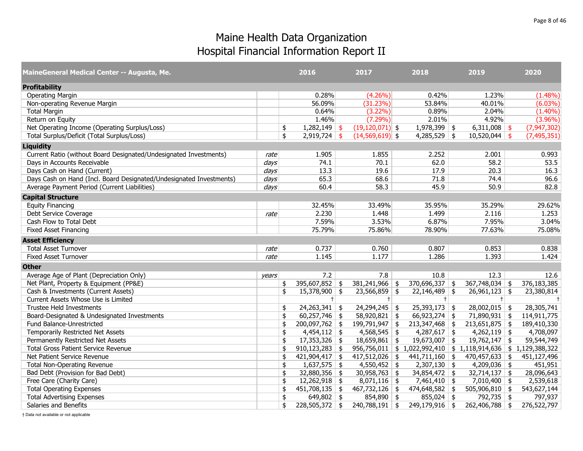| MaineGeneral Medical Center -- Augusta, Me.                         |       | 2016                     | 2017                | 2018                   | 2019                                                     | 2020          |      |
|---------------------------------------------------------------------|-------|--------------------------|---------------------|------------------------|----------------------------------------------------------|---------------|------|
| <b>Profitability</b>                                                |       |                          |                     |                        |                                                          |               |      |
| <b>Operating Margin</b>                                             |       | 0.28%                    | $(4.26\%)$          | 0.42%                  | 1.23%                                                    | $(1.48\%)$    |      |
| Non-operating Revenue Margin                                        |       | 56.09%                   | (31.23%)            | 53.84%                 | 40.01%                                                   | $(6.03\%)$    |      |
| <b>Total Margin</b>                                                 |       | 0.64%                    | $(3.22\%)$          | 0.89%                  | 2.04%                                                    | $(1.40\%)$    |      |
| Return on Equity                                                    |       | 1.46%                    | $(7.29\%)$          | 2.01%                  | 4.92%                                                    | $(3.96\%)$    |      |
| Net Operating Income (Operating Surplus/Loss)                       |       | $1,282,149$ \$<br>\$     | $(19, 120, 071)$ \$ | $1,978,399$ \$         | $6,311,008$ \$                                           | (7, 947, 302) |      |
| Total Surplus/Deficit (Total Surplus/Loss)                          |       | \$<br>$2,919,724$ \$     | $(14,569,619)$ \$   | $4,285,529$ \$         | $10,520,044$ \$                                          | (7, 495, 351) |      |
| <b>Liquidity</b>                                                    |       |                          |                     |                        |                                                          |               |      |
| Current Ratio (without Board Designated/Undesignated Investments)   | rate  | 1.905                    | 1.855               | 2.252                  | 2.001                                                    | 0.993         |      |
| Days in Accounts Receivable                                         | days  | 74.1                     | 70.1                | 62.0                   | 58.2                                                     |               | 53.5 |
| Days Cash on Hand (Current)                                         | days  | 13.3                     | 19.6                | 17.9                   | 20.3                                                     |               | 16.3 |
| Days Cash on Hand (Incl. Board Designated/Undesignated Investments) | days  | 65.3                     | 68.6                | 71.8                   | 74.4                                                     |               | 96.6 |
| Average Payment Period (Current Liabilities)                        | days  | 60.4                     | 58.3                | 45.9                   | 50.9                                                     |               | 82.8 |
| <b>Capital Structure</b>                                            |       |                          |                     |                        |                                                          |               |      |
| <b>Equity Financing</b>                                             |       | 32.45%                   | 33.49%              | 35.95%                 | 35.29%                                                   | 29.62%        |      |
| Debt Service Coverage                                               | rate  | 2.230                    | 1.448               | 1.499                  | 2.116                                                    | 1.253         |      |
| Cash Flow to Total Debt                                             |       | 7.59%                    | 3.53%               | 6.87%                  | 7.95%                                                    | 3.04%         |      |
| <b>Fixed Asset Financing</b>                                        |       | 75.79%                   | 75.86%              | 78.90%                 | 77.63%                                                   | 75.08%        |      |
| <b>Asset Efficiency</b>                                             |       |                          |                     |                        |                                                          |               |      |
| <b>Total Asset Turnover</b>                                         | rate  | 0.737                    | 0.760               | 0.807                  | 0.853                                                    | 0.838         |      |
| <b>Fixed Asset Turnover</b>                                         | rate  | 1.145                    | 1.177               | 1.286                  | 1.393                                                    | 1.424         |      |
| <b>Other</b>                                                        |       |                          |                     |                        |                                                          |               |      |
| Average Age of Plant (Depreciation Only)                            | years | 7.2                      | 7.8                 | 10.8                   | 12.3                                                     |               | 12.6 |
| Net Plant, Property & Equipment (PP&E)                              |       | 395,607,852 \$<br>\$     | $381,241,966$ \$    | $370,696,337$ \$       | $367,748,034$ \$                                         | 376,183,385   |      |
| Cash & Investments (Current Assets)                                 |       | \$<br>$15,378,900$ \$    | $23,566,859$ \$     | $22,146,489$ \$        | $26,961,123$ \$                                          | 23,380,814    |      |
| Current Assets Whose Use is Limited                                 |       | $+$                      | $+$                 | $+$                    | $+$                                                      |               | $+$  |
| <b>Trustee Held Investments</b>                                     |       | $24,263,341$ \$<br>\$    | $24,294,245$ \$     | $25,393,173$ \$        | $28,002,015$ \$                                          | 28,305,741    |      |
| Board-Designated & Undesignated Investments                         |       | \$<br>$60,257,746$ \$    | 58,920,821          | \$<br>$66,923,274$ \$  | $71,890,931$ \$                                          | 114,911,775   |      |
| Fund Balance-Unrestricted                                           |       | $200,097,762$ \$<br>\$   | 199,791,947         | $213,347,468$ \$<br>\$ | $213,651,875$ \$                                         | 189,410,330   |      |
| Temporarily Restricted Net Assets                                   |       | \$<br>$4,454,112$ \$     | $4,568,545$ \$      | $4,287,617$ \$         | $4,262,119$ \$                                           | 4,708,097     |      |
| Permanently Restricted Net Assets                                   |       | $17,353,326$ \$<br>\$    | $18,659,861$ \$     | 19,673,007 \$          | $19,762,147$ \$                                          | 59,544,749    |      |
| <b>Total Gross Patient Service Revenue</b>                          |       | \$<br>$910, 123, 283$ \$ | 956,756,011         |                        | $$1,022,992,410 \mid $1,118,914,636 \mid $1,129,388,322$ |               |      |
| Net Patient Service Revenue                                         |       | \$<br>$421,904,417$ \$   | $417,512,026$ \$    | $441,711,160$ \$       | $470,457,633$ \$                                         | 451,127,496   |      |
| <b>Total Non-Operating Revenue</b>                                  |       | \$<br>$1,637,575$ \$     | $4,550,452$ \$      | $2,307,130$ \$         | $4,209,036$ \$                                           | 451,951       |      |
| Bad Debt (Provision for Bad Debt)                                   |       | $32,880,356$ \$<br>\$    | $30,958,763$ \$     | $34,854,472$ \$        | $32,714,137$ \$                                          | 28,096,643    |      |
| Free Care (Charity Care)                                            |       | \$<br>$12,262,918$ \$    | $8,071,116$ \$      | $7,461,410$ \$         | $7,010,400$ \$                                           | 2,539,618     |      |
| <b>Total Operating Expenses</b>                                     |       | $451,708,135$ \$<br>\$   | 467,732,126         | $474,648,582$ \$<br>\$ | 505,906,810 \$                                           | 543,627,144   |      |
| <b>Total Advertising Expenses</b>                                   |       | \$<br>649,802 \\$        | 854,890 \$          | $855,024$ \$           | 792,735 \$                                               | 797,937       |      |
| Salaries and Benefits                                               |       | \$<br>$228,505,372$ \$   | $240,788,191$ \$    | 249,179,916 \$         | 262,406,788 \$                                           | 276,522,797   |      |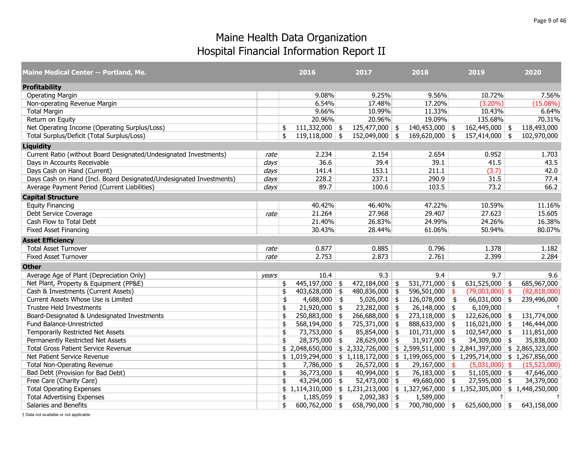| Maine Medical Center -- Portland, Me.                               |       | 2016                                                                                                                                        | 2017              | 2018                   |            | 2019                                                                                      | 2020         |
|---------------------------------------------------------------------|-------|---------------------------------------------------------------------------------------------------------------------------------------------|-------------------|------------------------|------------|-------------------------------------------------------------------------------------------|--------------|
| <b>Profitability</b>                                                |       |                                                                                                                                             |                   |                        |            |                                                                                           |              |
| <b>Operating Margin</b>                                             |       | 9.08%                                                                                                                                       | 9.25%             | 9.56%                  |            | 10.72%                                                                                    | 7.56%        |
| Non-operating Revenue Margin                                        |       | 6.54%                                                                                                                                       | 17.48%            | 17.20%                 |            | $(3.20\%)$                                                                                | $(15.08\%)$  |
| <b>Total Margin</b>                                                 |       | 9.66%                                                                                                                                       | 10.99%            | 11.33%                 |            | 10.43%                                                                                    | 6.64%        |
| Return on Equity                                                    |       | 20.96%                                                                                                                                      | 20.96%            | 19.09%                 |            | 135.68%                                                                                   | 70.31%       |
| Net Operating Income (Operating Surplus/Loss)                       |       | $\overline{111,}332,000$ \$<br>\$                                                                                                           | $125,477,000$ \$  | $140,453,000$ \$       |            | $162,445,000$ \$                                                                          | 118,493,000  |
| Total Surplus/Deficit (Total Surplus/Loss)                          |       | \$<br>$119,118,000$ \$                                                                                                                      | $152,049,000$ \$  | $169,620,000$ \$       |            | $157,414,000$ \$                                                                          | 102,970,000  |
| <b>Liquidity</b>                                                    |       |                                                                                                                                             |                   |                        |            |                                                                                           |              |
| Current Ratio (without Board Designated/Undesignated Investments)   | rate  | 2.234                                                                                                                                       | 2.154             | 2.654                  |            | 0.952                                                                                     | 1.703        |
| Days in Accounts Receivable                                         | days  | 36.6                                                                                                                                        | 39.4              | 39.1                   |            | 41.5                                                                                      | 43.5         |
| Days Cash on Hand (Current)                                         | days  | 141.4                                                                                                                                       | 153.1             | 211.1                  |            | (3.7)                                                                                     | 42.0         |
| Days Cash on Hand (Incl. Board Designated/Undesignated Investments) | days  | 228.2                                                                                                                                       | 237.1             | 290.9                  |            | 31.5                                                                                      | 77.4         |
| Average Payment Period (Current Liabilities)                        | days  | 89.7                                                                                                                                        | 100.6             | 103.5                  |            | 73.2                                                                                      | 66.2         |
| <b>Capital Structure</b>                                            |       |                                                                                                                                             |                   |                        |            |                                                                                           |              |
| <b>Equity Financing</b>                                             |       | 40.42%                                                                                                                                      | 46.40%            | 47.22%                 |            | 10.59%                                                                                    | 11.16%       |
| Debt Service Coverage                                               | rate  | 21.264                                                                                                                                      | 27.968            | 29.407                 |            | 27.623                                                                                    | 15.605       |
| Cash Flow to Total Debt                                             |       | 21.40%                                                                                                                                      | 26.83%            | 24.99%                 |            | 24.26%                                                                                    | 16.38%       |
| <b>Fixed Asset Financing</b>                                        |       | 30.43%                                                                                                                                      | 28.44%            | 61.06%                 |            | 50.94%                                                                                    | 80.07%       |
| <b>Asset Efficiency</b>                                             |       |                                                                                                                                             |                   |                        |            |                                                                                           |              |
| <b>Total Asset Turnover</b>                                         | rate  | 0.877                                                                                                                                       | 0.885             | 0.796                  |            | 1.378                                                                                     | 1.182        |
| <b>Fixed Asset Turnover</b>                                         | rate  | 2.753                                                                                                                                       | 2.873             | 2.761                  |            | 2.399                                                                                     | 2.284        |
| <b>Other</b>                                                        |       |                                                                                                                                             |                   |                        |            |                                                                                           |              |
| Average Age of Plant (Depreciation Only)                            | vears | 10.4                                                                                                                                        | 9.3               | 9.4                    |            | 9.7                                                                                       | 9.6          |
| Net Plant, Property & Equipment (PP&E)                              |       | $445,197,000$ \$<br>\$                                                                                                                      | 472,184,000       | \$<br>531,771,000 \$   |            | 631,525,000 \$                                                                            | 685,967,000  |
| Cash & Investments (Current Assets)                                 |       | \$<br>$403,628,000$ \$                                                                                                                      | $480,836,000$ \$  | 596,501,000            | - \$       | $(79,003,000)$ \$                                                                         | (82,818,000) |
| Current Assets Whose Use is Limited                                 |       | $4,688,000$ \$<br>\$                                                                                                                        | 5,026,000         | \$<br>126,078,000      | $\sqrt{2}$ | $66,031,000$ \$                                                                           | 239,496,000  |
| <b>Trustee Held Investments</b>                                     |       | $21,920,000$ \$<br>\$                                                                                                                       | $23,282,000$ \$   | $26,148,000$ \$        |            | 6,109,000                                                                                 | $+$          |
| Board-Designated & Undesignated Investments                         |       | \$<br>250,883,000                                                                                                                           | \$<br>266,688,000 | \$<br>$273,118,000$ \$ |            | $122,626,000$ \$                                                                          | 131,774,000  |
| Fund Balance-Unrestricted                                           |       | $568,194,000$ \$<br>\$                                                                                                                      | 725,371,000 \$    | $888,633,000$ \$       |            | $116,021,000$ \$                                                                          | 146,444,000  |
| Temporarily Restricted Net Assets                                   |       | \$<br>73,753,000 \$                                                                                                                         | 85,854,000        | \$<br>$101,731,000$ \$ |            | $102,547,000$ \$                                                                          | 111,851,000  |
| Permanently Restricted Net Assets                                   |       | $28,375,000$ \$<br>\$                                                                                                                       | $28,629,000$ \$   | $31,917,000$ \$        |            | 34,309,000 \$                                                                             | 35,838,000   |
| <b>Total Gross Patient Service Revenue</b>                          |       | 2,048,650,000                                                                                                                               | \$2,332,726,000   |                        |            | $\frac{1}{2}$ , 2,599,511,000 $\frac{1}{2}$ , 2,841,397,000 $\frac{1}{2}$ , 2,865,323,000 |              |
| Net Patient Service Revenue                                         |       | $\frac{1}{2}$ 1,019,294,000 $\frac{1}{2}$ 1,118,172,000 $\frac{1}{2}$ 1,199,065,000 $\frac{1}{2}$ 1,295,714,000 $\frac{1}{2}$ 1,267,856,000 |                   |                        |            |                                                                                           |              |
| <b>Total Non-Operating Revenue</b>                                  |       | $7,786,000$ \$<br>\$                                                                                                                        | 26,572,000        | \$<br>29,167,000       | -\$        | $(5,031,000)$ \$                                                                          | (15,523,000) |
| Bad Debt (Provision for Bad Debt)                                   |       | $36,773,000$ \$<br>\$                                                                                                                       | $40,994,000$ \$   | 76,183,000 \$          |            | $51,105,000$ \$                                                                           | 47,646,000   |
| Free Care (Charity Care)                                            |       | \$<br>$43,294,000$ \$                                                                                                                       | $52,473,000$ \$   | 49,680,000 \$          |            | $27,595,000$ \$                                                                           | 34,379,000   |
| <b>Total Operating Expenses</b>                                     |       | \$1,114,310,000                                                                                                                             | \$1,231,213,000   | \$1,327,967,000        |            | $$1,352,305,000 \mid $1,448,250,000$                                                      |              |
| <b>Total Advertising Expenses</b>                                   |       | \$<br>$1,185,059$ \$                                                                                                                        | 2,092,383         | \$<br>1,589,000        |            | $\pm$                                                                                     | $+$          |
| Salaries and Benefits                                               |       | \$<br>$600,762,000$ \$                                                                                                                      | 658,790,000 \$    | 700,780,000 \$         |            | 625,600,000 \$                                                                            | 643,158,000  |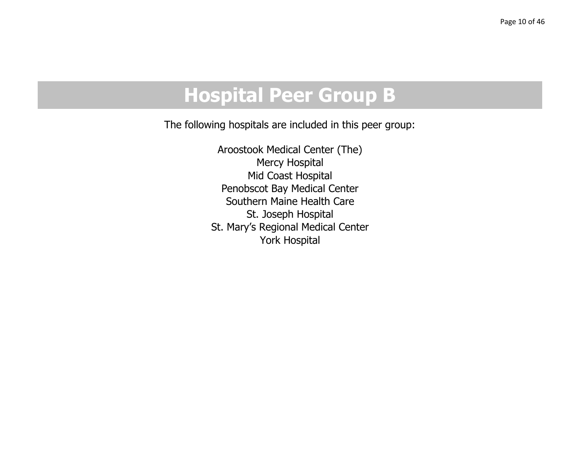# **Hospital Peer Group B**

The following hospitals are included in this peer group:

Aroostook Medical Center (The) Mercy Hospital Mid Coast Hospital Penobscot Bay Medical Center Southern Maine Health CareSt. Joseph Hospital St. Mary's Regional Medical Center York Hospital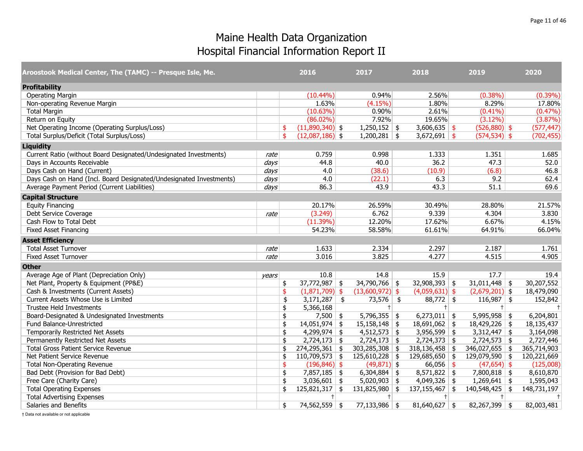| Aroostook Medical Center, The (TAMC) -- Presque Isle, Me.           |       |               | 2016              | 2017              |            | 2018             | 2019             | 2020        |
|---------------------------------------------------------------------|-------|---------------|-------------------|-------------------|------------|------------------|------------------|-------------|
| <b>Profitability</b>                                                |       |               |                   |                   |            |                  |                  |             |
| <b>Operating Margin</b>                                             |       |               | $(10.44\%)$       | 0.94%             |            | 2.56%            | $(0.38\%)$       | $(0.39\%)$  |
| Non-operating Revenue Margin                                        |       |               | 1.63%             | (4.15%)           |            | 1.80%            | 8.29%            | 17.80%      |
| <b>Total Margin</b>                                                 |       |               | (10.63%)          | 0.90%             |            | 2.61%            | $(0.41\%)$       | $(0.47\%)$  |
| Return on Equity                                                    |       |               | $(86.02\%)$       | 7.92%             |            | 19.65%           | $(3.12\%)$       | (3.87%)     |
| Net Operating Income (Operating Surplus/Loss)                       |       | \$            | $(11,890,340)$ \$ | $1,250,152$ \$    |            | $3,606,635$ \$   | $(526,880)$ \$   | (577, 447)  |
| Total Surplus/Deficit (Total Surplus/Loss)                          |       | $\frac{4}{5}$ | $(12,087,186)$ \$ | $1,200,281$ \$    |            | $3,672,691$ \$   | $(574, 534)$ \$  | (702, 455)  |
| <b>Liquidity</b>                                                    |       |               |                   |                   |            |                  |                  |             |
| Current Ratio (without Board Designated/Undesignated Investments)   | rate  |               | 0.759             | 0.998             |            | 1.333            | 1.351            | 1.685       |
| Days in Accounts Receivable                                         | days  |               | 44.8              | 40.0              |            | 36.2             | 47.3             | 52.0        |
| Days Cash on Hand (Current)                                         | days  |               | 4.0               | (38.6)            |            | (10.9)           | (6.8)            | 46.8        |
| Days Cash on Hand (Incl. Board Designated/Undesignated Investments) | days  |               | 4.0               | (22.1)            |            | 6.3              | 9.2              | 62.4        |
| Average Payment Period (Current Liabilities)                        | days  |               | 86.3              | 43.9              |            | 43.3             | 51.1             | 69.6        |
| <b>Capital Structure</b>                                            |       |               |                   |                   |            |                  |                  |             |
| <b>Equity Financing</b>                                             |       |               | 20.17%            | 26.59%            |            | 30.49%           | 28.80%           | 21.57%      |
| Debt Service Coverage                                               | rate  |               | (3.249)           | 6.762             |            | 9.339            | 4.304            | 3.830       |
| Cash Flow to Total Debt                                             |       |               | (11.39%)          | 12.20%            |            | 17.62%           | 6.67%            | 4.15%       |
| <b>Fixed Asset Financing</b>                                        |       |               | 54.23%            | 58.58%            |            | 61.61%           | 64.91%           | 66.04%      |
| <b>Asset Efficiency</b>                                             |       |               |                   |                   |            |                  |                  |             |
| <b>Total Asset Turnover</b>                                         | rate  |               | 1.633             | 2.334             |            | 2.297            | 2.187            | 1.761       |
| <b>Fixed Asset Turnover</b>                                         | rate  |               | 3.016             | 3.825             |            | 4.277            | 4.515            | 4.905       |
| <b>Other</b>                                                        |       |               |                   |                   |            |                  |                  |             |
| Average Age of Plant (Depreciation Only)                            | vears |               | 10.8              | 14.8              |            | 15.9             | 17.7             | 19.4        |
| Net Plant, Property & Equipment (PP&E)                              |       | \$            | $37,772,987$ \$   | $34,790,766$ \$   |            | $32,908,393$ \$  | $31,011,448$ \$  | 30,207,552  |
| Cash & Investments (Current Assets)                                 |       | \$            | $(1,871,709)$ \$  | $(13,600,972)$ \$ |            | $(4,059,631)$ \$ | $(2,679,201)$ \$ | 18,479,090  |
| Current Assets Whose Use is Limited                                 |       | \$            | $3,171,287$ \$    | 73,576            | $\vert$ \$ | $88,772$ \$      | $116,987$ \$     | 152,842     |
| Trustee Held Investments                                            |       | \$            | 5,366,168         | $^+$              |            | $+$              | $+1$             | $\pm$       |
| Board-Designated & Undesignated Investments                         |       | \$            | $7,500$ \$        | $5,796,355$ \$    |            | $6,273,011$ \$   | $5,995,958$ \$   | 6,204,801   |
| Fund Balance-Unrestricted                                           |       | \$            | $14,051,974$ \$   | $15,158,148$ \$   |            | $18,691,062$ \$  | $18,429,226$ \$  | 18,135,437  |
| Temporarily Restricted Net Assets                                   |       | \$            | $4,299,974$ \$    | $4,512,573$ \$    |            | $3,956,599$ \$   | $3,312,447$ \$   | 3,164,098   |
| Permanently Restricted Net Assets                                   |       | \$            | $2,724,173$ \$    | $2,724,173$ \$    |            | $2,724,373$ \$   | $2,724,573$ \$   | 2,727,446   |
| <b>Total Gross Patient Service Revenue</b>                          |       | \$            | $274,295,361$ \$  | 303,285,308       | \$         | $318,136,458$ \$ | 346,027,655 \$   | 365,714,903 |
| Net Patient Service Revenue                                         |       | \$            | $110,709,573$ \$  | $125,610,228$ \$  |            | $129,685,650$ \$ | 129,079,590 \$   | 120,221,669 |
| <b>Total Non-Operating Revenue</b>                                  |       | \$            | $(196, 846)$ \$   | $(49,871)$ \$     |            | $66,056$ \$      | $(47, 654)$ \$   | (125,008)   |
| Bad Debt (Provision for Bad Debt)                                   |       | \$            | $7,857,185$ \$    | $6,304,884$ \$    |            | $8,571,822$ \$   | $7,800,818$ \$   | 8,610,870   |
| Free Care (Charity Care)                                            |       | \$            | $3,036,601$ \$    | $5,020,903$ \$    |            | $4,049,326$ \$   | $1,269,641$ \$   | 1,595,043   |
| <b>Total Operating Expenses</b>                                     |       | \$            | $125,821,317$ \$  | $131,825,980$ \$  |            | $137,155,467$ \$ | $140,548,425$ \$ | 148,731,197 |
| <b>Total Advertising Expenses</b>                                   |       |               | $+$               | $+$               |            | $+$              | $+$              | $\ddagger$  |
| Salaries and Benefits                                               |       | \$            | 74,562,559 \$     | $77,133,986$ \$   |            | $81,640,627$ \$  | $82,267,399$ \$  | 82,003,481  |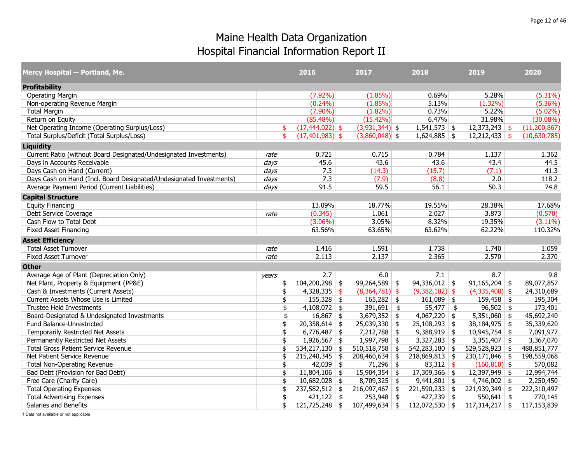| Mercy Hospital -- Portland, Me.                                     |       | 2016                      | 2017                   | 2018                   | 2019             | 2020           |
|---------------------------------------------------------------------|-------|---------------------------|------------------------|------------------------|------------------|----------------|
| <b>Profitability</b>                                                |       |                           |                        |                        |                  |                |
| <b>Operating Margin</b>                                             |       | $(7.92\%)$                | $(1.85\%)$             | 0.69%                  | 5.28%            | $(5.31\%)$     |
| Non-operating Revenue Margin                                        |       | $(0.24\%)$                | $(1.85\%)$             | 5.13%                  | $(1.32\%)$       | $(5.36\%)$     |
| <b>Total Margin</b>                                                 |       | $(7.90\%)$                | $(1.82\%)$             | 0.73%                  | 5.22%            | (5.02%)        |
| Return on Equity                                                    |       | $(85.48\%)$               | $(15.42\%)$            | 6.47%                  | 31.98%           | $(30.08\%)$    |
| Net Operating Income (Operating Surplus/Loss)                       |       | $(17, 444, 022)$ \$<br>\$ | $(3,931,344)$ \$       | $1,541,573$ \$         | $12,373,243$ \$  | (11, 200, 867) |
| Total Surplus/Deficit (Total Surplus/Loss)                          |       | \$<br>$(17, 401, 983)$ \$ | $(3,860,048)$ \$       | $1,624,885$ \$         | $12,212,433$ \$  | (10,630,785)   |
| <b>Liquidity</b>                                                    |       |                           |                        |                        |                  |                |
| Current Ratio (without Board Designated/Undesignated Investments)   | rate  | 0.721                     | 0.715                  | 0.784                  | 1.137            | 1.362          |
| Days in Accounts Receivable                                         | days  | 45.6                      | 43.6                   | 43.6                   | 43.4             | 44.5           |
| Days Cash on Hand (Current)                                         | days  | 7.3                       | (14.3)                 | (15.7)                 | (7.1)            | 41.3           |
| Days Cash on Hand (Incl. Board Designated/Undesignated Investments) | days  | 7.3                       | (7.9)                  | (8.8)                  | 2.0              | 118.2          |
| Average Payment Period (Current Liabilities)                        | days  | 91.5                      | 59.5                   | 56.1                   | 50.3             | 74.8           |
| <b>Capital Structure</b>                                            |       |                           |                        |                        |                  |                |
| <b>Equity Financing</b>                                             |       | 13.09%                    | 18.77%                 | 19.55%                 | 28.38%           | 17.68%         |
| Debt Service Coverage                                               | rate  | (0.345)                   | 1.061                  | 2.027                  | 3.873            | (0.570)        |
| Cash Flow to Total Debt                                             |       | $(3.06\%)$                | 3.05%                  | 8.32%                  | 19.35%           | $(3.11\%)$     |
| <b>Fixed Asset Financing</b>                                        |       | 63.56%                    | 63.65%                 | 63.62%                 | 62.22%           | 110.32%        |
| <b>Asset Efficiency</b>                                             |       |                           |                        |                        |                  |                |
| <b>Total Asset Turnover</b>                                         | rate  | 1.416                     | 1.591                  | 1.738                  | 1.740            | 1.059          |
| <b>Fixed Asset Turnover</b>                                         | rate  | 2.113                     | 2.137                  | 2.365                  | 2.570            | 2.370          |
| <b>Other</b>                                                        |       |                           |                        |                        |                  |                |
| Average Age of Plant (Depreciation Only)                            | years | 2.7                       | 6.0                    | 7.1                    | 8.7              | 9.8            |
| Net Plant, Property & Equipment (PP&E)                              |       | $104,200,298$ \$<br>\$    | $99,264,589$ \$        | $94,336,012$ \$        | $91,165,204$ \$  | 89,077,857     |
| Cash & Investments (Current Assets)                                 |       | \$<br>4,328,335           | \$<br>$(8,364,781)$ \$ | $(9,382,182)$ \$       | $(4,335,400)$ \$ | 24,310,689     |
| Current Assets Whose Use is Limited                                 |       | $155,328$ \$<br>\$        | $165,282$ \$           | $161,089$ \$           | $159,458$ \$     | 195,304        |
| <b>Trustee Held Investments</b>                                     |       | \$<br>$4,108,072$ \$      | $391,691$ \$           | $55,477$ \$            | $96,502$ \$      | 173,401        |
| Board-Designated & Undesignated Investments                         |       | \$<br>$16,867$ \$         | $3,679,352$ \$         | $4,067,220$ \$         | $5,351,060$ \$   | 45,692,240     |
| Fund Balance-Unrestricted                                           |       | $20,358,614$ \$<br>\$     | $25,039,330$ \$        | $25,108,293$ \$        | $38,184,975$ \$  | 35,339,620     |
| Temporarily Restricted Net Assets                                   |       | \$<br>$6,776,487$ \$      | 7,212,788              | \$<br>$9,388,919$ \$   | $10,945,754$ \$  | 7,091,977      |
| Permanently Restricted Net Assets                                   |       | \$<br>$1,926,567$ \$      | $1,997,798$ \$         | $3,327,283$ \$         | $3,351,407$ \$   | 3,367,070      |
| <b>Total Gross Patient Service Revenue</b>                          |       | \$<br>534,217,130         | \$<br>510,518,758      | \$<br>$542,283,180$ \$ | $529,528,923$ \$ | 488,851,777    |
| Net Patient Service Revenue                                         |       | \$<br>$215,240,345$ \$    | 208,460,634            | \$<br>$218,869,813$ \$ | $230,171,846$ \$ | 198,559,068    |
| <b>Total Non-Operating Revenue</b>                                  |       | $42,039$ \$<br>\$         | $71,296$ \$            | 83,312 \$              | $(160, 810)$ \$  | 570,082        |
| Bad Debt (Provision for Bad Debt)                                   |       | \$<br>$11,804,106$ \$     | $15,904,354$ \$        | $17,309,366$ \$        | 12,397,949 \$    | 12,994,744     |
| Free Care (Charity Care)                                            |       | \$<br>$10,682,028$ \$     | $8,709,325$ \$         | $9,441,801$ \$         | $4,746,002$ \$   | 2,250,450      |
| <b>Total Operating Expenses</b>                                     |       | $237,582,512$ \$<br>\$    | 216,097,467            | \$<br>$221,590,233$ \$ | $221,939,349$ \$ | 222,310,497    |
| <b>Total Advertising Expenses</b>                                   |       | \$<br>$421,122$ \$        | $253,948$ \$           | $427,239$ \$           | $550,641$ \$     | 770,145        |
| Salaries and Benefits                                               |       | $121,725,248$ \$<br>\$    | $107,499,634$ \$       | $112,072,530$ \$       | $117,314,217$ \$ | 117,153,839    |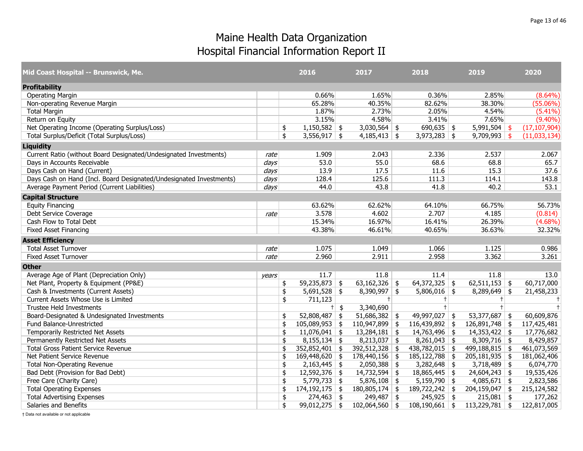| Mid Coast Hospital -- Brunswick, Me.                                |                  | 2016                     |        | 2017             | 2018               | 2019                       | 2020           |
|---------------------------------------------------------------------|------------------|--------------------------|--------|------------------|--------------------|----------------------------|----------------|
| <b>Profitability</b>                                                |                  |                          |        |                  |                    |                            |                |
| <b>Operating Margin</b>                                             |                  | 0.66%                    |        | 1.65%            | 0.36%              | 2.85%                      | $(8.64\%)$     |
| Non-operating Revenue Margin                                        |                  | 65.28%                   |        | 40.35%           | 82.62%             | 38.30%                     | $(55.06\%)$    |
| <b>Total Margin</b>                                                 |                  | 1.87%                    |        | 2.73%            | 2.05%              | 4.54%                      | $(5.41\%)$     |
| Return on Equity                                                    |                  | 3.15%                    |        | 4.58%            | 3.41%              | 7.65%                      | $(9.40\%)$     |
| Net Operating Income (Operating Surplus/Loss)                       |                  | \$<br>$1,150,582$ \$     |        | $3,030,564$ \$   | $690,635$ \$       | $5,991,504$ \$             | (17, 107, 904) |
| Total Surplus/Deficit (Total Surplus/Loss)                          |                  | \$<br>$3,556,917$ \$     |        | $4,185,413$ \$   | $3,973,283$ \$     | $9,709,993$ \$             | (11,033,134)   |
| <b>Liquidity</b>                                                    |                  |                          |        |                  |                    |                            |                |
| Current Ratio (without Board Designated/Undesignated Investments)   | rate             | 1.909                    |        | 2.043            | 2.336              | 2.537                      | 2.067          |
| Days in Accounts Receivable                                         | $\frac{days}{ }$ | 53.0                     |        | 55.0             | 68.6               | 68.8                       | 65.7           |
| Days Cash on Hand (Current)                                         | days             | 13.9                     |        | 17.5             | 11.6               | 15.3                       | 37.6           |
| Days Cash on Hand (Incl. Board Designated/Undesignated Investments) | days             | 128.4                    |        | 125.6            | 111.3              | 114.1                      | 143.8          |
| Average Payment Period (Current Liabilities)                        | days             | 44.0                     |        | 43.8             | 41.8               | 40.2                       | 53.1           |
| <b>Capital Structure</b>                                            |                  |                          |        |                  |                    |                            |                |
| <b>Equity Financing</b>                                             |                  | 63.62%                   |        | 62.62%           | 64.10%             | 66.75%                     | 56.73%         |
| Debt Service Coverage                                               | rate             | 3.578                    |        | 4.602            | 2.707              | 4.185                      | (0.814)        |
| Cash Flow to Total Debt                                             |                  | 15.34%                   |        | 16.97%           | 16.41%             | 26.39%                     | $(4.68\%)$     |
| <b>Fixed Asset Financing</b>                                        |                  | 43.38%                   |        | 46.61%           | 40.65%             | 36.63%                     | 32.32%         |
| <b>Asset Efficiency</b>                                             |                  |                          |        |                  |                    |                            |                |
| <b>Total Asset Turnover</b>                                         | rate             | 1.075                    |        | 1.049            | 1.066              | 1.125                      | 0.986          |
| <b>Fixed Asset Turnover</b>                                         | rate             | 2.960                    |        | 2.911            | 2.958              | 3.362                      | 3.261          |
| <b>Other</b>                                                        |                  |                          |        |                  |                    |                            |                |
| Average Age of Plant (Depreciation Only)                            | years            | 11.7                     |        | 11.8             | 11.4               | 11.8                       | 13.0           |
| Net Plant, Property & Equipment (PP&E)                              |                  | \$<br>$59,235,873$ \$    |        | $63,162,326$ \$  | $64,372,325$ \$    | $62,511,153$ \$            | 60,717,000     |
| Cash & Investments (Current Assets)                                 |                  | \$<br>$5,691,528$ \$     |        | $8,390,997$ \$   | $5,806,016$ \$     | $8,289,649$ \$             | 21,458,233     |
| Current Assets Whose Use is Limited                                 |                  | \$<br>711,123            |        | $+$              | $+$                | $+$                        | $\ddagger$     |
| Trustee Held Investments                                            |                  |                          | $+$ \$ | 3,340,690        | $+$                | $+$                        | $\overline{+}$ |
| Board-Designated & Undesignated Investments                         |                  | \$<br>$52,808,487$ \$    |        | $51,686,382$ \$  | $49,997,027$ \$    | $53,377,687$ \$            | 60,609,876     |
| Fund Balance-Unrestricted                                           |                  | \$<br>$105,089,953$ \$   |        | $110,947,899$ \$ | $116,439,892$ \$   | $126,891,748$ \$           | 117,425,481    |
| Temporarily Restricted Net Assets                                   |                  | \$<br>$11,076,041$ \$    |        | $13,284,181$ \$  | $14,763,496$ \$    | $14,353,422$ \$            | 17,776,682     |
| Permanently Restricted Net Assets                                   |                  | \$<br>$8,155,134$ \$     |        | $8,213,037$ \$   | $8,261,043$ \$     | $8,309,716$ \$             | 8,429,857      |
| <b>Total Gross Patient Service Revenue</b>                          |                  | \$<br>352,852,401 \$     |        | $392,512,328$ \$ | $438,782,015$ \$   | 499,188,815 \$             | 461,073,569    |
| Net Patient Service Revenue                                         |                  | \$<br>$169,448,620$ \$   |        | $178,440,156$ \$ | $185, 122, 788$ \$ | $205,181,935$ \$           | 181,062,406    |
| <b>Total Non-Operating Revenue</b>                                  |                  | \$<br>$2,163,445$ \$     |        | $2,050,388$ \$   | $3,282,648$ \$     | $3,718,489$ \$             | 6,074,770      |
| Bad Debt (Provision for Bad Debt)                                   |                  | \$<br>$12,592,376$ \$    |        | $14,732,594$ \$  | $18,865,445$ \$    | $\overline{24,604,243}$ \$ | 19,535,426     |
| Free Care (Charity Care)                                            |                  | \$<br>$5,779,733$ \$     |        | $5,876,108$ \$   | $5,159,790$ \$     | $4,085,671$ \$             | 2,823,586      |
| <b>Total Operating Expenses</b>                                     |                  | \$<br>$174, 192, 175$ \$ |        | $180,805,174$ \$ | $189,722,242$ \$   | $204, 159, 047$ \$         | 215,124,582    |
| <b>Total Advertising Expenses</b>                                   |                  | \$<br>$274,463$ \$       |        | $249,487$ \$     | $245,925$ \$       | $215,081$ \$               | 177,262        |
| Salaries and Benefits                                               |                  | \$<br>$99,012,275$ \$    |        | $102,064,560$ \$ | $108, 190, 661$ \$ | $113,229,781$ \$           | 122,817,005    |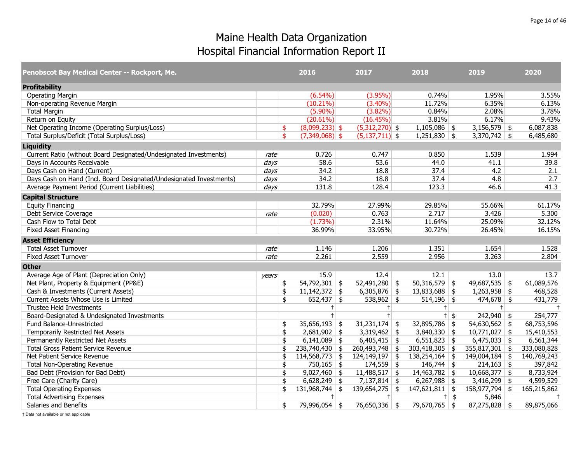| Penobscot Bay Medical Center -- Rockport, Me.                       |                  | 2016                   | 2017               | 2018                              |                   | 2019             | 2020           |
|---------------------------------------------------------------------|------------------|------------------------|--------------------|-----------------------------------|-------------------|------------------|----------------|
| <b>Profitability</b>                                                |                  |                        |                    |                                   |                   |                  |                |
| <b>Operating Margin</b>                                             |                  | $(6.54\%)$             | $(3.95\%)$         | 0.74%                             |                   | 1.95%            | 3.55%          |
| Non-operating Revenue Margin                                        |                  | $(10.21\%)$            | $(3.40\%)$         | 11.72%                            |                   | 6.35%            | 6.13%          |
| <b>Total Margin</b>                                                 |                  | $(5.90\%)$             | $(3.82\%)$         | 0.84%                             |                   | 2.08%            | 3.78%          |
| Return on Equity                                                    |                  | $(20.61\%)$            | (16.45%)           | 3.81%                             |                   | 6.17%            | 9.43%          |
| Net Operating Income (Operating Surplus/Loss)                       |                  | \$<br>$(8,099,233)$ \$ | $(5,312,270)$ \$   | $1,105,086$ \$                    |                   | $3,156,579$ \$   | 6,087,838      |
| Total Surplus/Deficit (Total Surplus/Loss)                          |                  | \$<br>$(7,349,068)$ \$ | $(5,137,711)$ \$   | $1,251,830$ \$                    |                   | $3,370,742$ \$   | 6,485,680      |
| <b>Liquidity</b>                                                    |                  |                        |                    |                                   |                   |                  |                |
| Current Ratio (without Board Designated/Undesignated Investments)   | rate             | 0.726                  | 0.747              | 0.850                             |                   | 1.539            | 1.994          |
| Days in Accounts Receivable                                         | days             | 58.6                   | 53.6               | 44.0                              |                   | 41.1             | 39.8           |
| Days Cash on Hand (Current)                                         | $\frac{days}{ }$ | 34.2                   | 18.8               | 37.4                              |                   | 4.2              | 2.1            |
| Days Cash on Hand (Incl. Board Designated/Undesignated Investments) | days             | 34.2                   | 18.8               | 37.4                              |                   | 4.8              | 2.7            |
| Average Payment Period (Current Liabilities)                        | days             | 131.8                  | 128.4              | 123.3                             |                   | 46.6             | 41.3           |
| <b>Capital Structure</b>                                            |                  |                        |                    |                                   |                   |                  |                |
| <b>Equity Financing</b>                                             |                  | 32.79%                 | 27.99%             | 29.85%                            |                   | 55.66%           | 61.17%         |
| Debt Service Coverage                                               | rate             | (0.020)                | 0.763              | 2.717                             |                   | 3.426            | 5.300          |
| Cash Flow to Total Debt                                             |                  | $(1.73\%)$             | 2.31%              | 11.64%                            |                   | 25.09%           | 32.12%         |
| <b>Fixed Asset Financing</b>                                        |                  | 36.99%                 | 33.95%             | 30.72%                            |                   | 26.45%           | 16.15%         |
| <b>Asset Efficiency</b>                                             |                  |                        |                    |                                   |                   |                  |                |
| <b>Total Asset Turnover</b>                                         | rate             | 1.146                  | 1.206              | 1.351                             |                   | 1.654            | 1.528          |
| <b>Fixed Asset Turnover</b>                                         | rate             | 2.261                  | 2.559              | 2.956                             |                   | 3.263            | 2.804          |
| <b>Other</b>                                                        |                  |                        |                    |                                   |                   |                  |                |
| Average Age of Plant (Depreciation Only)                            | vears            | 15.9                   | 12.4               | 12.1                              |                   | 13.0             | 13.7           |
| Net Plant, Property & Equipment (PP&E)                              |                  | \$<br>$54,792,301$ \$  | $52,491,280$ \$    | $50,316,579$ \$                   |                   | 49,687,535 \$    | 61,089,576     |
| Cash & Investments (Current Assets)                                 |                  | \$<br>$11,142,372$ \$  | $6,305,876$ \$     | $13,833,688$ \$                   |                   | $1,263,958$ \$   | 468,528        |
| Current Assets Whose Use is Limited                                 |                  | \$<br>$652,437$ \$     | 538,962 \$         | $514,196$ \$                      |                   | $474,678$ \$     | 431,779        |
| <b>Trustee Held Investments</b>                                     |                  | $^+$                   | $+$                | $+1$                              |                   | $+$              | $\ddagger$     |
| Board-Designated & Undesignated Investments                         |                  | $\ddagger$             | $+$                |                                   | $\overline{t}$ \$ | $242,940$ \$     | 254,777        |
| Fund Balance-Unrestricted                                           |                  | \$<br>$35,656,193$ \$  | $31,231,174$ \$    | $32,895,786$ \$                   |                   | $54,630,562$ \$  | 68,753,596     |
| Temporarily Restricted Net Assets                                   |                  | \$<br>$2,681,902$ \$   | $3,319,462$ \$     | $3,840,330$ \$                    |                   | $10,771,027$ \$  | 15,410,553     |
| Permanently Restricted Net Assets                                   |                  | \$<br>$6,141,089$ \$   | $6,405,415$ \$     | $6,551,823$ \$                    |                   | $6,475,033$ \$   | 6,561,344      |
| <b>Total Gross Patient Service Revenue</b>                          |                  | \$<br>$238,740,430$ \$ | 260,493,748        | \$<br>$\overline{303,}418,305$ \$ |                   | $355,817,301$ \$ | 333,080,828    |
| Net Patient Service Revenue                                         |                  | \$<br>$114,568,773$ \$ | $124, 149, 197$ \$ | $138,254,164$ \$                  |                   | $149,004,184$ \$ | 140,769,243    |
| <b>Total Non-Operating Revenue</b>                                  |                  | \$<br>$750,165$ \$     | $174,559$ \$       | $146,744$ \$                      |                   | $214,163$ \$     | 397,842        |
| Bad Debt (Provision for Bad Debt)                                   |                  | \$<br>$9,027,460$ \$   | $11,488,517$ \$    | $14,463,782$ \$                   |                   | $10,668,377$ \$  | 8,733,924      |
| Free Care (Charity Care)                                            |                  | \$<br>$6,628,249$ \$   | $7,137,814$ \$     | $6,267,988$ \$                    |                   | $3,416,299$ \$   | 4,599,529      |
| <b>Total Operating Expenses</b>                                     |                  | \$<br>$131,968,744$ \$ | $139,654,275$ \$   | $147,621,811$ \$                  |                   | 158,977,794 \$   | 165,215,862    |
| <b>Total Advertising Expenses</b>                                   |                  | $^{+}$                 | $+$                |                                   | $+$ \$            | 5,846            | $\overline{1}$ |
| Salaries and Benefits                                               |                  | \$<br>79,996,054 \$    | 76,650,336 \$      | 79,670,765 \$                     |                   | $87,275,828$ \$  | 89,875,066     |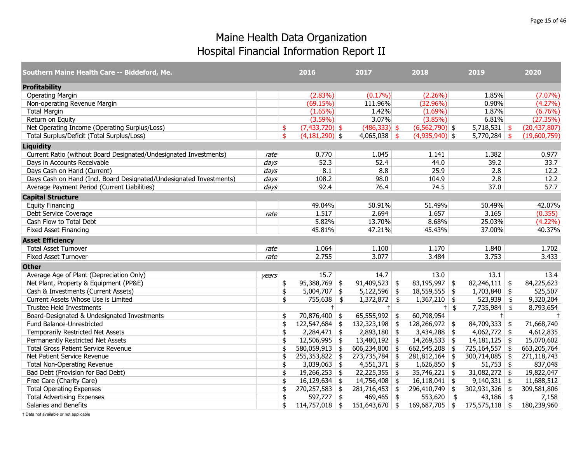| Southern Maine Health Care -- Biddeford, Me.                        |       |                         | 2016             |               | 2017             | 2018               |        | 2019             | 2020           |
|---------------------------------------------------------------------|-------|-------------------------|------------------|---------------|------------------|--------------------|--------|------------------|----------------|
| <b>Profitability</b>                                                |       |                         |                  |               |                  |                    |        |                  |                |
| <b>Operating Margin</b>                                             |       |                         | $(2.83\%)$       |               | $(0.17\%)$       | $(2.26\%)$         |        | 1.85%            | $(7.07\%)$     |
| Non-operating Revenue Margin                                        |       |                         | (69.15%)         |               | 111.96%          | (32.96%)           |        | 0.90%            | (4.27%)        |
| <b>Total Margin</b>                                                 |       |                         | $(1.65\%)$       |               | 1.42%            | $(1.69\%)$         |        | 1.87%            | (6.76%)        |
| Return on Equity                                                    |       |                         | $(3.59\%)$       |               | 3.07%            | $(3.85\%)$         |        | 6.81%            | (27.35%)       |
| Net Operating Income (Operating Surplus/Loss)                       |       | \$                      | $(7,433,720)$ \$ |               | $(486,333)$ \$   | $(6, 562, 790)$ \$ |        | $5,718,531$ \$   | (20, 437, 807) |
| Total Surplus/Deficit (Total Surplus/Loss)                          |       | $\overline{\mathsf{s}}$ | $(4,181,290)$ \$ |               | $4,065,038$ \$   | $(4,935,940)$ \$   |        | $5,770,284$ \$   | (19,600,759)   |
| <b>Liquidity</b>                                                    |       |                         |                  |               |                  |                    |        |                  |                |
| Current Ratio (without Board Designated/Undesignated Investments)   | rate  |                         | 0.770            |               | 1.045            | 1.141              |        | 1.382            | 0.977          |
| Days in Accounts Receivable                                         | days  |                         | 52.3             |               | 52.4             | 44.0               |        | 39.2             | 33.7           |
| Days Cash on Hand (Current)                                         | days  |                         | 8.1              |               | 8.8              | 25.9               |        | 2.8              | 12.2           |
| Days Cash on Hand (Incl. Board Designated/Undesignated Investments) | days  |                         | 108.2            |               | 98.0             | 104.9              |        | 2.8              | 12.2           |
| Average Payment Period (Current Liabilities)                        | days  |                         | 92.4             |               | 76.4             | 74.5               |        | 37.0             | 57.7           |
| <b>Capital Structure</b>                                            |       |                         |                  |               |                  |                    |        |                  |                |
| <b>Equity Financing</b>                                             |       |                         | 49.04%           |               | 50.91%           | 51.49%             |        | 50.49%           | 42.07%         |
| Debt Service Coverage                                               | rate  |                         | 1.517            |               | 2.694            | 1.657              |        | 3.165            | (0.355)        |
| Cash Flow to Total Debt                                             |       |                         | 5.82%            |               | 13.70%           | 8.68%              |        | 25.03%           | $(4.22\%)$     |
| <b>Fixed Asset Financing</b>                                        |       |                         | 45.81%           |               | 47.21%           | 45.43%             |        | 37.00%           | 40.37%         |
| <b>Asset Efficiency</b>                                             |       |                         |                  |               |                  |                    |        |                  |                |
| <b>Total Asset Turnover</b>                                         | rate  |                         | 1.064            |               | 1.100            | 1.170              |        | 1.840            | 1.702          |
| <b>Fixed Asset Turnover</b>                                         | rate  |                         | 2.755            |               | 3.077            | 3.484              |        | 3.753            | 3.433          |
| <b>Other</b>                                                        |       |                         |                  |               |                  |                    |        |                  |                |
| Average Age of Plant (Depreciation Only)                            | vears |                         | 15.7             |               | 14.7             | 13.0               |        | 13.1             | 13.4           |
| Net Plant, Property & Equipment (PP&E)                              |       | \$                      | $95,388,769$ \$  |               | $91,409,523$ \$  | $83,195,997$ \$    |        | $82,246,111$ \$  | 84,225,623     |
| Cash & Investments (Current Assets)                                 |       | \$                      | $5,004,707$ \$   |               | $5,122,596$ \$   | $18,559,555$ \$    |        | $1,703,840$ \$   | 525,507        |
| Current Assets Whose Use is Limited                                 |       | \$                      | 755,638          | $\frac{1}{2}$ | $1,372,872$ \$   | $1,367,210$ \$     |        | $523,939$ \$     | 9,320,204      |
| Trustee Held Investments                                            |       |                         | $+$              |               | $+$              |                    | $+$ \$ | 7,735,984 \$     | 8,793,654      |
| Board-Designated & Undesignated Investments                         |       | \$                      | 70,876,400 \$    |               | $65,555,992$ \$  | 60,798,954         |        | $+$              | $+$            |
| Fund Balance-Unrestricted                                           |       | \$                      | $122,547,684$ \$ |               | $132,323,198$ \$ | 128,266,972 \$     |        | $84,709,333$ \$  | 71,668,740     |
| Temporarily Restricted Net Assets                                   |       | \$                      | $2,284,471$ \$   |               | $2,893,180$ \$   | $3,434,288$ \$     |        | $4,062,772$ \$   | 4,612,835      |
| Permanently Restricted Net Assets                                   |       | \$                      | $12,506,995$ \$  |               | $13,480,192$ \$  | $14,269,533$ \$    |        | $14,181,125$ \$  | 15,070,602     |
| <b>Total Gross Patient Service Revenue</b>                          |       | \$                      | 580,059,913      | \$            | $606,234,800$ \$ | $662,545,208$ \$   |        | 725,164,557 \$   | 663,205,764    |
| Net Patient Service Revenue                                         |       | \$                      | $255,353,822$ \$ |               | $273,735,784$ \$ | $281,812,164$ \$   |        | $300,714,085$ \$ | 271,118,743    |
| <b>Total Non-Operating Revenue</b>                                  |       | \$                      | $3,039,063$ \$   |               | $4,551,371$ \$   | $1,626,850$ \$     |        | $51,753$ \$      | 837,048        |
| Bad Debt (Provision for Bad Debt)                                   |       | \$                      | $19,266,253$ \$  |               | $22,225,355$ \$  | $35,746,221$ \$    |        | $31,082,272$ \$  | 19,822,047     |
| Free Care (Charity Care)                                            |       | \$                      | $16,129,634$ \$  |               | $14,756,408$ \$  | $16,118,041$ \$    |        | $9,140,331$ \$   | 11,688,512     |
| <b>Total Operating Expenses</b>                                     |       | \$                      | $270,257,583$ \$ |               | $281,716,453$ \$ | 296,410,749 \$     |        | $302,931,326$ \$ | 309,581,806    |
| <b>Total Advertising Expenses</b>                                   |       | \$                      | $597,727$ \$     |               | $469,465$ \$     | 553,620 \$         |        | $43,186$ \$      | 7,158          |
| Salaries and Benefits                                               |       | \$                      | $114,757,018$ \$ |               | $151,643,670$ \$ | 169,687,705 \$     |        | $175,575,118$ \$ | 180,239,960    |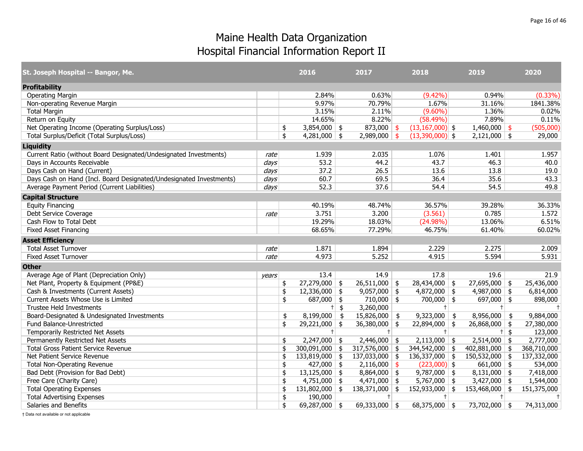| St. Joseph Hospital -- Bangor, Me.                                  |       | 2016                   |        | 2017             |     | 2018                | 2019             | 2020              |
|---------------------------------------------------------------------|-------|------------------------|--------|------------------|-----|---------------------|------------------|-------------------|
| <b>Profitability</b>                                                |       |                        |        |                  |     |                     |                  |                   |
| <b>Operating Margin</b>                                             |       | 2.84%                  |        | 0.63%            |     | $(9.42\%)$          | 0.94%            | $(0.33\%)$        |
| Non-operating Revenue Margin                                        |       | 9.97%                  |        | 70.79%           |     | 1.67%               | 31.16%           | 1841.38%          |
| <b>Total Margin</b>                                                 |       | 3.15%                  |        | 2.11%            |     | $(9.60\%)$          | 1.36%            | 0.02%             |
| Return on Equity                                                    |       | 14.65%                 |        | 8.22%            |     | $(58.49\%)$         | 7.89%            | 0.11%             |
| Net Operating Income (Operating Surplus/Loss)                       |       | \$<br>$3,854,000$ \$   |        | 873,000 \$       |     | $(13, 167, 000)$ \$ | $1,460,000$ \$   | (505,000)         |
| Total Surplus/Deficit (Total Surplus/Loss)                          |       | \$<br>$4,281,000$ \$   |        | $2,989,000$ \$   |     | $(13,390,000)$ \$   | $2,121,000$ \$   | 29,000            |
| <b>Liquidity</b>                                                    |       |                        |        |                  |     |                     |                  |                   |
| Current Ratio (without Board Designated/Undesignated Investments)   | rate  | 1.939                  |        | 2.035            |     | 1.076               | 1.401            | 1.957             |
| Days in Accounts Receivable                                         | days  | 53.2                   |        | 44.2             |     | 43.7                | 46.3             | 40.0              |
| Days Cash on Hand (Current)                                         | days  | 37.2                   |        | 26.5             |     | 13.6                | 13.8             | 19.0              |
| Days Cash on Hand (Incl. Board Designated/Undesignated Investments) | days  | 60.7                   |        | 69.5             |     | 36.4                | 35.6             | 43.3              |
| Average Payment Period (Current Liabilities)                        | days  | 52.3                   |        | 37.6             |     | 54.4                | 54.5             | 49.8              |
| <b>Capital Structure</b>                                            |       |                        |        |                  |     |                     |                  |                   |
| <b>Equity Financing</b>                                             |       | 40.19%                 |        | 48.74%           |     | 36.57%              | 39.28%           | 36.33%            |
| Debt Service Coverage                                               | rate  | 3.751                  |        | 3.200            |     | (3.561)             | 0.785            | 1.572             |
| Cash Flow to Total Debt                                             |       | 19.29%                 |        | 18.03%           |     | (24.98%)            | 13.06%           | 6.51%             |
| <b>Fixed Asset Financing</b>                                        |       | 68.65%                 |        | 77.29%           |     | 46.75%              | 61.40%           | 60.02%            |
| <b>Asset Efficiency</b>                                             |       |                        |        |                  |     |                     |                  |                   |
| <b>Total Asset Turnover</b>                                         | rate  | 1.871                  |        | 1.894            |     | 2.229               | 2.275            | 2.009             |
| <b>Fixed Asset Turnover</b>                                         | rate  | 4.973                  |        | 5.252            |     | 4.915               | 5.594            | 5.931             |
| <b>Other</b>                                                        |       |                        |        |                  |     |                     |                  |                   |
| Average Age of Plant (Depreciation Only)                            | years | 13.4                   |        | 14.9             |     | 17.8                | 19.6             | 21.9              |
| Net Plant, Property & Equipment (PP&E)                              |       | \$<br>$27,279,000$ \$  |        | $26,511,000$ \$  |     | $28,434,000$ \$     | $27,695,000$ \$  | 25,436,000        |
| Cash & Investments (Current Assets)                                 |       | \$<br>12,336,000       | -\$    | $9,057,000$ \$   |     | $4,872,000$ \$      | $4,987,000$ \$   | 6,814,000         |
| Current Assets Whose Use is Limited                                 |       | \$<br>687,000          | \$     | $710,000$ \$     |     | $700,000$ \$        | 697,000 \$       | 898,000           |
| <b>Trustee Held Investments</b>                                     |       |                        | $+$ \$ | 3,260,000        |     | $+$                 | $^{+}$           |                   |
| Board-Designated & Undesignated Investments                         |       | \$<br>8,199,000        | \$     | 15,826,000       | \$  | $9,323,000$ \$      | 8,956,000        | \$<br>9,884,000   |
| Fund Balance-Unrestricted                                           |       | \$<br>$29,221,000$ \$  |        | $36,380,000$ \$  |     | $22,894,000$ \$     | $26,868,000$ \$  | 27,380,000        |
| Temporarily Restricted Net Assets                                   |       | $+$                    |        | $+$              |     | $+$                 | $+$              | \$<br>123,000     |
| Permanently Restricted Net Assets                                   |       | \$<br>$2,247,000$ \$   |        | $2,446,000$ \$   |     | $2,113,000$ \$      | $2,514,000$ \$   | 2,777,000         |
| <b>Total Gross Patient Service Revenue</b>                          |       | \$<br>300,091,000      | \$     | 317,576,000 \$   |     | 344,542,000 \$      | 402,881,000      | \$<br>368,710,000 |
| Net Patient Service Revenue                                         |       | \$<br>133,819,000      | \$     | $137,033,000$ \$ |     | $136,337,000$ \$    | $150,532,000$ \$ | 137,332,000       |
| <b>Total Non-Operating Revenue</b>                                  |       | \$<br>427,000          | \$     | 2,116,000        | -\$ | $(223,000)$ \$      | 661,000          | \$<br>534,000     |
| Bad Debt (Provision for Bad Debt)                                   |       | \$<br>$13,125,000$ \$  |        | $8,864,000$ \$   |     | $9,787,000$ \$      | $8,131,000$ \$   | 7,418,000         |
| Free Care (Charity Care)                                            |       | \$<br>$4,751,000$ \$   |        | $4,471,000$ \$   |     | $5,767,000$ \$      | 3,427,000        | \$<br>1,544,000   |
| <b>Total Operating Expenses</b>                                     |       | \$<br>$131,802,000$ \$ |        | $138,371,000$ \$ |     | $152,933,000$ \$    | 153,468,000      | \$<br>151,375,000 |
| <b>Total Advertising Expenses</b>                                   |       | \$<br>190,000          |        | $+$              |     | $+$                 | $+$              | $\pm$             |
| Salaries and Benefits                                               |       | \$<br>69,287,000 \$    |        | 69,333,000 \$    |     | $68,375,000$ \$     | 73,702,000 \$    | 74,313,000        |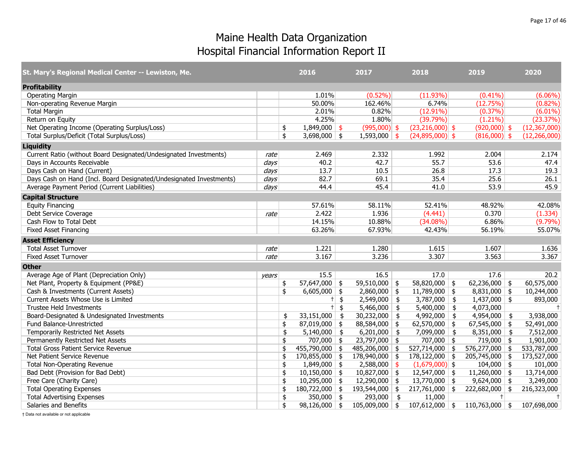| St. Mary's Regional Medical Center -- Lewiston, Me.                 |       | 2016                   | 2017                 |               | 2018              | 2019             |      | 2020           |
|---------------------------------------------------------------------|-------|------------------------|----------------------|---------------|-------------------|------------------|------|----------------|
| <b>Profitability</b>                                                |       |                        |                      |               |                   |                  |      |                |
| <b>Operating Margin</b>                                             |       | 1.01%                  | $(0.52\%)$           |               | (11.93%)          | $(0.41\%)$       |      | $(6.06\%)$     |
| Non-operating Revenue Margin                                        |       | 50.00%                 | 162.46%              |               | 6.74%             | (12.75%)         |      | $(0.82\%)$     |
| <b>Total Margin</b>                                                 |       | 2.01%                  | 0.82%                |               | $(12.91\%)$       | $(0.37\%)$       |      | $(6.01\%)$     |
| Return on Equity                                                    |       | 4.25%                  | 1.80%                |               | (39.79%)          | $(1.21\%)$       |      | (23.37%)       |
| Net Operating Income (Operating Surplus/Loss)                       |       | \$<br>$1,849,000$ \$   | $(995,000)$ \$       |               | $(23,216,000)$ \$ | $(920,000)$ \$   |      | (12, 367, 000) |
| Total Surplus/Deficit (Total Surplus/Loss)                          |       | \$<br>$3,698,000$ \$   | $1,593,000$ \$       |               | $(24,895,000)$ \$ | $(816,000)$ \$   |      | (12, 266, 000) |
| <b>Liquidity</b>                                                    |       |                        |                      |               |                   |                  |      |                |
| Current Ratio (without Board Designated/Undesignated Investments)   | rate  | 2.469                  | 2.332                |               | 1.992             | 2.004            |      | 2.174          |
| Days in Accounts Receivable                                         | days  | 40.2                   | 42.7                 |               | 55.7              | 53.6             |      | 47.4           |
| Days Cash on Hand (Current)                                         | days  | 13.7                   | 10.5                 |               | 26.8              | 17.3             |      | 19.3           |
| Days Cash on Hand (Incl. Board Designated/Undesignated Investments) | days  | 82.7                   | 69.1                 |               | 35.4              | 25.6             |      | 26.1           |
| Average Payment Period (Current Liabilities)                        | days  | 44.4                   | 45.4                 |               | 41.0              | 53.9             |      | 45.9           |
| <b>Capital Structure</b>                                            |       |                        |                      |               |                   |                  |      |                |
| <b>Equity Financing</b>                                             |       | 57.61%                 | 58.11%               |               | 52.41%            | 48.92%           |      | 42.08%         |
| Debt Service Coverage                                               | rate  | 2.422                  | 1.936                |               | (4.441)           | 0.370            |      | (1.334)        |
| Cash Flow to Total Debt                                             |       | 14.15%                 | 10.88%               |               | $(34.08\%)$       | 6.86%            |      | $(9.79\%)$     |
| <b>Fixed Asset Financing</b>                                        |       | 63.26%                 | 67.93%               |               | 42.43%            | 56.19%           |      | 55.07%         |
| <b>Asset Efficiency</b>                                             |       |                        |                      |               |                   |                  |      |                |
| <b>Total Asset Turnover</b>                                         | rate  | 1.221                  | 1.280                |               | 1.615             | 1.607            |      | 1.636          |
| <b>Fixed Asset Turnover</b>                                         | rate  | 3.167                  | 3.236                |               | 3.307             | 3.563            |      | 3.367          |
| <b>Other</b>                                                        |       |                        |                      |               |                   |                  |      |                |
| Average Age of Plant (Depreciation Only)                            | vears | 15.5                   | 16.5                 |               | 17.0              | 17.6             |      | 20.2           |
| Net Plant, Property & Equipment (PP&E)                              |       | \$<br>$57,647,000$ \$  | 59,510,000 \$        |               | $58,820,000$ \$   | 62,236,000 \$    |      | 60,575,000     |
| Cash & Investments (Current Assets)                                 |       | \$<br>$6,605,000$ \$   | $2,860,000$ \$       |               | $11,789,000$ \$   | $8,831,000$ \$   |      | 10,244,000     |
| Current Assets Whose Use is Limited                                 |       | $+$                    | \$<br>2,549,000      | $\frac{1}{2}$ | $3,787,000$ \$    | $1,437,000$ \$   |      | 893,000        |
| Trustee Held Investments                                            |       | $+$                    | \$<br>$5,466,000$ \$ |               | $5,400,000$ \$    | 4,073,000        |      | $\ddagger$     |
| Board-Designated & Undesignated Investments                         |       | \$<br>33,151,000       | \$<br>30,232,000     | \$            | $4,992,000$ \$    | 4,954,000        | - \$ | 3,938,000      |
| Fund Balance-Unrestricted                                           |       | \$<br>$87,019,000$ \$  | 88,584,000 \$        |               | $62,570,000$ \$   | $67,545,000$ \$  |      | 52,491,000     |
| Temporarily Restricted Net Assets                                   |       | \$<br>$5,140,000$ \$   | 6,201,000            | \$            | $7,099,000$ \$    | 8,351,000        | \$   | 7,512,000      |
| Permanently Restricted Net Assets                                   |       | \$<br>$707,000$ \$     | $23,797,000$ \$      |               | $707,000$ \$      | $719,000$ \$     |      | 1,901,000      |
| <b>Total Gross Patient Service Revenue</b>                          |       | \$<br>$455,790,000$ \$ | 485,206,000 \$       |               | 527,714,000 \$    | 576,277,000 \$   |      | 533,787,000    |
| Net Patient Service Revenue                                         |       | \$<br>$170,855,000$ \$ | $178,940,000$ \$     |               | $178,122,000$ \$  | $205,745,000$ \$ |      | 173,527,000    |
| <b>Total Non-Operating Revenue</b>                                  |       | \$<br>$1,849,000$ \$   | $2,588,000$ \$       |               | $(1,679,000)$ \$  | $104,000$ \$     |      | 101,000        |
| Bad Debt (Provision for Bad Debt)                                   |       | \$<br>$10,150,000$ \$  | $10,827,000$ \$      |               | $12,547,000$ \$   | $11,260,000$ \$  |      | 13,714,000     |
| Free Care (Charity Care)                                            |       | \$<br>$10,295,000$ \$  | $12,290,000$ \$      |               | $13,770,000$ \$   | 9,624,000        | \$   | 3,249,000      |
| <b>Total Operating Expenses</b>                                     |       | \$<br>$180,722,000$ \$ | 193,544,000 \$       |               | $217,761,000$ \$  | $222,682,000$ \$ |      | 216,323,000    |
| <b>Total Advertising Expenses</b>                                   |       | \$<br>350,000 \$       | 293,000              | $\frac{1}{2}$ | 11,000            | $+$              |      | $\ddagger$     |
| Salaries and Benefits                                               |       | \$<br>$98,126,000$ \$  | $105,009,000$ \$     |               | $107,612,000$ \$  | $110,763,000$ \$ |      | 107,698,000    |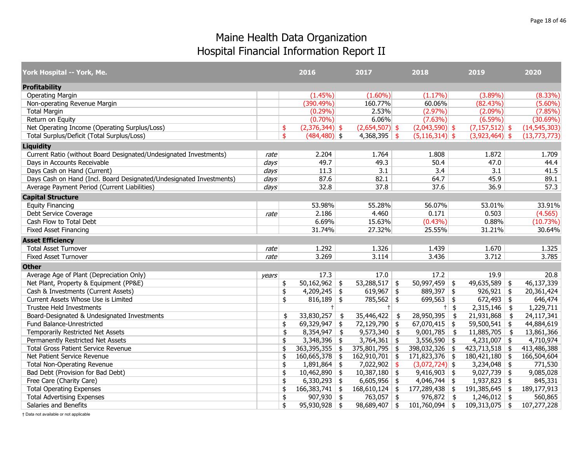| York Hospital -- York, Me.                                          |       | 2016                   |     | 2017             |               | 2018               |        | 2019                      | 2020             |
|---------------------------------------------------------------------|-------|------------------------|-----|------------------|---------------|--------------------|--------|---------------------------|------------------|
| <b>Profitability</b>                                                |       |                        |     |                  |               |                    |        |                           |                  |
| <b>Operating Margin</b>                                             |       | $(1.45\%)$             |     | $(1.60\%)$       |               | $(1.17\%)$         |        | $(3.89\%)$                | $(8.33\%)$       |
| Non-operating Revenue Margin                                        |       | (390.49%)              |     | 160.77%          |               | 60.06%             |        | (82.43%)                  | $(5.60\%)$       |
| <b>Total Margin</b>                                                 |       | $(0.29\%)$             |     | 2.53%            |               | $(2.97\%)$         |        | $(2.09\%)$                | (7.85%)          |
| Return on Equity                                                    |       | $(0.70\%)$             |     | 6.06%            |               | $(7.63\%)$         |        | $(6.59\%)$                | (30.69%)         |
| Net Operating Income (Operating Surplus/Loss)                       |       | $(2,376,344)$ \$<br>\$ |     | $(2,654,507)$ \$ |               | $(2,043,590)$ \$   |        | $(7,157,512)$ \$          | (14, 545, 303)   |
| Total Surplus/Deficit (Total Surplus/Loss)                          |       | \$<br>$(484, 480)$ \$  |     | $4,368,395$ \$   |               | $(5, 116, 314)$ \$ |        | $(3,923,464)$ \$          | (13,773,773)     |
| <b>Liquidity</b>                                                    |       |                        |     |                  |               |                    |        |                           |                  |
| Current Ratio (without Board Designated/Undesignated Investments)   | rate  | 2.204                  |     | 1.764            |               | 1.808              |        | 1.872                     | 1.709            |
| Days in Accounts Receivable                                         | days  | 49.7                   |     | 49.3             |               | 50.4               |        | 47.0                      | 44.4             |
| Days Cash on Hand (Current)                                         | days  | 11.3                   |     | 3.1              |               | 3.4                |        | 3.1                       | 41.5             |
| Days Cash on Hand (Incl. Board Designated/Undesignated Investments) | days  | 87.6                   |     | 82.1             |               | 64.7               |        | 45.9                      | 89.1             |
| Average Payment Period (Current Liabilities)                        | days  | 32.8                   |     | 37.8             |               | 37.6               |        | 36.9                      | 57.3             |
| <b>Capital Structure</b>                                            |       |                        |     |                  |               |                    |        |                           |                  |
| <b>Equity Financing</b>                                             |       | 53.98%                 |     | 55.28%           |               | 56.07%             |        | 53.01%                    | 33.91%           |
| Debt Service Coverage                                               | rate  | 2.186                  |     | 4.460            |               | 0.171              |        | 0.503                     | (4.565)          |
| Cash Flow to Total Debt                                             |       | 6.69%                  |     | 15.63%           |               | $(0.43\%)$         |        | 0.88%                     | (10.73%)         |
| <b>Fixed Asset Financing</b>                                        |       | 31.74%                 |     | 27.32%           |               | 25.55%             |        | 31.21%                    | 30.64%           |
| <b>Asset Efficiency</b>                                             |       |                        |     |                  |               |                    |        |                           |                  |
| <b>Total Asset Turnover</b>                                         | rate  | 1.292                  |     | 1.326            |               | 1.439              |        | 1.670                     | 1.325            |
| <b>Fixed Asset Turnover</b>                                         | rate  | 3.269                  |     | 3.114            |               | 3.436              |        | 3.712                     | 3.785            |
| <b>Other</b>                                                        |       |                        |     |                  |               |                    |        |                           |                  |
| Average Age of Plant (Depreciation Only)                            | years | 17.3                   |     | 17.0             |               | 17.2               |        | 19.9                      | 20.8             |
| Net Plant, Property & Equipment (PP&E)                              |       | $50,162,962$ \$<br>\$  |     | $53,288,517$ \$  |               | $50,997,459$ \$    |        | $49,635,589$ \$           | 46,137,339       |
| Cash & Investments (Current Assets)                                 |       | \$<br>$4,209,245$ \$   |     | 619,967          | \$            | $889,397$ \$       |        | $926,921$ \$              | 20,361,424       |
| Current Assets Whose Use is Limited                                 |       | \$<br>$816,189$ \$     |     | $785,562$ \$     |               | $699,563$ \$       |        | $672,493$ \$              | 646,474          |
| <b>Trustee Held Investments</b>                                     |       | $+$                    |     |                  |               |                    | $+$ \$ | $2,315,146$ \$            | 1,229,711        |
| Board-Designated & Undesignated Investments                         |       | 33,830,257<br>\$       | -\$ | 35,446,422       | $\frac{1}{2}$ | 28,950,395         | \$     | 21,931,868                | \$<br>24,117,341 |
| Fund Balance-Unrestricted                                           |       | 69,329,947<br>\$       | \$  | 72,129,790 \$    |               | $67,070,415$ \$    |        | $59,500,541$ \$           | 44,884,619       |
| Temporarily Restricted Net Assets                                   |       | \$<br>8,354,947        | \$  | 9,573,340        | \$            | 9,001,785          | \$     | $11,885,705$ \$           | 13,861,366       |
| Permanently Restricted Net Assets                                   |       | $3,348,396$ \$<br>\$   |     | $3,764,361$ \$   |               | $3,556,590$ \$     |        | $\overline{4,231,007}$ \$ | 4,710,974        |
| <b>Total Gross Patient Service Revenue</b>                          |       | \$<br>363,395,355      | \$  | 375,801,795      | \$            | 398,032,326 \$     |        | $423,713,518$ \$          | 413,486,388      |
| Net Patient Service Revenue                                         |       | \$<br>$160,665,378$ \$ |     | $162,910,701$ \$ |               | $171,823,376$ \$   |        | $180,421,180$ \$          | 166,504,604      |
| <b>Total Non-Operating Revenue</b>                                  |       | $1,891,864$ \$<br>\$   |     | 7,022,902        | \$            | $(3,072,724)$ \$   |        | $3,234,048$ \$            | 771,530          |
| Bad Debt (Provision for Bad Debt)                                   |       | $10,462,890$ \$<br>\$  |     | $10,387,180$ \$  |               | $9,416,903$ \$     |        | $9,027,739$ \$            | 9,085,028        |
| Free Care (Charity Care)                                            |       | \$<br>$6,330,293$ \$   |     | 6,605,956        | \$            | $4,046,744$ \$     |        | 1,937,823 \$              | 845,331          |
| <b>Total Operating Expenses</b>                                     |       | $166,383,741$ \$<br>\$ |     | $168,610,124$ \$ |               | 177,289,438 \$     |        | $191,385,645$ \$          | 189,177,913      |
| <b>Total Advertising Expenses</b>                                   |       | \$<br>$907,930$ \$     |     | $763,057$ \$     |               | $976,872$ \$       |        | $1,246,012$ \$            | 560,865          |
| Salaries and Benefits                                               |       | \$<br>$95,930,928$ \$  |     | $98,689,407$ \$  |               | $101,760,094$ \$   |        | $109,313,075$ \$          | 107,277,228      |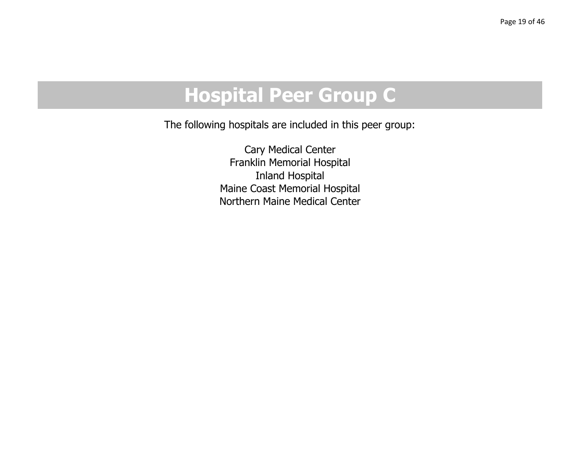# **Hospital Peer Group C**

The following hospitals are included in this peer group:

Cary Medical Center Franklin Memorial Hospital Inland Hospital Maine Coast Memorial Hospital Northern Maine Medical Center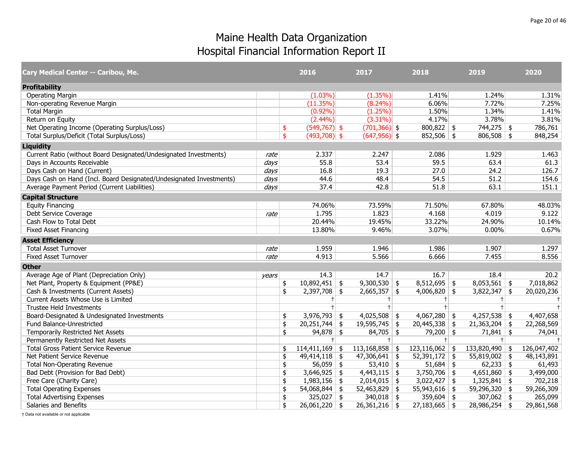| Cary Medical Center -- Caribou, Me.                                 |       | 2016                   | 2017                 |               | 2018                 | 2019            | 2020        |
|---------------------------------------------------------------------|-------|------------------------|----------------------|---------------|----------------------|-----------------|-------------|
| <b>Profitability</b>                                                |       |                        |                      |               |                      |                 |             |
| <b>Operating Margin</b>                                             |       | $(1.03\%)$             | $(1.35\%)$           |               | 1.41%                | 1.24%           | 1.31%       |
| Non-operating Revenue Margin                                        |       | (11.35%)               | $(8.24\%)$           |               | 6.06%                | 7.72%           | 7.25%       |
| <b>Total Margin</b>                                                 |       | $(0.92\%)$             | (1.25%)              |               | 1.50%                | 1.34%           | 1.41%       |
| Return on Equity                                                    |       | $(2.44\%)$             | $(3.31\%)$           |               | 4.17%                | 3.78%           | 3.81%       |
| Net Operating Income (Operating Surplus/Loss)                       |       | $(549, 767)$ \$<br>\$  | $(701, 366)$ \$      |               | $800,822$ \$         | $744,275$ \$    | 786,761     |
| Total Surplus/Deficit (Total Surplus/Loss)                          |       | \$<br>$(493,708)$ \$   | $(647,956)$ \$       |               | $852,506$ \$         | $806,508$ \$    | 848,254     |
| <b>Liquidity</b>                                                    |       |                        |                      |               |                      |                 |             |
| Current Ratio (without Board Designated/Undesignated Investments)   | rate  | 2.337                  | 2.247                |               | 2.086                | 1.929           | 1.463       |
| Days in Accounts Receivable                                         | days  | 55.8                   | 53.4                 |               | 59.5                 | 63.4            | 61.3        |
| Days Cash on Hand (Current)                                         | days  | 16.8                   | 19.3                 |               | 27.0                 | 24.2            | 126.7       |
| Days Cash on Hand (Incl. Board Designated/Undesignated Investments) | days  | 44.6                   | 48.4                 |               | 54.5                 | 51.2            | 154.6       |
| Average Payment Period (Current Liabilities)                        | days  | 37.4                   | 42.8                 |               | 51.8                 | 63.1            | 151.1       |
| <b>Capital Structure</b>                                            |       |                        |                      |               |                      |                 |             |
| <b>Equity Financing</b>                                             |       | 74.06%                 | 73.59%               |               | 71.50%               | 67.80%          | 48.03%      |
| Debt Service Coverage                                               | rate  | 1.795                  | 1.823                |               | 4.168                | 4.019           | 9.122       |
| Cash Flow to Total Debt                                             |       | 20.44%                 | 19.45%               |               | 33.22%               | 24.90%          | 10.14%      |
| <b>Fixed Asset Financing</b>                                        |       | 13.80%                 | 9.46%                |               | 3.07%                | 0.00%           | 0.67%       |
| <b>Asset Efficiency</b>                                             |       |                        |                      |               |                      |                 |             |
| <b>Total Asset Turnover</b>                                         | rate  | 1.959                  | 1.946                |               | 1.986                | 1.907           | 1.297       |
| <b>Fixed Asset Turnover</b>                                         | rate  | 4.913                  | 5.566                |               | 6.666                | 7.455           | 8.556       |
| <b>Other</b>                                                        |       |                        |                      |               |                      |                 |             |
| Average Age of Plant (Depreciation Only)                            | years | 14.3                   | 14.7                 |               | 16.7                 | 18.4            | 20.2        |
| Net Plant, Property & Equipment (PP&E)                              |       | $10,892,451$ \$<br>\$  | $9,300,530$ \$       |               | $8,512,695$ \$       | $8,053,561$ \$  | 7,018,862   |
| Cash & Investments (Current Assets)                                 |       | \$<br>$2,397,708$ \$   | $2,665,357$ \$       |               | $4,006,820$ \$       | $3,822,347$ \$  | 20,020,236  |
| Current Assets Whose Use is Limited                                 |       | $^{\dagger}$           | $+$                  |               | $\pm$                | $+$             | $\ddagger$  |
| Trustee Held Investments                                            |       | $\ddagger$             |                      |               | $\ddagger$           | $\ddagger$      | $\ddagger$  |
| Board-Designated & Undesignated Investments                         |       | $3,976,793$ \$<br>\$   | 4,025,508            | \$            | $4,067,280$ \$       | $4,257,538$ \$  | 4,407,658   |
| Fund Balance-Unrestricted                                           |       | $20,251,744$ \$<br>\$  | 19,595,745           | \$            | $20,445,338$ \$      | $21,363,204$ \$ | 22,268,569  |
| Temporarily Restricted Net Assets                                   |       | \$<br>$94,878$ \$      | 84,705               | $\frac{4}{5}$ | 79,200 \$            | $71,841$ \$     | 74,041      |
| Permanently Restricted Net Assets                                   |       | $+$                    | $^+$                 |               | $+$                  | $+$             |             |
| <b>Total Gross Patient Service Revenue</b>                          |       | $114,411,169$ \$<br>\$ | 113,168,858          | \$            | $123,116,062$ \$     | 133,820,490 \$  | 126,047,402 |
| Net Patient Service Revenue                                         |       | $49,414,118$ \$<br>\$  | $47,306,641$ \$      |               | $52,391,172$ \$      | $55,819,002$ \$ | 48,143,891  |
| <b>Total Non-Operating Revenue</b>                                  |       | $56,059$ \$<br>\$      | 53,410 $\frac{1}{2}$ |               | $51,684$ \$          | $62,233$ \$     | 61,493      |
| Bad Debt (Provision for Bad Debt)                                   |       | $3,646,925$ \$<br>\$   | $4,443,115$ \$       |               | 3,750,706 $\vert$ \$ | $4,651,860$ \$  | 3,499,000   |
| Free Care (Charity Care)                                            |       | \$<br>$1,983,156$ \$   | 2,014,015            | \$            | $3,022,427$ \$       | $1,325,841$ \$  | 702,218     |
| <b>Total Operating Expenses</b>                                     |       | $54,068,844$ \$<br>\$  | 52,463,829           | \$            | $55,943,616$ \$      | 59,296,320 \$   | 59,266,309  |
| <b>Total Advertising Expenses</b>                                   |       | \$<br>$325,027$ \$     | 340,018 \$           |               | $359,604$ \$         | 307,062 \$      | 265,099     |
| Salaries and Benefits                                               |       | \$<br>$26,061,220$ \$  | $26,361,216$ \$      |               | $27,183,665$ \$      | $28,986,254$ \$ | 29,861,568  |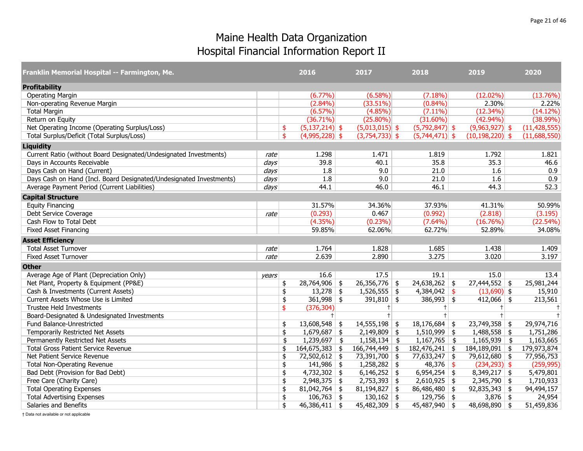| Franklin Memorial Hospital -- Farmington, Me.                       |                  | 2016                   | 2017                  | 2018                   | 2019                | 2020           |
|---------------------------------------------------------------------|------------------|------------------------|-----------------------|------------------------|---------------------|----------------|
| <b>Profitability</b>                                                |                  |                        |                       |                        |                     |                |
| <b>Operating Margin</b>                                             |                  | $(6.77\%)$             | $(6.58\%)$            | $(7.18\%)$             | $(12.02\%)$         | (13.76%)       |
| Non-operating Revenue Margin                                        |                  | $(2.84\%)$             | (33.51%)              | $(0.84\%)$             | 2.30%               | 2.22%          |
| <b>Total Margin</b>                                                 |                  | $(6.57\%)$             | $(4.85\%)$            | $(7.11\%)$             | (12.34%)            | (14.12%)       |
| Return on Equity                                                    |                  | $(36.71\%)$            | $(25.80\%)$           | $(31.60\%)$            | $(42.94\%)$         | $(38.99\%)$    |
| Net Operating Income (Operating Surplus/Loss)                       |                  | $(5,137,214)$ \$<br>\$ | $(5,013,015)$ \$      | $(5,792,847)$ \$       | $(9,963,927)$ \$    | (11, 428, 555) |
| Total Surplus/Deficit (Total Surplus/Loss)                          |                  | \$<br>$(4,995,228)$ \$ | $(3,754,733)$ \$      | $(5,744,471)$ \$       | $(10, 198, 220)$ \$ | (11,688,550)   |
| <b>Liquidity</b>                                                    |                  |                        |                       |                        |                     |                |
| Current Ratio (without Board Designated/Undesignated Investments)   | rate             | 1.298                  | 1.471                 | 1.819                  | 1.792               | 1.821          |
| Days in Accounts Receivable                                         | $\frac{days}{ }$ | 39.8                   | 40.1                  | 35.8                   | 35.3                | 46.6           |
| Days Cash on Hand (Current)                                         | days             | 1.8                    | 9.0                   | 21.0                   | 1.6                 | 0.9            |
| Days Cash on Hand (Incl. Board Designated/Undesignated Investments) | days             | 1.8                    | 9.0                   | 21.0                   | 1.6                 | 0.9            |
| Average Payment Period (Current Liabilities)                        | days             | 44.1                   | 46.0                  | 46.1                   | 44.3                | 52.3           |
| <b>Capital Structure</b>                                            |                  |                        |                       |                        |                     |                |
| <b>Equity Financing</b>                                             |                  | 31.57%                 | 34.36%                | 37.93%                 | 41.31%              | 50.99%         |
| Debt Service Coverage                                               | rate             | (0.293)                | 0.467                 | (0.992)                | (2.818)             | (3.195)        |
| Cash Flow to Total Debt                                             |                  | $(4.35\%)$             | $(0.23\%)$            | $(7.64\%)$             | (16.76%)            | $(22.54\%)$    |
| <b>Fixed Asset Financing</b>                                        |                  | 59.85%                 | 62.06%                | 62.72%                 | 52.89%              | 34.08%         |
| <b>Asset Efficiency</b>                                             |                  |                        |                       |                        |                     |                |
| <b>Total Asset Turnover</b>                                         | rate             | 1.764                  | 1.828                 | 1.685                  | 1.438               | 1.409          |
| <b>Fixed Asset Turnover</b>                                         | rate             | 2.639                  | 2.890                 | 3.275                  | 3.020               | 3.197          |
| <b>Other</b>                                                        |                  |                        |                       |                        |                     |                |
| Average Age of Plant (Depreciation Only)                            | years            | 16.6                   | 17.5                  | 19.1                   | 15.0                | 13.4           |
| Net Plant, Property & Equipment (PP&E)                              |                  | $28,764,906$ \$<br>\$  | $26,356,776$ \$       | $24,638,262$ \$        | $27,444,552$ \$     | 25,981,244     |
| Cash & Investments (Current Assets)                                 |                  | $13,278$ \$<br>\$      | $1,526,555$ \$        | $4,384,042$ \$         | $(13,690)$ \$       | 15,910         |
| Current Assets Whose Use is Limited                                 |                  | $361,998$ \$<br>\$     | 391,810 $\frac{1}{5}$ | $386,993$ \$           | $412,066$ \$        | 213,561        |
| <b>Trustee Held Investments</b>                                     |                  | (376, 304)<br>\$       | $+$                   | $\pm$                  | $+$                 | $\ddagger$     |
| Board-Designated & Undesignated Investments                         |                  | $+$                    | $\ddagger$            | $\ddagger$             | $+$                 | $\ddagger$     |
| Fund Balance-Unrestricted                                           |                  | $13,608,548$ \$<br>\$  | $14,555,198$ \$       | $18,176,684$ \$        | $23,749,358$ \$     | 29,974,716     |
| Temporarily Restricted Net Assets                                   |                  | \$<br>$1,679,687$ \$   | $2,149,809$ \$        | $1,510,999$ \$         | $1,488,558$ \$      | 1,751,286      |
| Permanently Restricted Net Assets                                   |                  | $1,239,697$ \$<br>\$   | $1,158,134$ \$        | $\boxed{1,167,765}$ \$ | $1,165,939$ \$      | 1,163,665      |
| <b>Total Gross Patient Service Revenue</b>                          |                  | $164,675,383$ \$<br>\$ | 166,744,449           | $182,476,241$ \$<br>\$ | $184, 189, 091$ \$  | 179,973,874    |
| Net Patient Service Revenue                                         |                  | \$<br>72,502,612 \$    | 73,391,700 \$         | $77,633,247$ \$        | 79,612,680 \$       | 77,956,753     |
| <b>Total Non-Operating Revenue</b>                                  |                  | $141,986$ \$<br>\$     | 1,258,282             | $48,376$ \$<br>\$      | $(234, 293)$ \$     | (259, 995)     |
| Bad Debt (Provision for Bad Debt)                                   |                  | $4,732,302$ \$<br>\$   | $6,146,252$ \$        | $6,954,254$ \$         | $8,349,217$ \$      | 5,479,801      |
| Free Care (Charity Care)                                            |                  | \$<br>$2,948,375$ \$   | $2,753,393$ \$        | $2,610,925$ \$         | $2,345,790$ \$      | 1,710,933      |
| <b>Total Operating Expenses</b>                                     |                  | $81,042,764$ \$<br>\$  | 81,194,827            | 86,486,480 \$<br>\$    | $92,835,343$ \$     | 94,494,157     |
| <b>Total Advertising Expenses</b>                                   |                  | \$<br>$106,763$ \$     | $130,162$ \$          | $129,756$ \$           | $3,876$ \$          | 24,954         |
| Salaries and Benefits                                               |                  | \$<br>$46,386,411$ \$  | $45,482,309$ \$       | $45,487,940$ \$        | 48,698,890 \$       | 51,459,836     |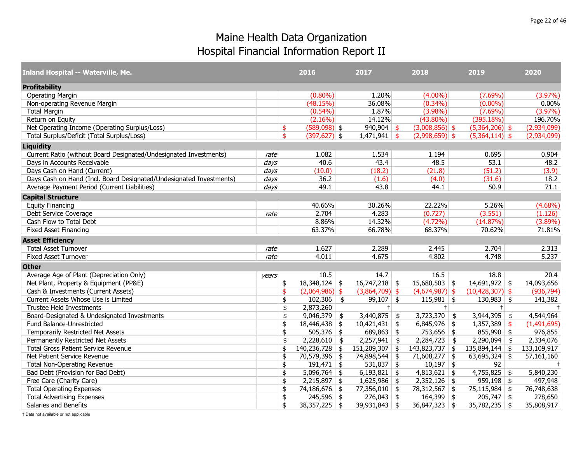| <b>Inland Hospital -- Waterville, Me.</b>                           |         | 2016                   |               | 2017             | 2018                 |               | 2019                | 2020        |
|---------------------------------------------------------------------|---------|------------------------|---------------|------------------|----------------------|---------------|---------------------|-------------|
| <b>Profitability</b>                                                |         |                        |               |                  |                      |               |                     |             |
| <b>Operating Margin</b>                                             |         | $(0.80\%)$             |               | 1.20%            | $(4.00\%)$           |               | $(7.69\%)$          | $(3.97\%)$  |
| Non-operating Revenue Margin                                        |         | (48.15%)               |               | 36.08%           | $(0.34\%)$           |               | $(0.00\%)$          | 0.00%       |
| <b>Total Margin</b>                                                 |         | $(0.54\%)$             |               | 1.87%            | $(3.98\%)$           |               | $(7.69\%)$          | (3.97%)     |
| Return on Equity                                                    |         | $(2.16\%)$             |               | 14.12%           | $(43.80\%)$          |               | (395.18%)           | 196.70%     |
| Net Operating Income (Operating Surplus/Loss)                       |         | \$<br>$(589,098)$ \$   |               | $940,904$ \$     | $(3,008,856)$ \$     |               | $(5,364,206)$ \$    | (2,934,099) |
| Total Surplus/Deficit (Total Surplus/Loss)                          |         | \$<br>$(397, 627)$ \$  |               | $1,471,941$ \$   | $(2,998,659)$ \$     |               | $(5,364,114)$ \$    | (2,934,099) |
| <b>Liquidity</b>                                                    |         |                        |               |                  |                      |               |                     |             |
| Current Ratio (without Board Designated/Undesignated Investments)   | rate    | 1.082                  |               | 1.534            | 1.194                |               | 0.695               | 0.904       |
| Days in Accounts Receivable                                         | days    | 40.6                   |               | 43.4             | 48.5                 |               | 53.1                | 48.2        |
| Days Cash on Hand (Current)                                         | $d$ avs | (10.0)                 |               | (18.2)           | (21.8)               |               | (51.2)              | (3.9)       |
| Days Cash on Hand (Incl. Board Designated/Undesignated Investments) | days    | 36.2                   |               | (1.6)            | (4.0)                |               | (31.6)              | 18.2        |
| Average Payment Period (Current Liabilities)                        | days    | 49.1                   |               | 43.8             | 44.1                 |               | 50.9                | 71.1        |
| <b>Capital Structure</b>                                            |         |                        |               |                  |                      |               |                     |             |
| <b>Equity Financing</b>                                             |         | 40.66%                 |               | 30.26%           | 22.22%               |               | 5.26%               | $(4.68\%)$  |
| Debt Service Coverage                                               | rate    | 2.704                  |               | 4.283            | (0.727)              |               | (3.551)             | (1.126)     |
| Cash Flow to Total Debt                                             |         | 8.86%                  |               | 14.32%           | $(4.72\%)$           |               | (14.87%)            | $(3.89\%)$  |
| <b>Fixed Asset Financing</b>                                        |         | 63.37%                 |               | 66.78%           | 68.37%               |               | 70.62%              | 71.81%      |
| <b>Asset Efficiency</b>                                             |         |                        |               |                  |                      |               |                     |             |
| <b>Total Asset Turnover</b>                                         | rate    | 1.627                  |               | 2.289            | 2.445                |               | 2.704               | 2.313       |
| <b>Fixed Asset Turnover</b>                                         | rate    | 4.011                  |               | 4.675            | 4.802                |               | 4.748               | 5.237       |
| <b>Other</b>                                                        |         |                        |               |                  |                      |               |                     |             |
| Average Age of Plant (Depreciation Only)                            | years   | 10.5                   |               | 14.7             | 16.5                 |               | 18.8                | 20.4        |
| Net Plant, Property & Equipment (PP&E)                              |         | \$<br>$18,348,124$ \$  |               | $16,747,218$ \$  | $15,680,503$ \$      |               | $14,691,972$ \$     | 14,093,656  |
| Cash & Investments (Current Assets)                                 |         | \$<br>$(2,064,986)$ \$ |               | $(3,864,709)$ \$ | $(4,674,987)$ \$     |               | $(10, 428, 307)$ \$ | (936, 794)  |
| Current Assets Whose Use is Limited                                 |         | \$<br>102,306          | $\frac{1}{2}$ | 99,107 \$        | $115,981$ \$         |               | $130,983$ \$        | 141,382     |
| <b>Trustee Held Investments</b>                                     |         | \$<br>2,873,260        |               | $+$              | $+$                  |               | $+$                 | $+$         |
| Board-Designated & Undesignated Investments                         |         | \$<br>9,046,379        | -\$           | $3,440,875$ \$   | 3,723,370            | $\frac{1}{2}$ | $3,944,395$ \$      | 4,544,964   |
| Fund Balance-Unrestricted                                           |         | \$<br>$18,446,438$ \$  |               | $10,421,431$ \$  | $6,845,976$ \$       |               | $1,357,389$ \$      | (1,491,695) |
| Temporarily Restricted Net Assets                                   |         | \$<br>$505,376$ \$     |               | $689,863$ \$     | 753,656 \$           |               | $855,990$ \$        | 976,855     |
| Permanently Restricted Net Assets                                   |         | \$<br>$2,228,610$ \$   |               | $2,257,941$ \$   | $2,284,723$ \$       |               | $2,290,094$ \$      | 2,334,076   |
| <b>Total Gross Patient Service Revenue</b>                          |         | \$<br>140,236,728      | \$            | 151,209,307      | \$<br>143,823,737 \$ |               | $135,894,144$ \$    | 133,109,917 |
| Net Patient Service Revenue                                         |         | \$<br>70,579,396 \$    |               | 74,898,544 \$    | $71,608,277$ \$      |               | $63,695,324$ \$     | 57,161,160  |
| <b>Total Non-Operating Revenue</b>                                  |         | \$<br>$191,471$ \$     |               | $531,037$ \$     | $10,197$ \$          |               | 92                  | $+$         |
| Bad Debt (Provision for Bad Debt)                                   |         | \$<br>$5,096,764$ \$   |               | $6,193,821$ \$   | $4,813,621$ \$       |               | $4,755,825$ \$      | 5,840,230   |
| Free Care (Charity Care)                                            |         | \$<br>$2,215,897$ \$   |               | $1,625,986$ \$   | $2,352,126$ \$       |               | $959,198$ \$        | 497,948     |
| <b>Total Operating Expenses</b>                                     |         | \$<br>74,186,676 \$    |               | $77,356,010$ \$  | 78,312,567 \$        |               | $75,115,984$ \$     | 76,748,638  |
| <b>Total Advertising Expenses</b>                                   |         | \$<br>$245,596$ \$     |               | $276,043$ \$     | $164,399$ \$         |               | $205,747$ \$        | 278,650     |
| Salaries and Benefits                                               |         | \$<br>$38,357,225$ \$  |               | $39,931,843$ \$  | $36,847,323$ \$      |               | $35,782,235$ \$     | 35,808,917  |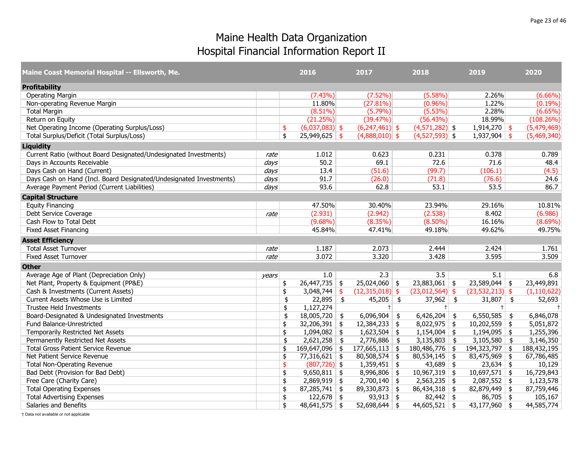| Maine Coast Memorial Hospital -- Ellsworth, Me.                     |       | 2016                             |               | 2017              |               | 2018              | 2019                      | 2020           |
|---------------------------------------------------------------------|-------|----------------------------------|---------------|-------------------|---------------|-------------------|---------------------------|----------------|
| <b>Profitability</b>                                                |       |                                  |               |                   |               |                   |                           |                |
| <b>Operating Margin</b>                                             |       | (7.43%)                          |               | $(7.52\%)$        |               | $(5.58\%)$        | 2.26%                     | $(6.66\%)$     |
| Non-operating Revenue Margin                                        |       | 11.80%                           |               | (27.81%)          |               | $(0.96\%)$        | 1.22%                     | $(0.19\%)$     |
| <b>Total Margin</b>                                                 |       | $(8.51\%)$                       |               | (5.79%)           |               | (5.53%)           | 2.28%                     | (6.65%)        |
| Return on Equity                                                    |       | (21.25%)                         |               | (39.47%)          |               | (56.43%)          | 18.99%                    | (108.26%)      |
| Net Operating Income (Operating Surplus/Loss)                       |       | \$<br>$(6,037,083)$ \$           |               | $(6,247,461)$ \$  |               | $(4,571,282)$ \$  | $1,914,270$ \$            | (5,479,469)    |
| Total Surplus/Deficit (Total Surplus/Loss)                          |       | \$<br>$25,949,625$ \$            |               | $(4,888,010)$ \$  |               | $(4,527,593)$ \$  | $1,937,904$ \$            | (5,469,340)    |
| <b>Liquidity</b>                                                    |       |                                  |               |                   |               |                   |                           |                |
| Current Ratio (without Board Designated/Undesignated Investments)   | rate  | 1.012                            |               | 0.623             |               | 0.231             | 0.378                     | 0.789          |
| Days in Accounts Receivable                                         | days  | 50.2                             |               | 69.1              |               | 72.6              | 71.6                      | 48.4           |
| Days Cash on Hand (Current)                                         | days  | 13.4                             |               | (51.6)            |               | (99.7)            | (106.1)                   | (4.5)          |
| Days Cash on Hand (Incl. Board Designated/Undesignated Investments) | days  | 91.7                             |               | (26.0)            |               | (71.8)            | (76.6)                    | 24.6           |
| Average Payment Period (Current Liabilities)                        | days  | 93.6                             |               | 62.8              |               | 53.1              | 53.5                      | 86.7           |
| <b>Capital Structure</b>                                            |       |                                  |               |                   |               |                   |                           |                |
| <b>Equity Financing</b>                                             |       | 47.50%                           |               | 30.40%            |               | 23.94%            | 29.16%                    | 10.81%         |
| Debt Service Coverage                                               | rate  | (2.931)                          |               | (2.942)           |               | (2.538)           | 8.402                     | (6.986)        |
| Cash Flow to Total Debt                                             |       | $(9.68\%)$                       |               | $(8.35\%)$        |               | $(8.50\%)$        | 16.16%                    | $(8.69\%)$     |
| <b>Fixed Asset Financing</b>                                        |       | 45.84%                           |               | 47.41%            |               | 49.18%            | 49.62%                    | 49.75%         |
| <b>Asset Efficiency</b>                                             |       |                                  |               |                   |               |                   |                           |                |
| <b>Total Asset Turnover</b>                                         | rate  | 1.187                            |               | 2.073             |               | 2.444             | 2.424                     | 1.761          |
| <b>Fixed Asset Turnover</b>                                         | rate  | 3.072                            |               | 3.320             |               | 3.428             | 3.595                     | 3.509          |
| <b>Other</b>                                                        |       |                                  |               |                   |               |                   |                           |                |
| Average Age of Plant (Depreciation Only)                            | years | 1.0                              |               | 2.3               |               | 3.5               | 5.1                       | 6.8            |
| Net Plant, Property & Equipment (PP&E)                              |       | \$<br>$\overline{26,447,735}$ \$ |               | $25,024,060$ \$   |               | $23,883,061$ \$   | $23,589,044$ \$           | 23,449,891     |
| Cash & Investments (Current Assets)                                 |       | \$<br>3,048,744                  | \$            | $(12,315,018)$ \$ |               | $(23,012,564)$ \$ | $(23, 532, 213)$ \$       | (1, 110, 622)  |
| Current Assets Whose Use is Limited                                 |       | \$<br>22,895                     | $\frac{1}{2}$ | $45,205$ \$       |               | 37,962 \$         | 31,807 \$                 | 52,693         |
| <b>Trustee Held Investments</b>                                     |       | \$<br>1,127,274                  |               | $+ $              |               | $+$               | $+$                       | $\overline{1}$ |
| Board-Designated & Undesignated Investments                         |       | \$<br>18,005,720                 | \$            | 6,096,904         | $\frac{1}{2}$ | $6,426,204$ \$    | $6,550,585$ \$            | 6,846,078      |
| Fund Balance-Unrestricted                                           |       | \$<br>$32,206,391$ \$            |               | $12,384,233$ \$   |               | $8,022,975$ \$    | $10,202,559$ \$           | 5,051,872      |
| Temporarily Restricted Net Assets                                   |       | \$<br>1,094,082                  | $\frac{4}{5}$ | 1,623,504         | \$            | $1,154,004$ \$    | $1,194,095$ \$            | 1,255,396      |
| Permanently Restricted Net Assets                                   |       | \$<br>2,621,258                  | \$            | $2,776,886$ \$    |               | $3,135,803$ \$    | $\overline{3,105,580}$ \$ | 3,146,350      |
| <b>Total Gross Patient Service Revenue</b>                          |       | \$<br>169,647,096                | \$            | 177,665,113       | \$            | 180,486,776 \$    | 194,323,797 \$            | 188,432,195    |
| Net Patient Service Revenue                                         |       | \$<br>$77,316,621$ \$            |               | $80,508,574$ \$   |               | $80,534,145$ \$   | $83,475,969$ \$           | 67,786,485     |
| <b>Total Non-Operating Revenue</b>                                  |       | \$<br>$(807, 726)$ \$            |               | $1,359,451$ \$    |               | $43,689$ \$       | $23,634$ \$               | 10,129         |
| Bad Debt (Provision for Bad Debt)                                   |       | \$<br>$9,650,811$ \$             |               | $8,996,806$ \$    |               | $10,967,319$ \$   | $10,697,571$ \$           | 16,729,843     |
| Free Care (Charity Care)                                            |       | \$<br>2,869,919                  | \$            | $2,700,140$ \$    |               | $2,563,235$ \$    | $2,087,552$ \$            | 1,123,578      |
| <b>Total Operating Expenses</b>                                     |       | \$<br>$87,285,741$ \$            |               | $89,330,873$ \$   |               | $86,434,318$ \$   | $82,879,449$ \$           | 87,759,446     |
| <b>Total Advertising Expenses</b>                                   |       | \$<br>$122,678$ \$               |               | $93,913$ \$       |               | $82,442$ \$       | $86,705$ \$               | 105,167        |
| Salaries and Benefits                                               |       | \$<br>$48,641,575$ \$            |               | $52,698,644$ \$   |               | $44,605,521$ \$   | $43,177,960$ \$           | 44,585,774     |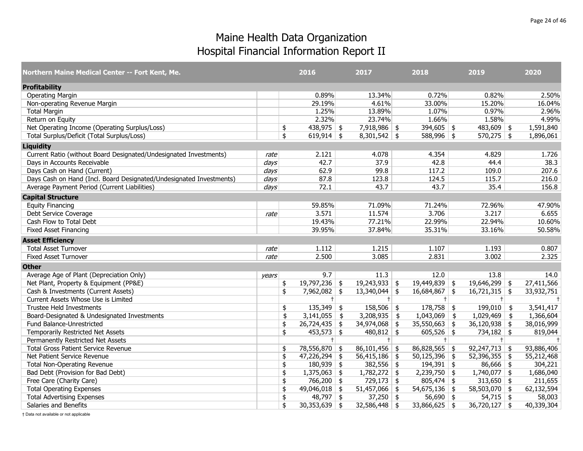| Northern Maine Medical Center -- Fort Kent, Me.                     |                  | 2016                            |               | 2017            | 2018                 | 2019                  | 2020       |
|---------------------------------------------------------------------|------------------|---------------------------------|---------------|-----------------|----------------------|-----------------------|------------|
| <b>Profitability</b>                                                |                  |                                 |               |                 |                      |                       |            |
| <b>Operating Margin</b>                                             |                  | 0.89%                           |               | 13.34%          | 0.72%                | 0.82%                 | 2.50%      |
| Non-operating Revenue Margin                                        |                  | 29.19%                          |               | 4.61%           | 33.00%               | 15.20%                | 16.04%     |
| <b>Total Margin</b>                                                 |                  | 1.25%                           |               | 13.89%          | 1.07%                | 0.97%                 | 2.96%      |
| Return on Equity                                                    |                  | 2.32%                           |               | 23.74%          | 1.66%                | 1.58%                 | 4.99%      |
| Net Operating Income (Operating Surplus/Loss)                       |                  | \$<br>$438,975$ \$              |               | $7,918,986$ \$  | $394,605$ \$         | $483,609$ \$          | 1,591,840  |
| Total Surplus/Deficit (Total Surplus/Loss)                          |                  | \$<br>619,914 \\$               |               | $8,301,542$ \$  | $588,996$ \$         | $570,275$ \$          | 1,896,061  |
| <b>Liquidity</b>                                                    |                  |                                 |               |                 |                      |                       |            |
| Current Ratio (without Board Designated/Undesignated Investments)   | rate             | 2.121                           |               | 4.078           | 4.354                | 4.829                 | 1.726      |
| Days in Accounts Receivable                                         | $\frac{days}{ }$ | 42.7                            |               | 37.9            | 42.8                 | 44.4                  | 38.3       |
| Days Cash on Hand (Current)                                         | days             | 62.9                            |               | 99.8            | 117.2                | 109.0                 | 207.6      |
| Days Cash on Hand (Incl. Board Designated/Undesignated Investments) | days             | 87.8                            |               | 123.8           | 124.5                | 115.7                 | 216.0      |
| Average Payment Period (Current Liabilities)                        | days             | 72.1                            |               | 43.7            | 43.7                 | 35.4                  | 156.8      |
| <b>Capital Structure</b>                                            |                  |                                 |               |                 |                      |                       |            |
| <b>Equity Financing</b>                                             |                  | 59.85%                          |               | 71.09%          | 71.24%               | 72.96%                | 47.90%     |
| Debt Service Coverage                                               | rate             | 3.571                           |               | 11.574          | 3.706                | 3.217                 | 6.655      |
| Cash Flow to Total Debt                                             |                  | 19.43%                          |               | 77.21%          | 22.99%               | 22.94%                | 10.60%     |
| <b>Fixed Asset Financing</b>                                        |                  | 39.95%                          |               | 37.84%          | 35.31%               | 33.16%                | 50.58%     |
| <b>Asset Efficiency</b>                                             |                  |                                 |               |                 |                      |                       |            |
| <b>Total Asset Turnover</b>                                         | rate             | 1.112                           |               | 1.215           | 1.107                | 1.193                 | 0.807      |
| <b>Fixed Asset Turnover</b>                                         | rate             | 2.500                           |               | 3.085           | 2.831                | 3.002                 | 2.325      |
| <b>Other</b>                                                        |                  |                                 |               |                 |                      |                       |            |
| Average Age of Plant (Depreciation Only)                            | years            | 9.7                             |               | 11.3            | 12.0                 | 13.8                  | 14.0       |
| Net Plant, Property & Equipment (PP&E)                              |                  | \$<br>$19,797,236$ \$           |               | $19,243,933$ \$ | $19,449,839$ \$      | $19,646,299$ \$       | 27,411,566 |
| Cash & Investments (Current Assets)                                 |                  | \$<br>7,962,082   \$            |               | $13,340,044$ \$ | $16,684,867$ \$      | $16,721,315$ \$       | 33,932,751 |
| Current Assets Whose Use is Limited                                 |                  | $+$                             |               | $+$             | $+$                  | $+$                   | $\pm$      |
| Trustee Held Investments                                            |                  | \$<br>$135,349$ \$              |               | $158,506$ \$    | $178,758$ \$         | $199,010$ \$          | 3,541,417  |
| Board-Designated & Undesignated Investments                         |                  | \$<br>3,141,055                 | $\frac{1}{2}$ | 3,208,935       | \$<br>$1,043,069$ \$ | $1,029,469$ \$        | 1,366,604  |
| Fund Balance-Unrestricted                                           |                  | \$<br>$26,724,435$ \$           |               | $34,974,068$ \$ | $35,550,663$ \$      | $36,120,938$ \$       | 38,016,999 |
| Temporarily Restricted Net Assets                                   |                  | \$<br>$453,573$ \$              |               | $480,812$ \$    | $605,526$ \$         | $734,182$ \$          | 819,044    |
| Permanently Restricted Net Assets                                   |                  | $\pm$                           |               | $+$             | $+ $                 | $+$                   |            |
| <b>Total Gross Patient Service Revenue</b>                          |                  | \$<br>78,556,870 \$             |               | $86,101,456$ \$ | $86,828,565$ \$      | $92,247,713$ \$       | 93,886,406 |
| Net Patient Service Revenue                                         |                  | \$<br>$47,226,294$ \$           |               | $56,415,186$ \$ | $50,125,396$ \$      | $52,396,355$ \$       | 55,212,468 |
| <b>Total Non-Operating Revenue</b>                                  |                  | \$<br>$180,939$ \$              |               | $382,556$ \$    | $194,391$ \$         | $86,666$ \$           | 304,221    |
| Bad Debt (Provision for Bad Debt)                                   |                  | \$<br>$\overline{1,375,063}$ \$ |               | $1,782,272$ \$  | $2,239,750$ \$       | $1,740,077$ \$        | 1,686,040  |
| Free Care (Charity Care)                                            |                  | \$<br>$766,200$ \$              |               | $729,173$ \$    | $805,474$ \$         | 313,650 $\frac{1}{2}$ | 211,655    |
| <b>Total Operating Expenses</b>                                     |                  | \$<br>49,046,018 \$             |               | $51,457,066$ \$ | $54,675,136$ \$      | $58,503,070$ \$       | 62,132,594 |
| <b>Total Advertising Expenses</b>                                   |                  | \$<br>$48,797$ \$               |               | $37,250$ \$     | 56,690 $\frac{1}{2}$ | $54,715$ \$           | 58,003     |
| Salaries and Benefits                                               |                  | \$<br>$30,353,639$ \$           |               | $32,586,448$ \$ | $33,866,625$ \$      | $36,720,127$ \$       | 40,339,304 |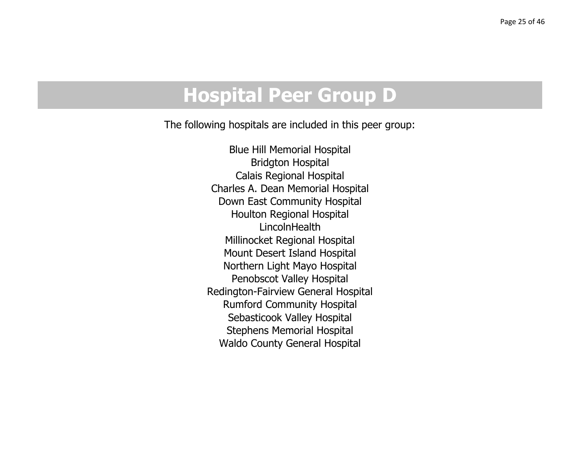## **Hospital Peer Group D**

The following hospitals are included in this peer group:

Blue Hill Memorial Hospital Bridgton Hospital Calais Regional Hospital Charles A. Dean Memorial Hospital Down East Community Hospital Houlton Regional Hospital LincolnHealthMillinocket Regional Hospital Mount Desert Island Hospital Northern Light Mayo Hospital Penobscot Valley Hospital Redington-Fairview General Hospital Rumford Community Hospital Sebasticook Valley Hospital Stephens Memorial Hospital Waldo County General Hospital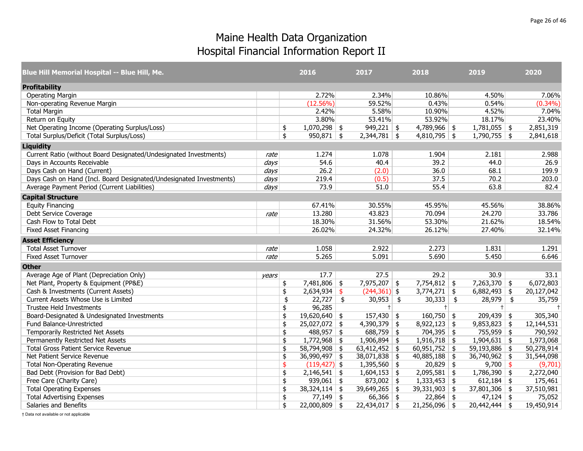| Blue Hill Memorial Hospital -- Blue Hill, Me.                       |       | 2016                  | 2017            | 2018                  |            | 2019            | 2020       |
|---------------------------------------------------------------------|-------|-----------------------|-----------------|-----------------------|------------|-----------------|------------|
| <b>Profitability</b>                                                |       |                       |                 |                       |            |                 |            |
| <b>Operating Margin</b>                                             |       | 2.72%                 | 2.34%           | 10.86%                |            | 4.50%           | 7.06%      |
| Non-operating Revenue Margin                                        |       | (12.56%)              | 59.52%          | 0.43%                 |            | 0.54%           | $(0.34\%)$ |
| <b>Total Margin</b>                                                 |       | 2.42%                 | 5.58%           | 10.90%                |            | 4.52%           | 7.04%      |
| Return on Equity                                                    |       | 3.80%                 | 53.41%          | 53.92%                |            | 18.17%          | 23.40%     |
| Net Operating Income (Operating Surplus/Loss)                       |       | \$<br>$1,070,298$ \$  | $949,221$ \$    | $4,789,966$ \$        |            | $1,781,055$ \$  | 2,851,319  |
| Total Surplus/Deficit (Total Surplus/Loss)                          |       | \$<br>$950,871$ \$    | $2,344,781$ \$  | $4,810,795$ \$        |            | $1,790,755$ \$  | 2,841,618  |
| <b>Liquidity</b>                                                    |       |                       |                 |                       |            |                 |            |
| Current Ratio (without Board Designated/Undesignated Investments)   | rate  | 1.274                 | 1.078           | 1.904                 |            | 2.181           | 2.988      |
| Days in Accounts Receivable                                         | days  | 54.6                  | 40.4            | 39.2                  |            | 44.0            | 26.9       |
| Days Cash on Hand (Current)                                         | days  | 26.2                  | (2.0)           | 36.0                  |            | 68.1            | 199.9      |
| Days Cash on Hand (Incl. Board Designated/Undesignated Investments) | days  | 219.4                 | (0.5)           | 37.5                  |            | 70.2            | 203.0      |
| Average Payment Period (Current Liabilities)                        | days  | 73.9                  | 51.0            | 55.4                  |            | 63.8            | 82.4       |
| <b>Capital Structure</b>                                            |       |                       |                 |                       |            |                 |            |
| <b>Equity Financing</b>                                             |       | 67.41%                | 30.55%          | 45.95%                |            | 45.56%          | 38.86%     |
| Debt Service Coverage                                               | rate  | 13.280                | 43.823          | 70.094                |            | 24.270          | 33.786     |
| Cash Flow to Total Debt                                             |       | 18.30%                | 31.56%          | 53.30%                |            | 21.62%          | 18.54%     |
| <b>Fixed Asset Financing</b>                                        |       | 26.02%                | 24.32%          | 26.12%                |            | 27.40%          | 32.14%     |
| <b>Asset Efficiency</b>                                             |       |                       |                 |                       |            |                 |            |
| <b>Total Asset Turnover</b>                                         | rate  | 1.058                 | 2.922           | 2.273                 |            | 1.831           | 1.291      |
| <b>Fixed Asset Turnover</b>                                         | rate  | 5.265                 | 5.091           | 5.690                 |            | 5.450           | 6.646      |
| <b>Other</b>                                                        |       |                       |                 |                       |            |                 |            |
| Average Age of Plant (Depreciation Only)                            | years | 17.7                  | 27.5            | 29.2                  |            | 30.9            | 33.1       |
| Net Plant, Property & Equipment (PP&E)                              |       | \$<br>$7,481,806$ \$  | 7,975,207 \$    | $7,754,812$ \$        |            | $7,263,370$ \$  | 6,072,803  |
| Cash & Investments (Current Assets)                                 |       | \$<br>$2,634,934$ \$  | $(244, 361)$ \$ | $3,774,271$ \$        |            | $6,882,493$ \$  | 20,127,042 |
| Current Assets Whose Use is Limited                                 |       | \$<br>$22,727$ \$     | $30,953$ \$     | 30,333                | $\sqrt{5}$ | $28,979$ \$     | 35,759     |
| Trustee Held Investments                                            |       | \$<br>96,285          |                 | $^{+}$                |            | $+$             |            |
| Board-Designated & Undesignated Investments                         |       | \$<br>$19,620,640$ \$ | $157,430$ \$    | $160,750$ \$          |            | $209,439$ \$    | 305,340    |
| Fund Balance-Unrestricted                                           |       | \$<br>$25,027,072$ \$ | $4,390,379$ \$  | $8,922,123$ \$        |            | $9,853,823$ \$  | 12,144,531 |
| Temporarily Restricted Net Assets                                   |       | \$<br>$488,957$ \$    | $688,759$ \$    | $704,395$ \$          |            | $755,959$ \$    | 790,592    |
| Permanently Restricted Net Assets                                   |       | \$<br>$1,772,968$ \$  | $1,906,894$ \$  | $1,916,718$ \$        |            | $1,904,631$ \$  | 1,973,068  |
| <b>Total Gross Patient Service Revenue</b>                          |       | \$<br>58,794,908 \$   | 63,412,452      | \$<br>$60,951,752$ \$ |            | 59,193,886 \$   | 50,278,914 |
| Net Patient Service Revenue                                         |       | \$<br>$36,990,497$ \$ | $38,071,838$ \$ | $40,885,188$ \$       |            | $36,740,962$ \$ | 31,544,098 |
| <b>Total Non-Operating Revenue</b>                                  |       | \$<br>$(119, 427)$ \$ | $1,395,560$ \$  | $20,829$ \$           |            | $9,700$ \$      | (9,701)    |
| Bad Debt (Provision for Bad Debt)                                   |       | \$<br>$2,146,541$ \$  | $1,604,153$ \$  | $2,095,581$ \$        |            | $1,786,390$ \$  | 2,272,040  |
| Free Care (Charity Care)                                            |       | \$<br>$939,061$ \$    | $873,002$ \$    | $1,333,453$ \$        |            | $612,184$ \$    | 175,461    |
| <b>Total Operating Expenses</b>                                     |       | \$<br>$38,324,114$ \$ | $39,649,265$ \$ | 39,331,903            | \$         | $37,801,306$ \$ | 37,510,981 |
| <b>Total Advertising Expenses</b>                                   |       | \$<br>$77,149$ \$     | $66,366$ \$     | $22,864$ \$           |            | $47,124$ \$     | 75,052     |
| Salaries and Benefits                                               |       | \$<br>$22,000,809$ \$ | $22,434,017$ \$ | $21,256,096$ \$       |            | $20,442,444$ \$ | 19,450,914 |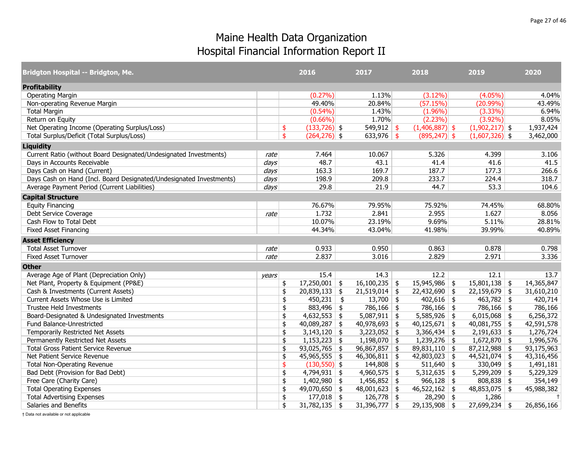| <b>Bridgton Hospital -- Bridgton, Me.</b>                           |       | 2016                  |               | 2017            | 2018                  | 2019             | 2020       |
|---------------------------------------------------------------------|-------|-----------------------|---------------|-----------------|-----------------------|------------------|------------|
| <b>Profitability</b>                                                |       |                       |               |                 |                       |                  |            |
| <b>Operating Margin</b>                                             |       | $(0.27\%)$            |               | 1.13%           | $(3.12\%)$            | $(4.05\%)$       | 4.04%      |
| Non-operating Revenue Margin                                        |       | 49.40%                |               | 20.84%          | (57.15%)              | $(20.99\%)$      | 43.49%     |
| <b>Total Margin</b>                                                 |       | $(0.54\%)$            |               | 1.43%           | $(1.96\%)$            | $(3.33\%)$       | 6.94%      |
| Return on Equity                                                    |       | $(0.66\%)$            |               | 1.70%           | (2.23%)               | $(3.92\%)$       | 8.05%      |
| Net Operating Income (Operating Surplus/Loss)                       |       | \$<br>$(133, 726)$ \$ |               | $549,912$ \$    | $(1,406,887)$ \$      | $(1,902,217)$ \$ | 1,937,424  |
| Total Surplus/Deficit (Total Surplus/Loss)                          |       | \$<br>$(264, 276)$ \$ |               | $633,976$ \$    | $(895, 247)$ \$       | $(1,607,326)$ \$ | 3,462,000  |
| <b>Liquidity</b>                                                    |       |                       |               |                 |                       |                  |            |
| Current Ratio (without Board Designated/Undesignated Investments)   | rate  | 7.464                 |               | 10.067          | 5.326                 | 4.399            | 3.106      |
| Days in Accounts Receivable                                         | days  | 48.7                  |               | 43.1            | 41.4                  | 41.6             | 41.5       |
| Days Cash on Hand (Current)                                         | days  | 163.3                 |               | 169.7           | 187.7                 | 177.3            | 266.6      |
| Days Cash on Hand (Incl. Board Designated/Undesignated Investments) | days  | 198.9                 |               | 209.8           | 233.7                 | 224.4            | 318.7      |
| Average Payment Period (Current Liabilities)                        | days  | 29.8                  |               | 21.9            | 44.7                  | 53.3             | 104.6      |
| <b>Capital Structure</b>                                            |       |                       |               |                 |                       |                  |            |
| <b>Equity Financing</b>                                             |       | 76.67%                |               | 79.95%          | 75.92%                | 74.45%           | 68.80%     |
| Debt Service Coverage                                               | rate  | 1.732                 |               | 2.841           | 2.955                 | 1.627            | 8.056      |
| Cash Flow to Total Debt                                             |       | 10.07%                |               | 23.19%          | 9.69%                 | 5.11%            | 28.81%     |
| <b>Fixed Asset Financing</b>                                        |       | 44.34%                |               | 43.04%          | 41.98%                | 39.99%           | 40.89%     |
| <b>Asset Efficiency</b>                                             |       |                       |               |                 |                       |                  |            |
| <b>Total Asset Turnover</b>                                         | rate  | 0.933                 |               | 0.950           | 0.863                 | 0.878            | 0.798      |
| <b>Fixed Asset Turnover</b>                                         | rate  | 2.837                 |               | 3.016           | 2.829                 | 2.971            | 3.336      |
| <b>Other</b>                                                        |       |                       |               |                 |                       |                  |            |
| Average Age of Plant (Depreciation Only)                            | vears | 15.4                  |               | 14.3            | 12.2                  | 12.1             | 13.7       |
| Net Plant, Property & Equipment (PP&E)                              |       | \$<br>$17,250,001$ \$ |               | $16,100,235$ \$ | 15,945,986 \$         | $15,801,138$ \$  | 14,365,847 |
| Cash & Investments (Current Assets)                                 |       | \$<br>$20,839,133$ \$ |               | $21,519,014$ \$ | $22,432,690$ \$       | $22,159,679$ \$  | 31,610,210 |
| Current Assets Whose Use is Limited                                 |       | \$<br>450,231         | $\frac{1}{2}$ | $13,700$ \$     | $402,616$ \$          | $463,782$ \$     | 420,714    |
| <b>Trustee Held Investments</b>                                     |       | \$<br>$883,496$ \$    |               | $786,166$ \$    | $786,166$ \$          | $786,166$ \$     | 786,166    |
| Board-Designated & Undesignated Investments                         |       | \$<br>$4,632,553$ \$  |               | $5,087,911$ \$  | $5,585,926$ \$        | $6,015,068$ \$   | 6,256,372  |
| Fund Balance-Unrestricted                                           |       | \$<br>$40,089,287$ \$ |               | $40,978,693$ \$ | $40,125,671$ \$       | $40,081,755$ \$  | 42,591,578 |
| Temporarily Restricted Net Assets                                   |       | \$<br>3,143,120       | \$            | 3,223,052       | \$<br>$3,366,434$ \$  | $2,191,633$ \$   | 1,276,724  |
| Permanently Restricted Net Assets                                   |       | \$<br>$1,153,223$ \$  |               | $1,198,070$ \$  | $1,239,276$ \$        | $1,672,870$ \$   | 1,996,576  |
| <b>Total Gross Patient Service Revenue</b>                          |       | \$<br>$93,025,765$ \$ |               | 96,867,857      | \$<br>$89,831,110$ \$ | $87,212,988$ \$  | 93,175,963 |
| Net Patient Service Revenue                                         |       | \$<br>$45,965,555$ \$ |               | $46,306,811$ \$ | $42,803,023$ \$       | $44,521,074$ \$  | 43,316,456 |
| <b>Total Non-Operating Revenue</b>                                  |       | \$<br>$(130,550)$ \$  |               | $144,808$ \$    | $511,640$ \$          | 330,049 \$       | 1,491,181  |
| Bad Debt (Provision for Bad Debt)                                   |       | \$<br>$4,794,931$ \$  |               | $4,960,575$ \$  | $5,312,635$ \$        | $5,299,209$ \$   | 5,229,329  |
| Free Care (Charity Care)                                            |       | \$<br>$1,402,980$ \$  |               | $1,456,852$ \$  | $966,128$ \$          | $808,838$ \$     | 354,149    |
| <b>Total Operating Expenses</b>                                     |       | \$<br>$49,070,650$ \$ |               | $48,001,623$ \$ | $46,522,162$ \$       | $48,853,075$ \$  | 45,988,382 |
| <b>Total Advertising Expenses</b>                                   |       | \$<br>$177,018$ \$    |               | $126,778$ \$    | $28,290$ \$           | 1,286            | $+$        |
| Salaries and Benefits                                               |       | \$<br>$31,782,135$ \$ |               | $31,396,777$ \$ | $29,135,908$ \$       | $27,699,234$ \$  | 26,856,166 |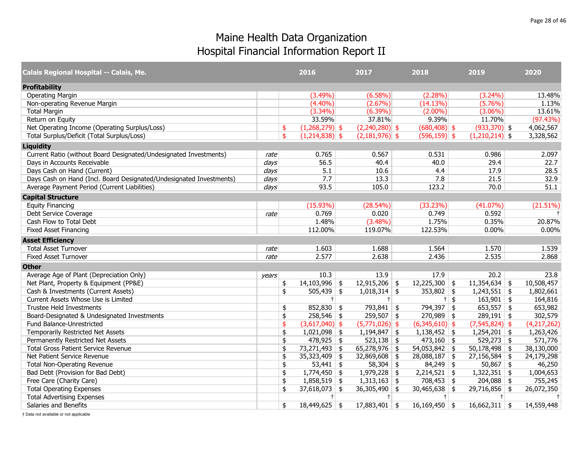| Calais Regional Hospital -- Calais, Me.                             |       | 2016                   | 2017             | 2018                  |        | 2019             | 2020        |
|---------------------------------------------------------------------|-------|------------------------|------------------|-----------------------|--------|------------------|-------------|
| <b>Profitability</b>                                                |       |                        |                  |                       |        |                  |             |
| <b>Operating Margin</b>                                             |       | $(3.49\%)$             | $(6.58\%)$       | $(2.28\%)$            |        | $(3.24\%)$       | 13.48%      |
| Non-operating Revenue Margin                                        |       | $(4.40\%)$             | $(2.67\%)$       | (14.13%)              |        | (5.76%)          | 1.13%       |
| <b>Total Margin</b>                                                 |       | $(3.34\%)$             | $(6.39\%)$       | $(2.00\%)$            |        | $(3.06\%)$       | 13.61%      |
| Return on Equity                                                    |       | 33.59%                 | 37.81%           | 9.39%                 |        | 11.70%           | (97.43%)    |
| Net Operating Income (Operating Surplus/Loss)                       |       | \$<br>$(1,268,279)$ \$ | $(2,240,280)$ \$ | $(680, 408)$ \$       |        | $(933,370)$ \$   | 4,062,567   |
| Total Surplus/Deficit (Total Surplus/Loss)                          |       | \$<br>$(1,214,838)$ \$ | $(2,181,976)$ \$ | $(596, 159)$ \$       |        | $(1,210,214)$ \$ | 3,328,562   |
| <b>Liquidity</b>                                                    |       |                        |                  |                       |        |                  |             |
| Current Ratio (without Board Designated/Undesignated Investments)   | rate  | 0.765                  | 0.567            | 0.531                 |        | 0.986            | 2.097       |
| Days in Accounts Receivable                                         | days  | 56.5                   | 40.4             | 40.0                  |        | 29.4             | 22.7        |
| Days Cash on Hand (Current)                                         | days  | 5.1                    | 10.6             | 4.4                   |        | 17.9             | 28.5        |
| Days Cash on Hand (Incl. Board Designated/Undesignated Investments) | days  | 7.7                    | 13.3             | 7.8                   |        | 21.5             | 32.9        |
| Average Payment Period (Current Liabilities)                        | days  | 93.5                   | 105.0            | 123.2                 |        | 70.0             | 51.1        |
| <b>Capital Structure</b>                                            |       |                        |                  |                       |        |                  |             |
| <b>Equity Financing</b>                                             |       | $(15.93\%)$            | (28.54%)         | (33.23%)              |        | $(41.07\%)$      | (21.51%)    |
| Debt Service Coverage                                               | rate  | 0.769                  | 0.020            | 0.749                 |        | 0.592            | $+$         |
| Cash Flow to Total Debt                                             |       | 1.48%                  | $(3.48\%)$       | 1.75%                 |        | 0.35%            | 20.87%      |
| <b>Fixed Asset Financing</b>                                        |       | 112.00%                | 119.07%          | 122.53%               |        | 0.00%            | 0.00%       |
| <b>Asset Efficiency</b>                                             |       |                        |                  |                       |        |                  |             |
| <b>Total Asset Turnover</b>                                         | rate  | 1.603                  | 1.688            | 1.564                 |        | 1.570            | 1.539       |
| <b>Fixed Asset Turnover</b>                                         | rate  | 2.577                  | 2.638            | 2.436                 |        | 2.535            | 2.868       |
| <b>Other</b>                                                        |       |                        |                  |                       |        |                  |             |
| Average Age of Plant (Depreciation Only)                            | years | 10.3                   | 13.9             | 17.9                  |        | 20.2             | 23.8        |
| Net Plant, Property & Equipment (PP&E)                              |       | \$<br>$14,103,996$ \$  | $12,915,206$ \$  | $12,225,300$ \$       |        | $11,354,634$ \$  | 10,508,457  |
| Cash & Investments (Current Assets)                                 |       | \$<br>$505,439$ \$     | $1,018,314$ \$   | 353,802 \\$           |        | $1,243,551$ \$   | 1,802,661   |
| Current Assets Whose Use is Limited                                 |       | $+$                    | $+$              |                       | $+$ \$ | $163,901$ \$     | 164,816     |
| <b>Trustee Held Investments</b>                                     |       | \$<br>$852,830$ \$     | $793,841$ \$     | 794,397 \$            |        | $653,557$ \$     | 653,982     |
| Board-Designated & Undesignated Investments                         |       | \$<br>$258,546$ \$     | $259,507$ \$     | $270,989$ \$          |        | $289,191$ \$     | 302,579     |
| Fund Balance-Unrestricted                                           |       | \$<br>$(3,617,040)$ \$ | $(5,771,026)$ \$ | $(6,345,610)$ \$      |        | $(7,545,824)$ \$ | (4,217,262) |
| Temporarily Restricted Net Assets                                   |       | \$<br>$1,021,098$ \$   | $1,194,847$ \$   | $1,138,452$ \$        |        | $1,254,201$ \$   | 1,263,426   |
| Permanently Restricted Net Assets                                   |       | \$<br>$478,925$ \$     | $523,138$ \$     | $473,160$ \$          |        | $529,273$ \$     | 571,776     |
| <b>Total Gross Patient Service Revenue</b>                          |       | \$<br>$73,271,493$ \$  | 65,278,976       | \$<br>$54,053,842$ \$ |        | $50,178,498$ \$  | 38,130,000  |
| Net Patient Service Revenue                                         |       | \$<br>$35,323,409$ \$  | $32,869,608$ \$  | $28,088,187$ \$       |        | $27,156,584$ \$  | 24,179,298  |
| <b>Total Non-Operating Revenue</b>                                  |       | \$<br>$53,441$ \$      | $58,304$ \$      | $84,249$ \$           |        | $50,867$ \$      | 46,250      |
| Bad Debt (Provision for Bad Debt)                                   |       | \$<br>$1,774,450$ \$   | $1,979,228$ \$   | $2,214,521$ \$        |        | $1,322,351$ \$   | 1,004,653   |
| Free Care (Charity Care)                                            |       | \$<br>$1,858,519$ \$   | $1,313,163$ \$   | $708,453$ \$          |        | $204,088$ \$     | 755,245     |
| <b>Total Operating Expenses</b>                                     |       | \$<br>$37,618,073$ \$  | $36,305,490$ \$  | $30,465,638$ \$       |        | $29,716,856$ \$  | 26,072,350  |
| <b>Total Advertising Expenses</b>                                   |       | $+$                    | $+$              | $+$                   |        | $+$              | $+$         |
| Salaries and Benefits                                               |       | \$<br>$18,449,625$ \$  | $17,883,401$ \$  | $16,169,450$ \$       |        | $16,662,311$ \$  | 14,559,448  |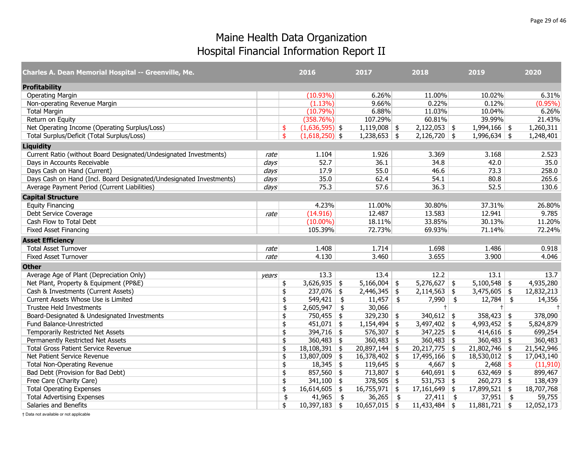| Charles A. Dean Memorial Hospital -- Greenville, Me.                |       | 2016                   | 2017              |               | 2018            | 2019            | 2020       |
|---------------------------------------------------------------------|-------|------------------------|-------------------|---------------|-----------------|-----------------|------------|
| <b>Profitability</b>                                                |       |                        |                   |               |                 |                 |            |
| <b>Operating Margin</b>                                             |       | $(10.93\%)$            | 6.26%             |               | 11.00%          | 10.02%          | 6.31%      |
| Non-operating Revenue Margin                                        |       | $(1.13\%)$             | 9.66%             |               | 0.22%           | 0.12%           | $(0.95\%)$ |
| <b>Total Margin</b>                                                 |       | (10.79%)               | 6.88%             |               | 11.03%          | 10.04%          | 6.26%      |
| Return on Equity                                                    |       | (358.76%)              | 107.29%           |               | 60.81%          | 39.99%          | 21.43%     |
| Net Operating Income (Operating Surplus/Loss)                       |       | \$<br>$(1,636,595)$ \$ | $1,119,008$ \$    |               | $2,122,053$ \$  | $1,994,166$ \$  | 1,260,311  |
| Total Surplus/Deficit (Total Surplus/Loss)                          |       | \$<br>$(1,618,250)$ \$ | $1,238,653$ \$    |               | $2,126,720$ \$  | $1,996,634$ \$  | 1,248,401  |
| <b>Liquidity</b>                                                    |       |                        |                   |               |                 |                 |            |
| Current Ratio (without Board Designated/Undesignated Investments)   | rate  | 1.104                  | 1.926             |               | 3.369           | 3.168           | 2.523      |
| Days in Accounts Receivable                                         | days  | 52.7                   | 36.1              |               | 34.8            | 42.0            | 35.0       |
| Days Cash on Hand (Current)                                         | days  | 17.9                   | 55.0              |               | 46.6            | 73.3            | 258.0      |
| Days Cash on Hand (Incl. Board Designated/Undesignated Investments) | days  | 35.0                   | 62.4              |               | 54.1            | 80.8            | 265.6      |
| Average Payment Period (Current Liabilities)                        | days  | 75.3                   | 57.6              |               | 36.3            | 52.5            | 130.6      |
| <b>Capital Structure</b>                                            |       |                        |                   |               |                 |                 |            |
| <b>Equity Financing</b>                                             |       | 4.23%                  | 11.00%            |               | 30.80%          | 37.31%          | 26.80%     |
| Debt Service Coverage                                               | rate  | (14.916)               | 12.487            |               | 13.583          | 12.941          | 9.785      |
| Cash Flow to Total Debt                                             |       | $(10.00\%)$            | 18.11%            |               | 33.85%          | 30.13%          | 11.20%     |
| <b>Fixed Asset Financing</b>                                        |       | 105.39%                | 72.73%            |               | 69.93%          | 71.14%          | 72.24%     |
| <b>Asset Efficiency</b>                                             |       |                        |                   |               |                 |                 |            |
| <b>Total Asset Turnover</b>                                         | rate  | 1.408                  | 1.714             |               | 1.698           | 1.486           | 0.918      |
| <b>Fixed Asset Turnover</b>                                         | rate  | 4.130                  | 3.460             |               | 3.655           | 3.900           | 4.046      |
| <b>Other</b>                                                        |       |                        |                   |               |                 |                 |            |
| Average Age of Plant (Depreciation Only)                            | vears | 13.3                   | 13.4              |               | 12.2            | 13.1            | 13.7       |
| Net Plant, Property & Equipment (PP&E)                              |       | \$<br>$3,626,935$ \$   | 5,166,004         | \$            | $5,276,627$ \$  | $5,100,548$ \$  | 4,935,280  |
| Cash & Investments (Current Assets)                                 |       | \$<br>$237,076$ \$     | $2,446,345$ \$    |               | $2,114,563$ \$  | $3,475,605$ \$  | 12,832,213 |
| Current Assets Whose Use is Limited                                 |       | \$<br>549,421          | \$<br>$11,457$ \$ |               | $7,990$ \$      | $12,784$ \$     | 14,356     |
| Trustee Held Investments                                            |       | \$<br>2,605,947        | \$<br>30,066      |               | $+$             | $+$             | $\pm$      |
| Board-Designated & Undesignated Investments                         |       | \$<br>750,455 \$       | 329,230           | \$            | 340,612 \$      | $358,423$ \$    | 378,090    |
| Fund Balance-Unrestricted                                           |       | \$<br>$451,071$ \$     | 1,154,494         | \$            | $3,497,402$ \$  | $4,993,452$ \$  | 5,824,879  |
| Temporarily Restricted Net Assets                                   |       | \$<br>$394,716$ \$     | $576,307$ \$      |               | $347,225$ \$    | $414,616$ \$    | 699,254    |
| Permanently Restricted Net Assets                                   |       | \$<br>$360,483$ \$     | $360,483$ \$      |               | $360,483$ \$    | 360,483 \$      | 360,483    |
| <b>Total Gross Patient Service Revenue</b>                          |       | \$<br>$18,108,391$ \$  | 20,897,144        | \$            | $20,217,775$ \$ | $21,802,746$ \$ | 21,542,946 |
| Net Patient Service Revenue                                         |       | \$<br>$13,807,009$ \$  | 16,378,402        | \$            | $17,495,166$ \$ | 18,530,012 \$   | 17,043,140 |
| <b>Total Non-Operating Revenue</b>                                  |       | \$<br>$18,345$ \$      | 119,645           | \$            | $4,667$ \$      | $2,468$ \$      | (11, 910)  |
| Bad Debt (Provision for Bad Debt)                                   |       | \$<br>$857,560$ \$     | $713,807$ \$      |               | $640,691$ \$    | $632,469$ \$    | 899,467    |
| Free Care (Charity Care)                                            |       | \$<br>$341,100$ \$     | 378,505           | \$            | $531,753$ \$    | $260,273$ \$    | 138,439    |
| <b>Total Operating Expenses</b>                                     |       | \$<br>$16,614,605$ \$  | $16,755,971$ \$   |               | $17,161,649$ \$ | $17,899,521$ \$ | 18,707,768 |
| <b>Total Advertising Expenses</b>                                   |       | \$<br>$41,965$ \$      | 36,265            | $\frac{1}{2}$ | $27,411$ \$     | $37,951$ \$     | 59,755     |
| Salaries and Benefits                                               |       | \$<br>$10,397,183$ \$  | $10,657,015$ \$   |               | $11,433,484$ \$ | $11,881,721$ \$ | 12,052,173 |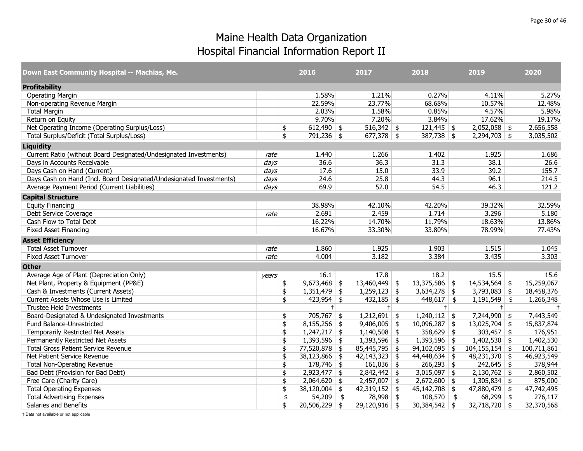| Down East Community Hospital -- Machias, Me.                        |       | 2016                            | 2017            | 2018                      | 2019               | 2020          |
|---------------------------------------------------------------------|-------|---------------------------------|-----------------|---------------------------|--------------------|---------------|
| <b>Profitability</b>                                                |       |                                 |                 |                           |                    |               |
| <b>Operating Margin</b>                                             |       | 1.58%                           | 1.21%           | 0.27%                     | 4.11%              | 5.27%         |
| Non-operating Revenue Margin                                        |       | 22.59%                          | 23.77%          | 68.68%                    | 10.57%             | 12.48%        |
| <b>Total Margin</b>                                                 |       | 2.03%                           | 1.58%           | 0.85%                     | 4.57%              | 5.98%         |
| Return on Equity                                                    |       | 9.70%                           | 7.20%           | 3.84%                     | 17.62%             | 19.17%        |
| Net Operating Income (Operating Surplus/Loss)                       |       | \$<br>612,490 $\frac{1}{2}$     | $516,342$ \$    | $121,445$ \$              | $2,052,058$ \$     | 2,656,558     |
| Total Surplus/Deficit (Total Surplus/Loss)                          |       | \$<br>$791,236$ \$              | $677,378$ \$    | $387,738$ \$              | $2,294,703$ \$     | 3,035,502     |
| <b>Liquidity</b>                                                    |       |                                 |                 |                           |                    |               |
| Current Ratio (without Board Designated/Undesignated Investments)   | rate  | 1.440                           | 1.266           | 1.402                     | 1.925              | 1.686         |
| Days in Accounts Receivable                                         | days  | 36.6                            | 36.3            | 31.3                      | 38.1               | 26.6          |
| Days Cash on Hand (Current)                                         | days  | 17.6                            | 15.0            | 33.9                      | 39.2               | 155.7         |
| Days Cash on Hand (Incl. Board Designated/Undesignated Investments) | days  | 24.6                            | 25.8            | 44.3                      | 96.1               | 214.5         |
| Average Payment Period (Current Liabilities)                        | days  | 69.9                            | 52.0            | 54.5                      | 46.3               | 121.2         |
| <b>Capital Structure</b>                                            |       |                                 |                 |                           |                    |               |
| <b>Equity Financing</b>                                             |       | 38.98%                          | 42.10%          | 42.20%                    | 39.32%             | 32.59%        |
| Debt Service Coverage                                               | rate  | 2.691                           | 2.459           | 1.714                     | 3.296              | 5.180         |
| Cash Flow to Total Debt                                             |       | 16.22%                          | 14.70%          | 11.79%                    | 18.63%             | 13.86%        |
| <b>Fixed Asset Financing</b>                                        |       | 16.67%                          | 33.30%          | 33.80%                    | 78.99%             | 77.43%        |
| <b>Asset Efficiency</b>                                             |       |                                 |                 |                           |                    |               |
| <b>Total Asset Turnover</b>                                         | rate  | 1.860                           | 1.925           | 1.903                     | 1.515              | 1.045         |
| <b>Fixed Asset Turnover</b>                                         | rate  | 4.004                           | 3.182           | 3.384                     | 3.435              | 3.303         |
| <b>Other</b>                                                        |       |                                 |                 |                           |                    |               |
| Average Age of Plant (Depreciation Only)                            | vears | 16.1                            | 17.8            | 18.2                      | 15.5               | 15.6          |
| Net Plant, Property & Equipment (PP&E)                              |       | \$<br>$9,673,468$ \$            | $13,460,449$ \$ | $13,375,586$ \$           | $14,534,564$ \$    | 15,259,067    |
| Cash & Investments (Current Assets)                                 |       | \$<br>$1,351,479$ \$            | $1,259,123$ \$  | $3,634,278$ \$            | $3,793,083$ \$     | 18,458,376    |
| Current Assets Whose Use is Limited                                 |       | \$<br>$423,954$ \$              | $432,185$ \$    | $448,617$ \$              | $1,191,549$ \$     | 1,266,348     |
| Trustee Held Investments                                            |       | $+$                             | $+$             | $+ $                      | $+$                | $\pm$         |
| Board-Designated & Undesignated Investments                         |       | \$<br>$705,767$ \$              | $1,212,691$ \$  | $1,240,112$ \$            | $7,244,990$ \$     | 7,443,549     |
| Fund Balance-Unrestricted                                           |       | \$<br>$8,155,256$ \$            | $9,406,005$ \$  | $10,096,287$ \$           | $13,025,704$ \$    | 15,837,874    |
| Temporarily Restricted Net Assets                                   |       | \$<br>$1,247,217$ \$            | $1,140,508$ \$  | $358,629$ \$              | $303,457$ \$       | 176,951       |
| Permanently Restricted Net Assets                                   |       | \$<br>$\overline{1,393,596}$ \$ | $1,393,596$ \$  | $\overline{1,393,596}$ \$ | $1,402,530$ \$     | 1,402,530     |
| <b>Total Gross Patient Service Revenue</b>                          |       | \$<br>77,520,878 \$             | $85,445,795$ \$ | $94,102,095$ \$           | $104, 155, 154$ \$ | 100,711,861   |
| Net Patient Service Revenue                                         |       | \$<br>$38,123,866$ \$           | $42,143,323$ \$ | $44,448,634$ \$           | $48,231,370$ \$    | 46,923,549    |
| <b>Total Non-Operating Revenue</b>                                  |       | \$<br>$178,746$ \$              | $161,036$ \$    | $266,293$ \$              | $242,645$ \$       | 378,944       |
| Bad Debt (Provision for Bad Debt)                                   |       | \$<br>$2,923,477$ \$            | $2,842,442$ \$  | $3,015,097$ \$            | $2,130,762$ \$     | 2,860,502     |
| Free Care (Charity Care)                                            |       | \$<br>$2,064,620$ \$            | $2,457,007$ \$  | $2,672,600$ \$            | 1,305,834          | \$<br>875,000 |
| <b>Total Operating Expenses</b>                                     |       | \$<br>$38,120,004$ \$           | $42,319,152$ \$ | $45,142,708$ \$           | 47,880,479 \$      | 47,742,495    |
| <b>Total Advertising Expenses</b>                                   |       | \$<br>$54,209$ \$               | $78,998$ \$     | $108,570$ \$              | $68,299$ \$        | 276,117       |
| Salaries and Benefits                                               |       | \$<br>$20,506,229$ \$           | $29,120,916$ \$ | $30,384,542$ \$           | $32,718,720$ \$    | 32,370,568    |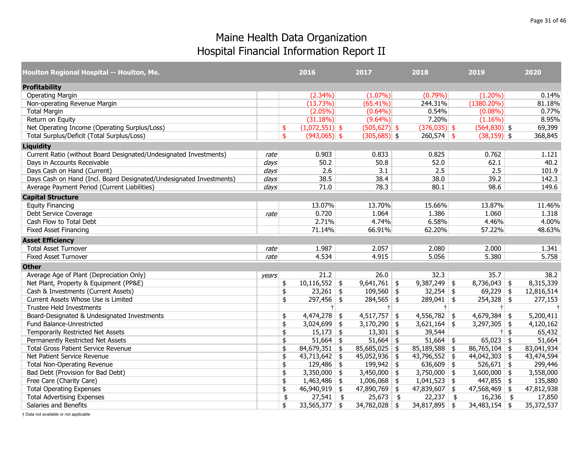| Houlton Regional Hospital -- Houlton, Me.                           |                  |               | 2016             | 2017            | 2018            | 2019            |                    | 2020       |
|---------------------------------------------------------------------|------------------|---------------|------------------|-----------------|-----------------|-----------------|--------------------|------------|
| <b>Profitability</b>                                                |                  |               |                  |                 |                 |                 |                    |            |
| <b>Operating Margin</b>                                             |                  |               | $(2.34\%)$       | $(1.07\%)$      | (0.79%)         | $(1.20\%)$      |                    | 0.14%      |
| Non-operating Revenue Margin                                        |                  |               | (13.73%)         | (65.41%)        | 244.31%         | $(1380.20\%)$   |                    | 81.18%     |
| <b>Total Margin</b>                                                 |                  |               | $(2.05\%)$       | $(0.64\%)$      | 0.54%           | (0.08%)         |                    | 0.77%      |
| Return on Equity                                                    |                  |               | (31.18%)         | $(9.64\%)$      | 7.20%           | $(1.16\%)$      |                    | 8.95%      |
| Net Operating Income (Operating Surplus/Loss)                       |                  | \$            | $(1,072,551)$ \$ | $(505, 627)$ \$ | $(376, 035)$ \$ | $(564,830)$ \$  |                    | 69,399     |
| Total Surplus/Deficit (Total Surplus/Loss)                          |                  | \$            | $(943,065)$ \$   | $(305,685)$ \$  | $260,574$ \$    | $(38, 159)$ \$  |                    | 368,845    |
| <b>Liquidity</b>                                                    |                  |               |                  |                 |                 |                 |                    |            |
| Current Ratio (without Board Designated/Undesignated Investments)   | rate             |               | 0.903            | 0.833           | 0.825           | 0.762           |                    | 1.121      |
| Days in Accounts Receivable                                         | $\frac{days}{ }$ |               | 50.2             | 50.8            | 52.0            | 62.1            |                    | 40.2       |
| Days Cash on Hand (Current)                                         | days             |               | 2.6              | 3.1             | 2.5             | 2.5             |                    | 101.9      |
| Days Cash on Hand (Incl. Board Designated/Undesignated Investments) | days             |               | 38.5             | 38.4            | 38.0            | 39.2            |                    | 142.3      |
| Average Payment Period (Current Liabilities)                        | days             |               | 71.0             | 78.3            | 80.1            | 98.6            |                    | 149.6      |
| <b>Capital Structure</b>                                            |                  |               |                  |                 |                 |                 |                    |            |
| <b>Equity Financing</b>                                             |                  |               | 13.07%           | 13.70%          | 15.66%          | 13.87%          |                    | 11.46%     |
| Debt Service Coverage                                               | rate             |               | 0.720            | 1.064           | 1.386           | 1.060           |                    | 1.318      |
| Cash Flow to Total Debt                                             |                  |               | 2.71%            | 4.74%           | 6.58%           | 4.46%           |                    | 4.00%      |
| <b>Fixed Asset Financing</b>                                        |                  |               | 71.14%           | 66.91%          | 62.20%          | 57.22%          |                    | 48.63%     |
| <b>Asset Efficiency</b>                                             |                  |               |                  |                 |                 |                 |                    |            |
| <b>Total Asset Turnover</b>                                         | rate             |               | 1.987            | 2.057           | 2.080           | 2.000           |                    | 1.341      |
| <b>Fixed Asset Turnover</b>                                         | rate             |               | 4.534            | 4.915           | 5.056           | 5.380           |                    | 5.758      |
| <b>Other</b>                                                        |                  |               |                  |                 |                 |                 |                    |            |
| Average Age of Plant (Depreciation Only)                            | years            |               | 21.2             | 26.0            | 32.3            | 35.7            |                    | 38.2       |
| Net Plant, Property & Equipment (PP&E)                              |                  | $\frac{1}{2}$ | $10,116,552$ \$  | $9,641,761$ \$  | $9,387,249$ \$  | $8,736,043$ \$  |                    | 8,315,339  |
| Cash & Investments (Current Assets)                                 |                  | \$            | $23,261$ \$      | $109,560$ \$    | $32,254$ \$     | $69,229$ \$     |                    | 12,816,514 |
| Current Assets Whose Use is Limited                                 |                  | \$            | $297,456$ \$     | $284,565$ \$    | $289,041$ \$    | $254,328$ \$    |                    | 277,153    |
| <b>Trustee Held Investments</b>                                     |                  |               | $+$              | $\ddagger$      | $+ $            | $+$             |                    | $\ddagger$ |
| Board-Designated & Undesignated Investments                         |                  | \$            | $4,474,278$ \$   | $4,517,757$ \$  | $4,556,782$ \$  | 4,679,384       | \$                 | 5,200,411  |
| Fund Balance-Unrestricted                                           |                  | \$            | $3,024,699$ \$   | $3,170,290$ \$  | $3,621,164$ \$  | $3,297,305$ \$  |                    | 4,120,162  |
| Temporarily Restricted Net Assets                                   |                  | \$            | $15,173$ \$      | $13,301$ \$     | 39,544          | $+$             | $\mathbf{\hat{S}}$ | 65,432     |
| Permanently Restricted Net Assets                                   |                  | \$            | $51,664$ \$      | $51,664$ \$     | $51,664$ \$     | $65,023$ \$     |                    | 51,664     |
| <b>Total Gross Patient Service Revenue</b>                          |                  | \$            | $84,679,351$ \$  | $85,685,025$ \$ | $85,189,588$ \$ | $86,765,104$ \$ |                    | 83,041,934 |
| Net Patient Service Revenue                                         |                  | \$            | $43,713,642$ \$  | $45,052,936$ \$ | $43,796,552$ \$ | $44,042,303$ \$ |                    | 43,474,594 |
| <b>Total Non-Operating Revenue</b>                                  |                  | \$            | $129,486$ \$     | $199,942$ \$    | 636,609 \$      | $526,671$ \$    |                    | 299,446    |
| Bad Debt (Provision for Bad Debt)                                   |                  | \$            | $3,350,000$ \$   | $3,450,000$ \$  | $3,750,000$ \$  | $3,600,000$ \$  |                    | 3,558,000  |
| Free Care (Charity Care)                                            |                  | \$            | $1,463,486$ \$   | $1,006,068$ \$  | $1,041,523$ \$  | $447,855$ \$    |                    | 135,880    |
| <b>Total Operating Expenses</b>                                     |                  | \$            | $46,940,919$ \$  | $47,890,769$ \$ | $47,839,607$ \$ | $47,568,469$ \$ |                    | 47,812,938 |
| <b>Total Advertising Expenses</b>                                   |                  | \$            | $27,541$ \$      | $25,673$ \$     | $22,237$ \$     | $16,236$ \$     |                    | 17,850     |
| Salaries and Benefits                                               |                  | \$            | $33,565,377$ \$  | $34,782,028$ \$ | $34,817,895$ \$ | $34,483,154$ \$ |                    | 35,372,537 |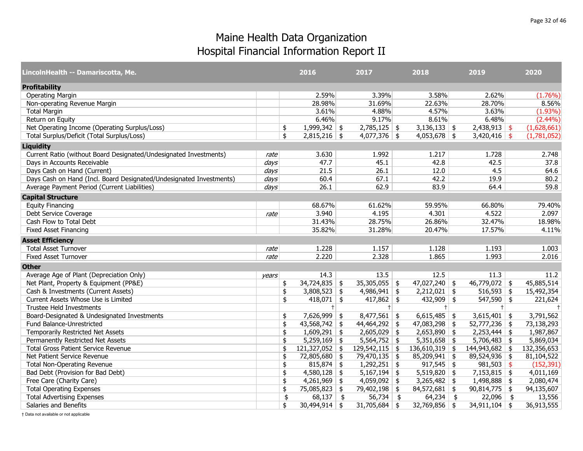| LincolnHealth -- Damariscotta, Me.                                  |       | 2016                  | 2017                 | 2018                   | 2019            | 2020        |
|---------------------------------------------------------------------|-------|-----------------------|----------------------|------------------------|-----------------|-------------|
| <b>Profitability</b>                                                |       |                       |                      |                        |                 |             |
| <b>Operating Margin</b>                                             |       | 2.59%                 | 3.39%                | 3.58%                  | 2.62%           | (1.76%)     |
| Non-operating Revenue Margin                                        |       | 28.98%                | 31.69%               | 22.63%                 | 28.70%          | 8.56%       |
| <b>Total Margin</b>                                                 |       | 3.61%                 | 4.88%                | 4.57%                  | 3.63%           | $(1.93\%)$  |
| Return on Equity                                                    |       | 6.46%                 | 9.17%                | 8.61%                  | 6.48%           | $(2.44\%)$  |
| Net Operating Income (Operating Surplus/Loss)                       |       | \$<br>$1,999,342$ \$  | $2,785,125$ \$       | $3,136,133$ \$         | $2,438,913$ \$  | (1,628,661) |
| Total Surplus/Deficit (Total Surplus/Loss)                          |       | \$<br>$2,815,216$ \$  | $4,077,376$ \$       | $4,053,678$ \$         | $3,420,416$ \$  | (1,781,052) |
| <b>Liquidity</b>                                                    |       |                       |                      |                        |                 |             |
| Current Ratio (without Board Designated/Undesignated Investments)   | rate  | 3.630                 | 1.992                | 1.217                  | 1.728           | 2.748       |
| Days in Accounts Receivable                                         | days  | 47.7                  | 45.1                 | 42.8                   | 42.5            | 37.8        |
| Days Cash on Hand (Current)                                         | days  | 21.5                  | 26.1                 | 12.0                   | 4.5             | 64.6        |
| Days Cash on Hand (Incl. Board Designated/Undesignated Investments) | days  | 60.4                  | 67.1                 | 42.2                   | 19.9            | 80.2        |
| Average Payment Period (Current Liabilities)                        | days  | 26.1                  | 62.9                 | 83.9                   | 64.4            | 59.8        |
| <b>Capital Structure</b>                                            |       |                       |                      |                        |                 |             |
| <b>Equity Financing</b>                                             |       | 68.67%                | 61.62%               | 59.95%                 | 66.80%          | 79.40%      |
| Debt Service Coverage                                               | rate  | 3.940                 | 4.195                | 4.301                  | 4.522           | 2.097       |
| Cash Flow to Total Debt                                             |       | 31.43%                | 28.75%               | 26.86%                 | 32.47%          | 18.98%      |
| <b>Fixed Asset Financing</b>                                        |       | 35.82%                | 31.28%               | 20.47%                 | 17.57%          | 4.11%       |
| <b>Asset Efficiency</b>                                             |       |                       |                      |                        |                 |             |
| <b>Total Asset Turnover</b>                                         | rate  | 1.228                 | 1.157                | 1.128                  | 1.193           | 1.003       |
| <b>Fixed Asset Turnover</b>                                         | rate  | 2.220                 | 2.328                | 1.865                  | 1.993           | 2.016       |
| <b>Other</b>                                                        |       |                       |                      |                        |                 |             |
| Average Age of Plant (Depreciation Only)                            | years | 14.3                  | 13.5                 | 12.5                   | 11.3            | 11.2        |
| Net Plant, Property & Equipment (PP&E)                              |       | $34,724,835$ \$<br>\$ | $35,305,055$ \$      | $47,027,240$ \$        | $46,779,072$ \$ | 45,885,514  |
| Cash & Investments (Current Assets)                                 |       | \$<br>$3,808,523$ \$  | $4,986,941$ \$       | $2,212,021$ \$         | $516,593$ \$    | 15,492,354  |
| Current Assets Whose Use is Limited                                 |       | $418,071$ \$<br>\$    | $417,862$ \$         | $432,909$ \$           | $547,590$ \$    | 221,624     |
| <b>Trustee Held Investments</b>                                     |       | $+$                   | $+ $                 | $+$                    | $+$             | $\ddagger$  |
| Board-Designated & Undesignated Investments                         |       | $7,626,999$ \$<br>\$  | $8,477,561$ \$       | $6,615,485$ \$         | $3,615,401$ \$  | 3,791,562   |
| Fund Balance-Unrestricted                                           |       | $43,568,742$ \$<br>\$ | $44,464,292$ \$      | $47,083,298$ \$        | $52,777,236$ \$ | 73,138,293  |
| Temporarily Restricted Net Assets                                   |       | \$<br>$1,609,291$ \$  | $2,605,029$ \$       | $2,653,890$ \$         | $2,253,444$ \$  | 1,987,867   |
| Permanently Restricted Net Assets                                   |       | 5,259,169<br>\$       | \$<br>$5,564,752$ \$ | $5,351,658$ \$         | $5,706,483$ \$  | 5,869,034   |
| <b>Total Gross Patient Service Revenue</b>                          |       | \$<br>121,327,052     | \$<br>129,542,115    | \$<br>$136,610,319$ \$ | 144,943,682 \$  | 132,356,653 |
| Net Patient Service Revenue                                         |       | \$<br>72,805,680 \$   | 79,470,135 \$        | $85,209,941$ \$        | $89,524,936$ \$ | 81,104,522  |
| <b>Total Non-Operating Revenue</b>                                  |       | $815,874$ \$<br>\$    | $1,292,251$ \$       | $917,545$ \$           | $981,503$ \$    | (152, 391)  |
| Bad Debt (Provision for Bad Debt)                                   |       | $4,580,128$ \$<br>\$  | $5,167,194$ \$       | $5,519,820$ \$         | $7,153,815$ \$  | 4,011,169   |
| Free Care (Charity Care)                                            |       | \$<br>4,261,969       | \$<br>$4,059,092$ \$ | $3,265,482$ \$         | $1,498,888$ \$  | 2,080,474   |
| <b>Total Operating Expenses</b>                                     |       | 75,085,823 \$<br>\$   | 79,402,198 \$        | $84,572,681$ \$        | $90,814,775$ \$ | 94,135,607  |
| <b>Total Advertising Expenses</b>                                   |       | \$<br>68,137          | \$<br>$56,734$ \$    | $64,234$ \$            | $22,096$ \$     | 13,556      |
| Salaries and Benefits                                               |       | \$<br>$30,494,914$ \$ | $31,705,684$ \$      | $32,769,856$ \$        | $34,911,104$ \$ | 36,913,555  |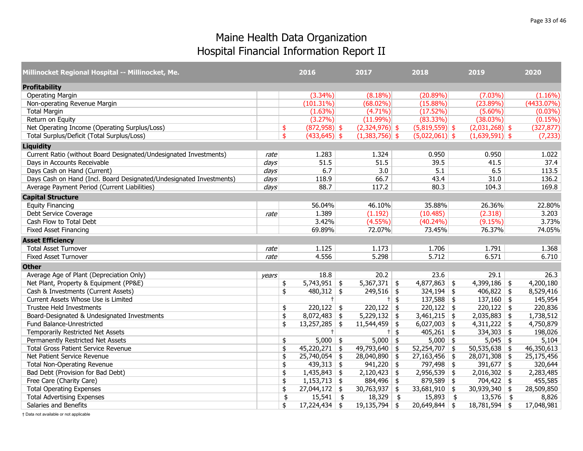| Millinocket Regional Hospital -- Millinocket, Me.                   |       |               | 2016            |               | 2017                        | 2018             | 2019             | 2020          |
|---------------------------------------------------------------------|-------|---------------|-----------------|---------------|-----------------------------|------------------|------------------|---------------|
| <b>Profitability</b>                                                |       |               |                 |               |                             |                  |                  |               |
| <b>Operating Margin</b>                                             |       |               | $(3.34\%)$      |               | $(8.18\%)$                  | (20.89%)         | $(7.03\%)$       | $(1.16\%)$    |
| Non-operating Revenue Margin                                        |       |               | $(101.31\%)$    |               | $(68.02\%)$                 | $(15.88\%)$      | (23.89%)         | $(4433.07\%)$ |
| <b>Total Margin</b>                                                 |       |               | $(1.63\%)$      |               | $(4.71\%)$                  | (17.52%)         | $(5.60\%)$       | $(0.03\%)$    |
| Return on Equity                                                    |       |               | (3.27%)         |               | $(11.99\%)$                 | $(83.33\%)$      | (38.03%)         | $(0.15\%)$    |
| Net Operating Income (Operating Surplus/Loss)                       |       | \$            | $(872,958)$ \$  |               | $(2,324,976)$ \$            | $(5,819,559)$ \$ | $(2,031,268)$ \$ | (327, 877)    |
| Total Surplus/Deficit (Total Surplus/Loss)                          |       | \$            | $(433, 645)$ \$ |               | $(1,383,756)$ \$            | $(5,022,061)$ \$ | $(1,639,591)$ \$ | (7, 233)      |
| <b>Liquidity</b>                                                    |       |               |                 |               |                             |                  |                  |               |
| Current Ratio (without Board Designated/Undesignated Investments)   | rate  |               | 1.283           |               | 1.324                       | 0.950            | 0.950            | 1.022         |
| Days in Accounts Receivable                                         | days  |               | 51.5            |               | 51.5                        | 39.5             | 41.5             | 37.4          |
| Days Cash on Hand (Current)                                         | days  |               | 6.7             |               | 3.0                         | 5.1              | 6.5              | 113.5         |
| Days Cash on Hand (Incl. Board Designated/Undesignated Investments) | days  |               | 118.9           |               | 66.7                        | 43.4             | 31.0             | 136.2         |
| Average Payment Period (Current Liabilities)                        | days  |               | 88.7            |               | 117.2                       | 80.3             | 104.3            | 169.8         |
| <b>Capital Structure</b>                                            |       |               |                 |               |                             |                  |                  |               |
| <b>Equity Financing</b>                                             |       |               | 56.04%          |               | 46.10%                      | 35.88%           | 26.36%           | 22.80%        |
| Debt Service Coverage                                               | rate  |               | 1.389           |               | (1.192)                     | (10.485)         | (2.318)          | 3.203         |
| Cash Flow to Total Debt                                             |       |               | 3.42%           |               | $(4.55\%)$                  | $(40.24\%)$      | (9.15%)          | 3.73%         |
| <b>Fixed Asset Financing</b>                                        |       |               | 69.89%          |               | 72.07%                      | 73.45%           | 76.37%           | 74.05%        |
| <b>Asset Efficiency</b>                                             |       |               |                 |               |                             |                  |                  |               |
| <b>Total Asset Turnover</b>                                         | rate  |               | 1.125           |               | 1.173                       | 1.706            | 1.791            | 1.368         |
| <b>Fixed Asset Turnover</b>                                         | rate  |               | 4.556           |               | 5.298                       | 5.712            | 6.571            | 6.710         |
| <b>Other</b>                                                        |       |               |                 |               |                             |                  |                  |               |
| Average Age of Plant (Depreciation Only)                            | years |               | 18.8            |               | 20.2                        | 23.6             | 29.1             | 26.3          |
| Net Plant, Property & Equipment (PP&E)                              |       | \$            | $5,743,951$ \$  |               | $5,367,371$ \$              | $4,877,863$ \$   | $4,399,186$ \$   | 4,200,180     |
| Cash & Investments (Current Assets)                                 |       | \$            | $480,312$ \$    |               | $249,516$ \$                | $324,194$ \$     | $406,822$ \$     | 8,529,416     |
| Current Assets Whose Use is Limited                                 |       |               | $+$             |               | $\overline{t}$ \$           | $137,588$ \$     | $137,160$ \$     | 145,954       |
| <b>Trustee Held Investments</b>                                     |       | \$            | $220,122$ \$    |               | $220,122$ \$                | $220,122$ \$     | $220,122$ \$     | 220,836       |
| Board-Designated & Undesignated Investments                         |       | \$            | $8,072,483$ \$  |               | $5,229,132$ \$              | $3,461,215$ \$   | $2,035,883$ \$   | 1,738,512     |
| Fund Balance-Unrestricted                                           |       | \$            | $13,257,285$ \$ |               | 11,544,459<br>$\frac{1}{2}$ | $6,027,003$ \$   | $4,311,222$ \$   | 4,750,879     |
| Temporarily Restricted Net Assets                                   |       |               | $+$             |               | $+$ \$                      | $405,261$ \$     | $334,303$ \$     | 198,026       |
| Permanently Restricted Net Assets                                   |       | \$            | $5,000$ \$      |               | $5,000$ \$                  | $5,000$ \$       | $5,045$ \$       | 5,104         |
| Total Gross Patient Service Revenue                                 |       | \$            | $45,220,271$ \$ |               | 49,793,640<br>\$            | $52,254,707$ \$  | $50,535,638$ \$  | 46,350,613    |
| Net Patient Service Revenue                                         |       | \$            | 25,740,054      | \$            | 28,040,890<br>\$            | $27,163,456$ \$  | $28,071,308$ \$  | 25,175,456    |
| <b>Total Non-Operating Revenue</b>                                  |       | \$            | 439,313         | $\frac{1}{2}$ | 941,220<br>$\frac{1}{2}$    | 797,498 \$       | $391,677$ \$     | 320,644       |
| Bad Debt (Provision for Bad Debt)                                   |       | \$            | $1,435,843$ \$  |               | $2,120,423$ \$              | $2,956,539$ \$   | $2,016,302$ \$   | 2,283,485     |
| Free Care (Charity Care)                                            |       | \$            | $1,153,713$ \$  |               | 884,496<br>\$               | $879,589$ \$     | $704,422$ \$     | 455,585       |
| <b>Total Operating Expenses</b>                                     |       | \$            | $27,044,172$ \$ |               | $30,763,937$ \$             | $33,681,910$ \$  | $30,939,340$ \$  | 28,509,850    |
| <b>Total Advertising Expenses</b>                                   |       | $\frac{4}{5}$ | $15,541$ \$     |               | 18,329<br>$\frac{1}{2}$     | $15,893$ \$      | $13,576$ \$      | 8,826         |
| Salaries and Benefits                                               |       | \$            | $17,224,434$ \$ |               | $19,135,794$ \$             | $20,649,844$ \$  | $18,781,594$ \$  | 17,048,981    |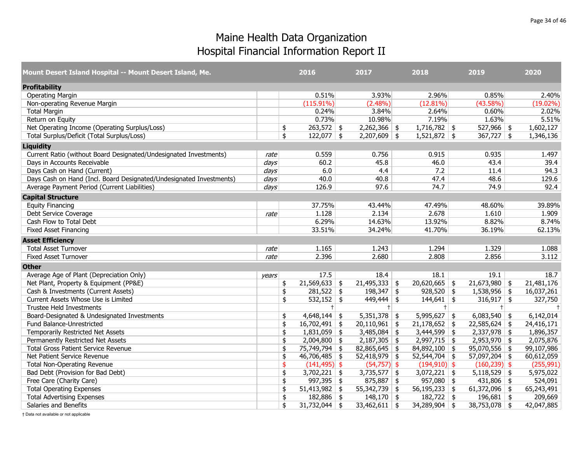| Mount Desert Island Hospital -- Mount Desert Island, Me.            |                  | 2016          |                 |    | 2017            | 2018                  | 2019            | 2020        |
|---------------------------------------------------------------------|------------------|---------------|-----------------|----|-----------------|-----------------------|-----------------|-------------|
| <b>Profitability</b>                                                |                  |               |                 |    |                 |                       |                 |             |
| <b>Operating Margin</b>                                             |                  |               | 0.51%           |    | 3.93%           | 2.96%                 | 0.85%           | 2.40%       |
| Non-operating Revenue Margin                                        |                  |               | $(115.91\%)$    |    | $(2.48\%)$      | $(12.81\%)$           | (43.58%)        | $(19.02\%)$ |
| <b>Total Margin</b>                                                 |                  |               | 0.24%           |    | 3.84%           | 2.64%                 | 0.60%           | 2.02%       |
| Return on Equity                                                    |                  |               | 0.73%           |    | 10.98%          | 7.19%                 | 1.63%           | 5.51%       |
| Net Operating Income (Operating Surplus/Loss)                       |                  | \$            | $263,572$ \$    |    | $2,262,366$ \$  | $1,716,782$ \$        | $527,966$ \$    | 1,602,127   |
| Total Surplus/Deficit (Total Surplus/Loss)                          |                  | \$            | $122,077$ \$    |    | $2,207,609$ \$  | $1,521,872$ \$        | $367,727$ \$    | 1,346,136   |
| <b>Liquidity</b>                                                    |                  |               |                 |    |                 |                       |                 |             |
| Current Ratio (without Board Designated/Undesignated Investments)   | rate             |               | 0.559           |    | 0.756           | 0.915                 | 0.935           | 1.497       |
| Days in Accounts Receivable                                         | $\frac{days}{ }$ |               | 60.2            |    | 45.8            | 46.0                  | 43.4            | 39.4        |
| Days Cash on Hand (Current)                                         | days             |               | 6.0             |    | 4.4             | 7.2                   | 11.4            | 94.3        |
| Days Cash on Hand (Incl. Board Designated/Undesignated Investments) | days             |               | 40.0            |    | 40.8            | 47.4                  | 48.6            | 129.6       |
| Average Payment Period (Current Liabilities)                        | days             |               | 126.9           |    | 97.6            | 74.7                  | 74.9            | 92.4        |
| <b>Capital Structure</b>                                            |                  |               |                 |    |                 |                       |                 |             |
| <b>Equity Financing</b>                                             |                  |               | 37.75%          |    | 43.44%          | 47.49%                | 48.60%          | 39.89%      |
| Debt Service Coverage                                               | rate             |               | 1.128           |    | 2.134           | 2.678                 | 1.610           | 1.909       |
| Cash Flow to Total Debt                                             |                  |               | 6.29%           |    | 14.63%          | 13.92%                | 8.82%           | 8.74%       |
| <b>Fixed Asset Financing</b>                                        |                  |               | 33.51%          |    | 34.24%          | 41.70%                | 36.19%          | 62.13%      |
| <b>Asset Efficiency</b>                                             |                  |               |                 |    |                 |                       |                 |             |
| <b>Total Asset Turnover</b>                                         | rate             |               | 1.165           |    | 1.243           | 1.294                 | 1.329           | 1.088       |
| <b>Fixed Asset Turnover</b>                                         | rate             |               | 2.396           |    | 2.680           | 2.808                 | 2.856           | 3.112       |
| <b>Other</b>                                                        |                  |               |                 |    |                 |                       |                 |             |
| Average Age of Plant (Depreciation Only)                            | years            |               | 17.5            |    | 18.4            | 18.1                  | 19.1            | 18.7        |
| Net Plant, Property & Equipment (PP&E)                              |                  | $\frac{1}{2}$ | $21,569,633$ \$ |    | $21,495,333$ \$ | $20,620,665$ \$       | $21,673,980$ \$ | 21,481,176  |
| Cash & Investments (Current Assets)                                 |                  | \$            | $281,522$ \$    |    | $198,347$ \$    | $928,520$ \$          | $1,538,956$ \$  | 16,037,261  |
| Current Assets Whose Use is Limited                                 |                  | \$            | $532,152$ \$    |    | $449,444$ \$    | $144,641$ \$          | $316,917$ \$    | 327,750     |
| Trustee Held Investments                                            |                  |               | $+$             |    | $^{+}$          | $^{\dagger}$          | $+$             | $\ddagger$  |
| Board-Designated & Undesignated Investments                         |                  | \$            | $4,648,144$ \$  |    | $5,351,378$ \$  | $5,995,627$ \$        | $6,083,540$ \$  | 6,142,014   |
| Fund Balance-Unrestricted                                           |                  | \$            | $16,702,491$ \$ |    | $20,110,961$ \$ | $21,178,652$ \$       | $22,585,624$ \$ | 24,416,171  |
| Temporarily Restricted Net Assets                                   |                  | \$            | $1,831,059$ \$  |    | $3,485,084$ \$  | $3,444,599$ \$        | $2,337,978$ \$  | 1,896,357   |
| Permanently Restricted Net Assets                                   |                  | \$            | $2,004,800$ \$  |    | $2,187,305$ \$  | $\sqrt{2,997,715}$ \$ | $2,953,970$ \$  | 2,075,876   |
| <b>Total Gross Patient Service Revenue</b>                          |                  | \$            | 75,749,794      | \$ | $82,865,645$ \$ | $84,892,100$ \$       | $95,070,556$ \$ | 99,107,986  |
| Net Patient Service Revenue                                         |                  | \$            | $46,706,485$ \$ |    | $52,418,979$ \$ | $52,544,704$ \$       | $57,097,204$ \$ | 60,612,059  |
| <b>Total Non-Operating Revenue</b>                                  |                  | \$            | $(141, 495)$ \$ |    | $(54,757)$ \$   | $(194, 910)$ \$       | $(160, 239)$ \$ | (255, 991)  |
| Bad Debt (Provision for Bad Debt)                                   |                  | \$            | $3,702,221$ \$  |    | $3,735,577$ \$  | $3,072,221$ \$        | $5,118,529$ \$  | 5,975,022   |
| Free Care (Charity Care)                                            |                  | \$            | $997,395$ \$    |    | $875,887$ \$    | $957,080$ \$          | $431,806$ \$    | 524,091     |
| <b>Total Operating Expenses</b>                                     |                  | \$            | $51,413,982$ \$ |    | $55,342,739$ \$ | $56,195,233$ \$       | 61,372,096 \$   | 65,243,491  |
| <b>Total Advertising Expenses</b>                                   |                  | \$            | $182,886$ \$    |    | $148,170$ \$    | $182,722$ \$          | $196,681$ \$    | 209,669     |
| Salaries and Benefits                                               |                  | \$            | $31,732,044$ \$ |    | $33,462,611$ \$ | $34,289,904$ \$       | $38,753,078$ \$ | 42,047,885  |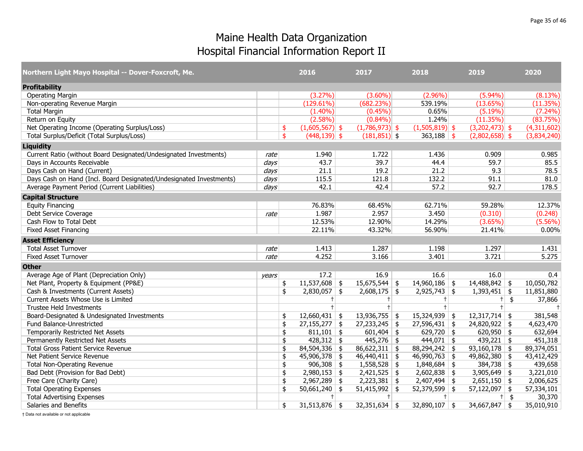| Northern Light Mayo Hospital -- Dover-Foxcroft, Me.                 |                  | 2016                   | 2017                       | 2018             | 2019             | 2020        |
|---------------------------------------------------------------------|------------------|------------------------|----------------------------|------------------|------------------|-------------|
| <b>Profitability</b>                                                |                  |                        |                            |                  |                  |             |
| <b>Operating Margin</b>                                             |                  | $(3.27\%)$             | $(3.60\%)$                 | $(2.96\%)$       | $(5.94\%)$       | (8.13%)     |
| Non-operating Revenue Margin                                        |                  | $(129.61\%)$           | (682.23%)                  | 539.19%          | (13.65%)         | (11.35%)    |
| <b>Total Margin</b>                                                 |                  | $(1.40\%)$             | $(0.45\%)$                 | 0.65%            | (5.19%)          | $(7.24\%)$  |
| Return on Equity                                                    |                  | $(2.58\%)$             | $(0.84\%)$                 | 1.24%            | (11.35%)         | (83.75%)    |
| Net Operating Income (Operating Surplus/Loss)                       |                  | \$<br>$(1,605,567)$ \$ | $(1,786,973)$ \$           | $(1,505,819)$ \$ | $(3,202,473)$ \$ | (4,311,602) |
| Total Surplus/Deficit (Total Surplus/Loss)                          |                  | \$<br>$(448, 139)$ \$  | $(181, 851)$ \$            | $363,188$ \$     | $(2,802,658)$ \$ | (3,834,240) |
| <b>Liquidity</b>                                                    |                  |                        |                            |                  |                  |             |
| Current Ratio (without Board Designated/Undesignated Investments)   | rate             | 1.940                  | 1.722                      | 1.436            | 0.909            | 0.985       |
| Days in Accounts Receivable                                         | $\frac{days}{ }$ | 43.7                   | 39.7                       | 44.4             | 59.7             | 85.5        |
| Days Cash on Hand (Current)                                         | days             | 21.1                   | 19.2                       | 21.2             | 9.3              | 78.5        |
| Days Cash on Hand (Incl. Board Designated/Undesignated Investments) | $\frac{days}{ }$ | 115.5                  | 121.8                      | 132.2            | 91.1             | 81.0        |
| Average Payment Period (Current Liabilities)                        | days             | 42.1                   | 42.4                       | 57.2             | 92.7             | 178.5       |
| <b>Capital Structure</b>                                            |                  |                        |                            |                  |                  |             |
| <b>Equity Financing</b>                                             |                  | 76.83%                 | 68.45%                     | 62.71%           | 59.28%           | 12.37%      |
| Debt Service Coverage                                               | rate             | 1.987                  | 2.957                      | 3.450            | (0.310)          | (0.248)     |
| Cash Flow to Total Debt                                             |                  | 12.53%                 | 12.90%                     | 14.29%           | $(3.65\%)$       | $(5.56\%)$  |
| <b>Fixed Asset Financing</b>                                        |                  | 22.11%                 | 43.32%                     | 56.90%           | 21.41%           | 0.00%       |
| <b>Asset Efficiency</b>                                             |                  |                        |                            |                  |                  |             |
| <b>Total Asset Turnover</b>                                         | rate             | 1.413                  | 1.287                      | 1.198            | 1.297            | 1.431       |
| <b>Fixed Asset Turnover</b>                                         | rate             | 4.252                  | 3.166                      | 3.401            | 3.721            | 5.275       |
| <b>Other</b>                                                        |                  |                        |                            |                  |                  |             |
| Average Age of Plant (Depreciation Only)                            | years            | 17.2                   | 16.9                       | 16.6             | 16.0             | 0.4         |
| Net Plant, Property & Equipment (PP&E)                              |                  | \$<br>$11,537,608$ \$  | $15,675,544$ \$            | $14,960,186$ \$  | 14,488,842 \$    | 10,050,782  |
| Cash & Investments (Current Assets)                                 |                  | \$<br>$2,830,057$ \$   | $2,608,175$ \$             | $2,925,743$ \$   | $1,393,451$ \$   | 11,851,880  |
| Current Assets Whose Use is Limited                                 |                  | $\ddagger$             | $+$                        | $^+$             | $\pm$ \$         | 37,866      |
| <b>Trustee Held Investments</b>                                     |                  | $\ddagger$             |                            |                  | $+$              | $\pm$       |
| Board-Designated & Undesignated Investments                         |                  | \$<br>$12,660,431$ \$  | $13,936,755$ \$            | $15,324,939$ \$  | $12,317,714$ \$  | 381,548     |
| Fund Balance-Unrestricted                                           |                  | \$<br>$27,155,277$ \$  | 27,233,245<br>\$           | $27,596,431$ \$  | $24,820,922$ \$  | 4,623,470   |
| Temporarily Restricted Net Assets                                   |                  | \$<br>$811,101$ \$     | $601,404$ \$               | 629,720 \$       | 620,950 \$       | 632,694     |
| Permanently Restricted Net Assets                                   |                  | \$<br>$428,312$ \$     | $445,276$ \$               | $444,071$ \$     | 439,221 \$       | 451,318     |
| <b>Total Gross Patient Service Revenue</b>                          |                  | \$<br>$84,504,336$ \$  | 86,622,311<br>\$           | $88,294,242$ \$  | $93,160,178$ \$  | 89,374,051  |
| Net Patient Service Revenue                                         |                  | \$<br>$45,906,378$ \$  | $46,440,411$ \$            | $46,990,763$ \$  | $49,862,380$ \$  | 43,412,429  |
| <b>Total Non-Operating Revenue</b>                                  |                  | \$<br>$906,308$ \$     | 1,558,528<br>$\frac{1}{2}$ | $1,848,684$ \$   | $384,738$ \$     | 439,658     |
| Bad Debt (Provision for Bad Debt)                                   |                  | \$<br>$2,980,153$ \$   | $2,421,525$ \$             | $2,602,838$ \$   | $3,905,649$ \$   | 3,221,010   |
| Free Care (Charity Care)                                            |                  | \$<br>$2,967,289$ \$   | $2,223,381$ \$             | $2,407,494$ \$   | $2,651,150$ \$   | 2,006,625   |
| <b>Total Operating Expenses</b>                                     |                  | \$<br>$50,661,240$ \$  | $51,415,992$ \$            | $52,379,599$ \$  | $57,122,097$ \$  | 57,334,101  |
| <b>Total Advertising Expenses</b>                                   |                  | $+$                    | $+$                        | $+$              | $+$ \$           | 30,370      |
| Salaries and Benefits                                               |                  | \$<br>$31,513,876$ \$  | $32,351,634$ \$            | $32,890,107$ \$  | $34,667,847$ \$  | 35,010,910  |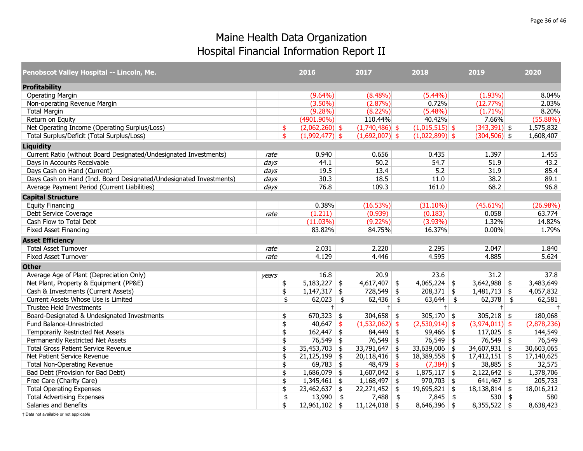| Penobscot Valley Hospital -- Lincoln, Me.                           |                  |               | 2016             |               | 2017             |               | 2018             | 2019             | 2020        |
|---------------------------------------------------------------------|------------------|---------------|------------------|---------------|------------------|---------------|------------------|------------------|-------------|
| <b>Profitability</b>                                                |                  |               |                  |               |                  |               |                  |                  |             |
| <b>Operating Margin</b>                                             |                  |               | $(9.64\%)$       |               | $(8.48\%)$       |               | (5.44%)          | $(1.93\%)$       | 8.04%       |
| Non-operating Revenue Margin                                        |                  |               | $(3.50\%)$       |               | (2.87%)          |               | 0.72%            | (12.77%)         | 2.03%       |
| <b>Total Margin</b>                                                 |                  |               | $(9.28\%)$       |               | $(8.22\%)$       |               | $(5.48\%)$       | $(1.71\%)$       | 8.20%       |
| Return on Equity                                                    |                  |               | $(4901.90\%)$    |               | 110.44%          |               | 40.42%           | 7.66%            | $(55.88\%)$ |
| Net Operating Income (Operating Surplus/Loss)                       |                  | \$            | $(2,062,260)$ \$ |               | $(1,740,486)$ \$ |               | $(1,015,515)$ \$ | $(343,391)$ \$   | 1,575,832   |
| Total Surplus/Deficit (Total Surplus/Loss)                          |                  | \$            | $(1,992,477)$ \$ |               | $(1,692,007)$ \$ |               | $(1,022,899)$ \$ | $(304,506)$ \$   | 1,608,407   |
| <b>Liquidity</b>                                                    |                  |               |                  |               |                  |               |                  |                  |             |
| Current Ratio (without Board Designated/Undesignated Investments)   | rate             |               | 0.940            |               | 0.656            |               | 0.435            | 1.397            | 1.455       |
| Days in Accounts Receivable                                         | days             |               | 44.1             |               | 50.2             |               | 54.7             | 51.9             | 43.2        |
| Days Cash on Hand (Current)                                         | $\frac{days}{ }$ |               | 19.5             |               | 13.4             |               | 5.2              | 31.9             | 85.4        |
| Days Cash on Hand (Incl. Board Designated/Undesignated Investments) | days             |               | 30.3             |               | 18.5             |               | 11.0             | 38.2             | 89.1        |
| Average Payment Period (Current Liabilities)                        | days             |               | 76.8             |               | 109.3            |               | 161.0            | 68.2             | 96.8        |
| <b>Capital Structure</b>                                            |                  |               |                  |               |                  |               |                  |                  |             |
| <b>Equity Financing</b>                                             |                  |               | 0.38%            |               | (16.53%)         |               | $(31.10\%)$      | $(45.61\%)$      | $(26.98\%)$ |
| Debt Service Coverage                                               | rate             |               | (1.211)          |               | (0.939)          |               | (0.183)          | 0.058            | 63.774      |
| Cash Flow to Total Debt                                             |                  |               | $(11.03\%)$      |               | $(9.22\%)$       |               | $(3.93\%)$       | 1.32%            | 14.82%      |
| <b>Fixed Asset Financing</b>                                        |                  |               | 83.82%           |               | 84.75%           |               | 16.37%           | 0.00%            | 1.79%       |
| <b>Asset Efficiency</b>                                             |                  |               |                  |               |                  |               |                  |                  |             |
| <b>Total Asset Turnover</b>                                         | rate             |               | 2.031            |               | 2.220            |               | 2.295            | 2.047            | 1.840       |
| <b>Fixed Asset Turnover</b>                                         | rate             |               | 4.129            |               | 4.446            |               | 4.595            | 4.885            | 5.624       |
| <b>Other</b>                                                        |                  |               |                  |               |                  |               |                  |                  |             |
| Average Age of Plant (Depreciation Only)                            | years            |               | 16.8             |               | 20.9             |               | 23.6             | 31.2             | 37.8        |
| Net Plant, Property & Equipment (PP&E)                              |                  | \$            | $5,183,227$ \$   |               | $4,617,407$ \$   |               | $4,065,224$ \$   | $3,642,988$ \$   | 3,483,649   |
| Cash & Investments (Current Assets)                                 |                  | \$            | $1,147,317$ \$   |               | $728,549$ \$     |               | $208,371$ \$     | $1,481,713$ \$   | 4,057,832   |
| Current Assets Whose Use is Limited                                 |                  | \$            | 62,023           | $\frac{4}{5}$ | $62,436$ \$      |               | $63,644$ \$      | $62,378$ \$      | 62,581      |
| <b>Trustee Held Investments</b>                                     |                  |               | $^+$             |               | $+$              |               | $^+$             | $+$              | $\pm$       |
| Board-Designated & Undesignated Investments                         |                  | \$            | $670,323$ \$     |               | $304,658$ \$     |               | $305,170$ \$     | $305,218$ \$     | 180,068     |
| Fund Balance-Unrestricted                                           |                  | \$            | 40,647           | \$            | $(1,532,062)$ \$ |               | $(2,530,914)$ \$ | $(3,974,011)$ \$ | (2,878,236) |
| Temporarily Restricted Net Assets                                   |                  | \$            | $162,447$ \$     |               | $84,449$ \$      |               | $99,466$ \$      | $117,025$ \$     | 144,549     |
| Permanently Restricted Net Assets                                   |                  | \$            | $76,549$ \$      |               | $76,549$ \$      |               | $76,549$ \$      | 76,549 \$        | 76,549      |
| <b>Total Gross Patient Service Revenue</b>                          |                  | \$            | $35,453,703$ \$  |               | 33,791,647       | \$            | 33,639,006 \$    | $34,607,931$ \$  | 30,603,065  |
| Net Patient Service Revenue                                         |                  | \$            | $21,125,199$ \$  |               | $20,118,416$ \$  |               | $18,389,558$ \$  | $17,412,151$ \$  | 17,140,625  |
| <b>Total Non-Operating Revenue</b>                                  |                  | \$            | $69,783$ \$      |               | 48,479           | $\frac{1}{2}$ | $(7,384)$ \$     | $38,885$ \$      | 32,575      |
| Bad Debt (Provision for Bad Debt)                                   |                  | \$            | $1,686,079$ \$   |               | $1,607,042$ \$   |               | $1,875,117$ \$   | $2,122,642$ \$   | 1,378,706   |
| Free Care (Charity Care)                                            |                  | \$            | $1,345,461$ \$   |               | $1,168,497$ \$   |               | $970,703$ \$     | $641,467$ \$     | 205,733     |
| <b>Total Operating Expenses</b>                                     |                  | \$            | $23,462,637$ \$  |               | $22,271,452$ \$  |               | $19,695,821$ \$  | $18,138,814$ \$  | 18,016,212  |
| <b>Total Advertising Expenses</b>                                   |                  | $\frac{4}{5}$ | $13,990$ \$      |               | $7,488$ \$       |               | $7,845$ \$       | $530 \;   \;$ \$ | 580         |
| Salaries and Benefits                                               |                  | \$            | $12,961,102$ \$  |               | $11,124,018$ \$  |               | $8,646,396$ \$   | $8,355,522$ \$   | 8,638,423   |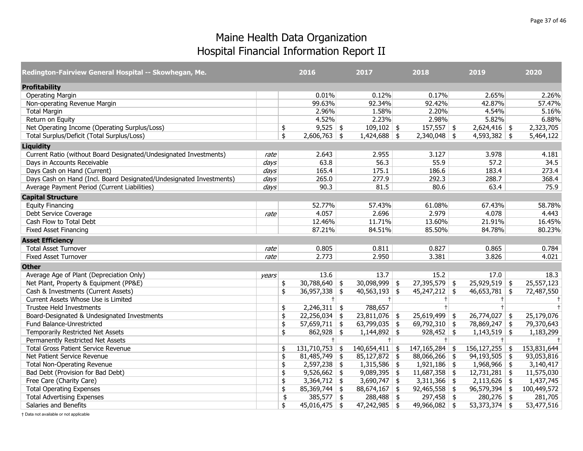| Redington-Fairview General Hospital -- Skowhegan, Me.               |       | 2016                   | 2017                     | 2018               | 2019               | 2020        |
|---------------------------------------------------------------------|-------|------------------------|--------------------------|--------------------|--------------------|-------------|
| <b>Profitability</b>                                                |       |                        |                          |                    |                    |             |
| <b>Operating Margin</b>                                             |       | 0.01%                  | 0.12%                    | 0.17%              | 2.65%              | 2.26%       |
| Non-operating Revenue Margin                                        |       | 99.63%                 | 92.34%                   | 92.42%             | 42.87%             | 57.47%      |
| <b>Total Margin</b>                                                 |       | 2.96%                  | 1.58%                    | 2.20%              | 4.54%              | 5.16%       |
| Return on Equity                                                    |       | 4.52%                  | 2.23%                    | 2.98%              | 5.82%              | 6.88%       |
| Net Operating Income (Operating Surplus/Loss)                       |       | \$<br>$9,525$ \$       | $109,102$ \$             | $157,557$ \$       | $2,624,416$ \$     | 2,323,705   |
| Total Surplus/Deficit (Total Surplus/Loss)                          |       | \$<br>$2,606,763$ \$   | $1,424,688$ \$           | $2,340,048$ \$     | $4,593,382$ \$     | 5,464,122   |
| <b>Liquidity</b>                                                    |       |                        |                          |                    |                    |             |
| Current Ratio (without Board Designated/Undesignated Investments)   | rate  | 2.643                  | 2.955                    | 3.127              | 3.978              | 4.181       |
| Days in Accounts Receivable                                         | days  | 63.8                   | 56.3                     | 55.9               | 57.2               | 34.5        |
| Days Cash on Hand (Current)                                         | days  | 165.4                  | 175.1                    | 186.6              | 183.4              | 273.4       |
| Days Cash on Hand (Incl. Board Designated/Undesignated Investments) | days  | 265.0                  | 277.9                    | 292.3              | 288.7              | 368.4       |
| Average Payment Period (Current Liabilities)                        | days  | 90.3                   | 81.5                     | 80.6               | 63.4               | 75.9        |
| <b>Capital Structure</b>                                            |       |                        |                          |                    |                    |             |
| <b>Equity Financing</b>                                             |       | 52.77%                 | 57.43%                   | 61.08%             | 67.43%             | 58.78%      |
| Debt Service Coverage                                               | rate  | 4.057                  | 2.696                    | 2.979              | 4.078              | 4.443       |
| Cash Flow to Total Debt                                             |       | 12.46%                 | 11.71%                   | 13.60%             | 21.91%             | 16.45%      |
| <b>Fixed Asset Financing</b>                                        |       | 87.21%                 | 84.51%                   | 85.50%             | 84.78%             | 80.23%      |
| <b>Asset Efficiency</b>                                             |       |                        |                          |                    |                    |             |
| <b>Total Asset Turnover</b>                                         | rate  | 0.805                  | 0.811                    | 0.827              | 0.865              | 0.784       |
| <b>Fixed Asset Turnover</b>                                         | rate  | 2.773                  | 2.950                    | 3.381              | 3.826              | 4.021       |
| <b>Other</b>                                                        |       |                        |                          |                    |                    |             |
| Average Age of Plant (Depreciation Only)                            | years | 13.6                   | 13.7                     | 15.2               | 17.0               | 18.3        |
| Net Plant, Property & Equipment (PP&E)                              |       | \$<br>$30,788,640$ \$  | $30,098,999$ \$          | $27,395,579$ \$    | $25,929,519$ \$    | 25,557,123  |
| Cash & Investments (Current Assets)                                 |       | \$<br>$36,957,338$ \$  | $40,563,193$ \$          | $45,247,212$ \$    | $46,653,781$ \$    | 72,487,550  |
| Current Assets Whose Use is Limited                                 |       | $+$                    | $+$                      | $+$                | $\pm$              | $\pm$       |
| Trustee Held Investments                                            |       | \$<br>$2,246,311$ \$   | 788,657                  | $\ddagger$         | $\pm$              |             |
| Board-Designated & Undesignated Investments                         |       | \$<br>$22,256,034$ \$  | $23,811,076$ \$          | $25,619,499$ \$    | $26,774,027$ \$    | 25,179,076  |
| Fund Balance-Unrestricted                                           |       | \$<br>$57,659,711$ \$  | 63,799,035 $\frac{1}{2}$ | 69,792,310 \$      | 78,869,247 \$      | 79,370,643  |
| Temporarily Restricted Net Assets                                   |       | \$<br>$862,928$ \$     | $1,144,892$ \$           | $928,452$ \$       | $1,143,519$ \$     | 1,183,299   |
| Permanently Restricted Net Assets                                   |       | $+$                    | $+$                      | $+$                | $+$                | $+$         |
| <b>Total Gross Patient Service Revenue</b>                          |       | \$<br>$131,710,753$ \$ | $140,654,411$ \$         | $147, 165, 284$ \$ | $156, 127, 255$ \$ | 153,831,644 |
| Net Patient Service Revenue                                         |       | \$<br>$81,485,749$ \$  | $85,127,872$ \$          | $88,066,266$ \$    | $94,193,505$ \$    | 93,053,816  |
| <b>Total Non-Operating Revenue</b>                                  |       | \$<br>$2,597,238$ \$   | $1,315,586$ \$           | $1,921,186$ \$     | $1,968,966$ \$     | 3,140,417   |
| Bad Debt (Provision for Bad Debt)                                   |       | \$<br>$9,526,662$ \$   | $9,089,395$ \$           | $11,687,358$ \$    | $12,731,281$ \$    | 11,575,030  |
| Free Care (Charity Care)                                            |       | \$<br>$3,364,712$ \$   | $3,690,747$ \$           | $3,311,366$ \$     | $2,113,626$ \$     | 1,437,745   |
| <b>Total Operating Expenses</b>                                     |       | \$<br>$85,369,744$ \$  | $88,674,167$ \$          | $92,465,558$ \$    | $96,579,394$ \$    | 100,449,572 |
| <b>Total Advertising Expenses</b>                                   |       | \$<br>$385,577$ \$     | $288,488$ \$             | $297,458$ \$       | $280,276$ \$       | 281,705     |
| Salaries and Benefits                                               |       | \$<br>$45,016,475$ \$  | $47,242,985$ \$          | $49,966,082$ \$    | $53,373,374$ \$    | 53,477,516  |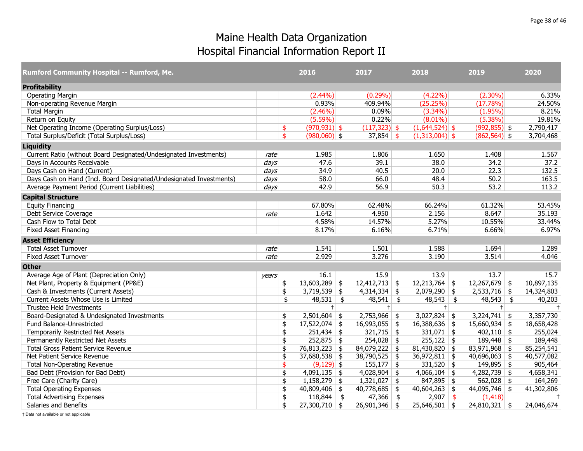| Rumford Community Hospital -- Rumford, Me.                          |       | 2016                  |               | 2017             | 2018                  | 2019                   |     | 2020       |
|---------------------------------------------------------------------|-------|-----------------------|---------------|------------------|-----------------------|------------------------|-----|------------|
| <b>Profitability</b>                                                |       |                       |               |                  |                       |                        |     |            |
| <b>Operating Margin</b>                                             |       | $(2.44\%)$            |               | $(0.29\%)$       | $(4.22\%)$            | $(2.30\%)$             |     | 6.33%      |
| Non-operating Revenue Margin                                        |       | 0.93%                 |               | 409.94%          | (25.25%)              | (17.78%)               |     | 24.50%     |
| <b>Total Margin</b>                                                 |       | $(2.46\%)$            |               | 0.09%            | $(3.34\%)$            | $(1.95\%)$             |     | 8.21%      |
| Return on Equity                                                    |       | $(5.59\%)$            |               | 0.22%            | $(8.01\%)$            | $(5.38\%)$             |     | 19.81%     |
| Net Operating Income (Operating Surplus/Loss)                       |       | \$<br>$(970, 931)$ \$ |               | $(117,323)$ \$   | $(1,644,524)$ \$      | $(992, 855)$ \$        |     | 2,790,417  |
| Total Surplus/Deficit (Total Surplus/Loss)                          |       | \$<br>$(980,060)$ \$  |               | $37,854$ \$      | $(1,313,004)$ \$      | $(862,564)$ \$         |     | 3,704,468  |
| <b>Liquidity</b>                                                    |       |                       |               |                  |                       |                        |     |            |
| Current Ratio (without Board Designated/Undesignated Investments)   | rate  | 1.985                 |               | 1.806            | 1.650                 | 1.408                  |     | 1.567      |
| Days in Accounts Receivable                                         | days  | 47.6                  |               | 39.1             | 38.0                  | 34.2                   |     | 37.2       |
| Days Cash on Hand (Current)                                         | days  | 34.9                  |               | 40.5             | 20.0                  | 22.3                   |     | 132.5      |
| Days Cash on Hand (Incl. Board Designated/Undesignated Investments) | days  | 58.0                  |               | 66.0             | 48.4                  | 50.2                   |     | 163.5      |
| Average Payment Period (Current Liabilities)                        | days  | 42.9                  |               | 56.9             | 50.3                  | 53.2                   |     | 113.2      |
| <b>Capital Structure</b>                                            |       |                       |               |                  |                       |                        |     |            |
| <b>Equity Financing</b>                                             |       | 67.80%                |               | 62.48%           | 66.24%                | 61.32%                 |     | 53.45%     |
| Debt Service Coverage                                               | rate  | 1.642                 |               | 4.950            | 2.156                 | 8.647                  |     | 35.193     |
| Cash Flow to Total Debt                                             |       | 4.58%                 |               | 14.57%           | 5.27%                 | 10.55%                 |     | 33.44%     |
| <b>Fixed Asset Financing</b>                                        |       | 8.17%                 |               | 6.16%            | 6.71%                 | 6.66%                  |     | 6.97%      |
| <b>Asset Efficiency</b>                                             |       |                       |               |                  |                       |                        |     |            |
| <b>Total Asset Turnover</b>                                         | rate  | 1.541                 |               | 1.501            | 1.588                 | 1.694                  |     | 1.289      |
| <b>Fixed Asset Turnover</b>                                         | rate  | 2.929                 |               | 3.276            | 3.190                 | 3.514                  |     | 4.046      |
| <b>Other</b>                                                        |       |                       |               |                  |                       |                        |     |            |
| Average Age of Plant (Depreciation Only)                            | years | 16.1                  |               | 15.9             | 13.9                  | 13.7                   |     | 15.7       |
| Net Plant, Property & Equipment (PP&E)                              |       | \$<br>$13,603,289$ \$ |               | $12,412,713$ \$  | $12,213,764$ \$       | $12,267,679$ \$        |     | 10,897,135 |
| Cash & Investments (Current Assets)                                 |       | \$<br>$3,719,539$ \$  |               | $4,314,334$ \$   | $2,079,290$ \$        | $2,533,716$ \$         |     | 14,324,803 |
| Current Assets Whose Use is Limited                                 |       | \$<br>48,531          | $\frac{1}{2}$ | $48,541$ \$      | $48,543$ \$           | $48,543$ \$            |     | 40,203     |
| <b>Trustee Held Investments</b>                                     |       | $^+$                  |               | $^{+}$           | $\ddagger$            |                        | $+$ | $+$        |
| Board-Designated & Undesignated Investments                         |       | \$<br>$2,501,604$ \$  |               | $2,753,966$ \$   | $3,027,824$ \$        | $3,224,741$ \$         |     | 3,357,730  |
| Fund Balance-Unrestricted                                           |       | \$<br>17,522,074      | \$            | 16,993,055<br>\$ | $16,388,636$ \$       | $15,660,934$ \$        |     | 18,658,428 |
| Temporarily Restricted Net Assets                                   |       | \$<br>251,434         | \$            | $321,715$ \$     | $331,071$ \$          | $402,110$ \$           |     | 255,024    |
| Permanently Restricted Net Assets                                   |       | \$<br>$252,875$ \$    |               | $254,028$ \$     | $255,122$ \$          | $189,448$ \$           |     | 189,448    |
| <b>Total Gross Patient Service Revenue</b>                          |       | \$<br>76,813,223 \$   |               | 84,079,222<br>\$ | $81,430,820$ \$       | $83,971,968$ \$        |     | 85,254,541 |
| Net Patient Service Revenue                                         |       | \$<br>$37,680,538$ \$ |               | $38,790,525$ \$  | $36,972,811$ \$       | $40,696,063$ \$        |     | 40,577,082 |
| <b>Total Non-Operating Revenue</b>                                  |       | \$<br>$(9,129)$ \$    |               | $155,177$ \$     | 331,520 $\frac{1}{2}$ | $149,895$ \$           |     | 905,464    |
| Bad Debt (Provision for Bad Debt)                                   |       | \$<br>$4,091,135$ \$  |               | $4,028,904$ \$   | $4,066,104$ \$        | $4,282,739$ \$         |     | 4,658,341  |
| Free Care (Charity Care)                                            |       | \$<br>1,158,279       | \$            | $1,321,027$ \$   | $847,895$ \$          | $562,028$ \$           |     | 164,269    |
| <b>Total Operating Expenses</b>                                     |       | \$<br>$40,809,406$ \$ |               | $40,778,685$ \$  | $40,604,263$ \$       | $44,095,746$ \$        |     | 41,302,806 |
| <b>Total Advertising Expenses</b>                                   |       | \$<br>$118,844$ \$    |               | 47,366<br>\$     | 2,907                 | $\vert$ \$<br>(1, 418) |     | $\ddagger$ |
| Salaries and Benefits                                               |       | \$<br>$27,300,710$ \$ |               | $26,901,346$ \$  | $25,646,501$ \$       | $24,810,321$ \$        |     | 24,046,674 |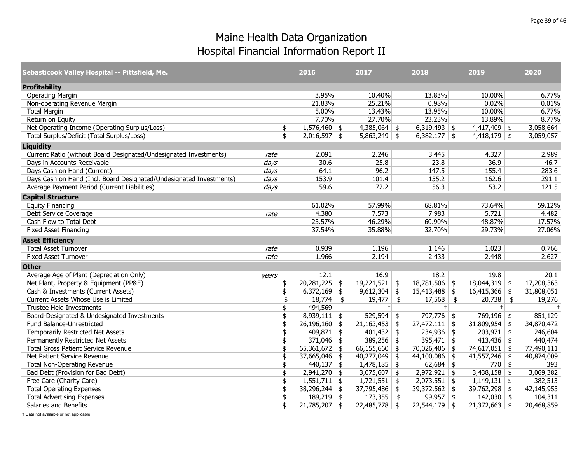| Sebasticook Valley Hospital -- Pittsfield, Me.                      |       | 2016                  | 2017            |            | 2018            | 2019            | 2020       |
|---------------------------------------------------------------------|-------|-----------------------|-----------------|------------|-----------------|-----------------|------------|
| <b>Profitability</b>                                                |       |                       |                 |            |                 |                 |            |
| <b>Operating Margin</b>                                             |       | 3.95%                 | 10.40%          |            | 13.83%          | 10.00%          | 6.77%      |
| Non-operating Revenue Margin                                        |       | 21.83%                | 25.21%          |            | 0.98%           | 0.02%           | 0.01%      |
| <b>Total Margin</b>                                                 |       | 5.00%                 | 13.43%          |            | 13.95%          | 10.00%          | 6.77%      |
| Return on Equity                                                    |       | 7.70%                 | 27.70%          |            | 23.23%          | 13.89%          | 8.77%      |
| Net Operating Income (Operating Surplus/Loss)                       |       | \$<br>$1,576,460$ \$  | $4,385,064$ \$  |            | $6,319,493$ \$  | $4,417,409$ \$  | 3,058,664  |
| Total Surplus/Deficit (Total Surplus/Loss)                          |       | \$<br>$2,016,597$ \$  | $5,863,249$ \$  |            | $6,382,177$ \$  | $4,418,179$ \$  | 3,059,057  |
| <b>Liquidity</b>                                                    |       |                       |                 |            |                 |                 |            |
| Current Ratio (without Board Designated/Undesignated Investments)   | rate  | 2.091                 | 2.246           |            | 3.445           | 4.327           | 2.989      |
| Days in Accounts Receivable                                         | days  | 30.6                  | 25.8            |            | 23.8            | 36.9            | 46.7       |
| Days Cash on Hand (Current)                                         | days  | 64.1                  | 96.2            |            | 147.5           | 155.4           | 283.6      |
| Days Cash on Hand (Incl. Board Designated/Undesignated Investments) | days  | 153.9                 | 101.4           |            | 155.2           | 162.6           | 291.1      |
| Average Payment Period (Current Liabilities)                        | days  | 59.6                  | 72.2            |            | 56.3            | 53.2            | 121.5      |
| <b>Capital Structure</b>                                            |       |                       |                 |            |                 |                 |            |
| <b>Equity Financing</b>                                             |       | 61.02%                | 57.99%          |            | 68.81%          | 73.64%          | 59.12%     |
| Debt Service Coverage                                               | rate  | 4.380                 | 7.573           |            | 7.983           | 5.721           | 4.482      |
| Cash Flow to Total Debt                                             |       | 23.57%                | 46.29%          |            | 60.90%          | 48.87%          | 17.57%     |
| <b>Fixed Asset Financing</b>                                        |       | 37.54%                | 35.88%          |            | 32.70%          | 29.73%          | 27.06%     |
| <b>Asset Efficiency</b>                                             |       |                       |                 |            |                 |                 |            |
| <b>Total Asset Turnover</b>                                         | rate  | 0.939                 | 1.196           |            | 1.146           | 1.023           | 0.766      |
| <b>Fixed Asset Turnover</b>                                         | rate  | 1.966                 | 2.194           |            | 2.433           | 2.448           | 2.627      |
| <b>Other</b>                                                        |       |                       |                 |            |                 |                 |            |
| Average Age of Plant (Depreciation Only)                            | vears | 12.1                  | 16.9            |            | 18.2            | 19.8            | 20.1       |
| Net Plant, Property & Equipment (PP&E)                              |       | \$<br>$20,281,225$ \$ | $19,221,521$ \$ |            | $18,781,506$ \$ | $18,044,319$ \$ | 17,208,363 |
| Cash & Investments (Current Assets)                                 |       | \$<br>$6,372,169$ \$  | $9,612,304$ \$  |            | $15,413,488$ \$ | $16,415,366$ \$ | 31,808,051 |
| Current Assets Whose Use is Limited                                 |       | \$<br>$18,774$ \$     | 19,477          | $\sqrt{2}$ | $17,568$ \$     | $20,738$ \$     | 19,276     |
| <b>Trustee Held Investments</b>                                     |       | \$<br>494,569         | $+$             |            | $+$             | $+$             | $\ddagger$ |
| Board-Designated & Undesignated Investments                         |       | \$<br>$8,939,111$ \$  | 529,594         | \$         | 797,776 \$      | 769,196 \$      | 851,129    |
| Fund Balance-Unrestricted                                           |       | \$<br>$26,196,160$ \$ | $21,163,453$ \$ |            | $27,472,111$ \$ | $31,809,954$ \$ | 34,870,472 |
| Temporarily Restricted Net Assets                                   |       | \$<br>$409,871$ \$    | $401,432$ \$    |            | $234,936$ \$    | $203,971$ \$    | 246,604    |
| Permanently Restricted Net Assets                                   |       | \$<br>$371,046$ \$    | $389,256$ \$    |            | 395,471   $$$   | $413,436$ \$    | 440,474    |
| <b>Total Gross Patient Service Revenue</b>                          |       | \$<br>65,361,672   \$ | 66,155,660      | \$         | $70,026,406$ \$ | 74,617,051 \$   | 77,490,111 |
| Net Patient Service Revenue                                         |       | \$<br>$37,665,046$ \$ | 40,277,049      | \$         | $44,100,086$ \$ | $41,557,246$ \$ | 40,874,009 |
| <b>Total Non-Operating Revenue</b>                                  |       | \$<br>$440,137$ \$    | $1,478,185$ \$  |            | $62,684$ \$     | $770$ \$        | 393        |
| Bad Debt (Provision for Bad Debt)                                   |       | \$<br>$2,941,270$ \$  | $3,075,607$ \$  |            | $2,972,921$ \$  | $3,438,158$ \$  | 3,069,382  |
| Free Care (Charity Care)                                            |       | \$<br>$1,551,711$ \$  | 1,721,551       | \$         | $2,073,551$ \$  | $1,149,131$ \$  | 382,513    |
| <b>Total Operating Expenses</b>                                     |       | \$<br>$38,296,244$ \$ | $37,795,486$ \$ |            | 39,372,562 \$   | 39,762,298 \$   | 42,145,953 |
| <b>Total Advertising Expenses</b>                                   |       | \$<br>$189,219$ \$    | 173,355         | $\vert$ \$ | $99,957$ \$     | $142,030$ \$    | 104,311    |
| Salaries and Benefits                                               |       | \$<br>$21,785,207$ \$ | $22,485,778$ \$ |            | $22,544,179$ \$ | $21,372,663$ \$ | 20,468,859 |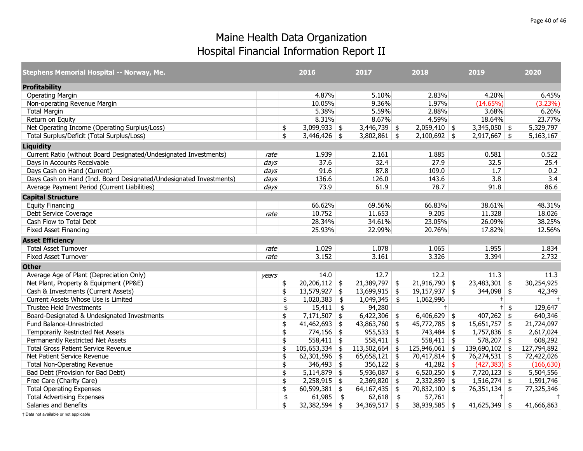| Stephens Memorial Hospital -- Norway, Me.                           |                  |               | 2016             |               | 2017            | 2018                   | 2019             | 2020        |
|---------------------------------------------------------------------|------------------|---------------|------------------|---------------|-----------------|------------------------|------------------|-------------|
| <b>Profitability</b>                                                |                  |               |                  |               |                 |                        |                  |             |
| <b>Operating Margin</b>                                             |                  |               | 4.87%            |               | 5.10%           | 2.83%                  | 4.20%            | 6.45%       |
| Non-operating Revenue Margin                                        |                  |               | 10.05%           |               | 9.36%           | 1.97%                  | (14.65%)         | (3.23%)     |
| <b>Total Margin</b>                                                 |                  |               | 5.38%            |               | 5.59%           | 2.88%                  | 3.68%            | 6.26%       |
| Return on Equity                                                    |                  |               | 8.31%            |               | 8.67%           | 4.59%                  | 18.64%           | 23.77%      |
| Net Operating Income (Operating Surplus/Loss)                       |                  | \$            | $3,099,933$ \$   |               | $3,446,739$ \$  | $2,059,410$ \$         | $3,345,050$ \$   | 5,329,797   |
| Total Surplus/Deficit (Total Surplus/Loss)                          |                  | \$            | $3,446,426$ \$   |               | $3,802,861$ \$  | $2,100,692$ \$         | $2,917,667$ \$   | 5,163,167   |
| <b>Liquidity</b>                                                    |                  |               |                  |               |                 |                        |                  |             |
| Current Ratio (without Board Designated/Undesignated Investments)   | rate             |               | 1.939            |               | 2.161           | 1.885                  | 0.581            | 0.522       |
| Days in Accounts Receivable                                         | $\frac{days}{ }$ |               | 37.6             |               | 32.4            | 27.9                   | 32.5             | 25.4        |
| Days Cash on Hand (Current)                                         | days             |               | 91.6             |               | 87.8            | 109.0                  | 1.7              | 0.2         |
| Days Cash on Hand (Incl. Board Designated/Undesignated Investments) | days             |               | 136.6            |               | 126.0           | 143.6                  | 3.8              | 3.4         |
| Average Payment Period (Current Liabilities)                        | days             |               | 73.9             |               | 61.9            | 78.7                   | 91.8             | 86.6        |
| <b>Capital Structure</b>                                            |                  |               |                  |               |                 |                        |                  |             |
| <b>Equity Financing</b>                                             |                  |               | 66.62%           |               | 69.56%          | 66.83%                 | 38.61%           | 48.31%      |
| Debt Service Coverage                                               | rate             |               | 10.752           |               | 11.653          | 9.205                  | 11.328           | 18.026      |
| Cash Flow to Total Debt                                             |                  |               | 28.34%           |               | 34.61%          | 23.05%                 | 26.09%           | 38.25%      |
| <b>Fixed Asset Financing</b>                                        |                  |               | 25.93%           |               | 22.99%          | 20.76%                 | 17.82%           | 12.56%      |
| <b>Asset Efficiency</b>                                             |                  |               |                  |               |                 |                        |                  |             |
| <b>Total Asset Turnover</b>                                         | rate             |               | 1.029            |               | 1.078           | 1.065                  | 1.955            | 1.834       |
| <b>Fixed Asset Turnover</b>                                         | rate             |               | 3.152            |               | 3.161           | 3.326                  | 3.394            | 2.732       |
| <b>Other</b>                                                        |                  |               |                  |               |                 |                        |                  |             |
| Average Age of Plant (Depreciation Only)                            | years            |               | 14.0             |               | 12.7            | 12.2                   | 11.3             | 11.3        |
| Net Plant, Property & Equipment (PP&E)                              |                  | \$            | $20,206,112$ \$  |               | $21,389,797$ \$ | $21,916,790$ \$        | $23,483,301$ \$  | 30,254,925  |
| Cash & Investments (Current Assets)                                 |                  | \$            | $13,579,927$ \$  |               | $13,699,915$ \$ | $19,157,937$ \$        | $344,098$ \$     | 42,349      |
| Current Assets Whose Use is Limited                                 |                  | \$            | 1,020,383        | $\frac{1}{2}$ | $1,049,345$ \$  | 1,062,996              | $+$              | $\ddagger$  |
| <b>Trustee Held Investments</b>                                     |                  | \$            | $15,411$ \$      |               | 94,280          | $^{+}$                 | $+$ \$           | 129,647     |
| Board-Designated & Undesignated Investments                         |                  | \$            | $7,171,507$ \$   |               | 6,422,306       | \$<br>$6,406,629$ \$   | $407,262$ \$     | 640,346     |
| Fund Balance-Unrestricted                                           |                  | \$            | $41,462,693$ \$  |               | $43,863,760$ \$ | $45,772,785$ \$        | $15,651,757$ \$  | 21,724,097  |
| Temporarily Restricted Net Assets                                   |                  | \$            | $774,156$ \$     |               | $955,533$ \$    | $743,484$ \$           | $1,757,836$ \$   | 2,617,024   |
| Permanently Restricted Net Assets                                   |                  | \$            | $558,411$ \$     |               | $558,411$ \$    | $558,411$ \$           | $578,207$ \$     | 608,292     |
| <b>Total Gross Patient Service Revenue</b>                          |                  | \$            | $105,653,334$ \$ |               | 113,502,664     | \$<br>$125,946,061$ \$ | $139,690,102$ \$ | 127,794,892 |
| Net Patient Service Revenue                                         |                  | \$            | 62,301,596 \$    |               | $65,658,121$ \$ | $70,417,814$ \$        | 76,274,531 \$    | 72,422,026  |
| <b>Total Non-Operating Revenue</b>                                  |                  | \$            | $346,493$ \$     |               | $356,122$ \$    | 41,282 \$              | $(427,383)$ \$   | (166, 630)  |
| Bad Debt (Provision for Bad Debt)                                   |                  | \$            | $5,114,879$ \$   |               | $5,936,087$ \$  | $6,520,250$ \$         | $7,720,123$ \$   | 5,504,556   |
| Free Care (Charity Care)                                            |                  | \$            | $2,258,915$ \$   |               | $2,369,820$ \$  | $2,332,859$ \$         | $1,516,274$ \$   | 1,591,746   |
| <b>Total Operating Expenses</b>                                     |                  | \$            | $60,599,381$ \$  |               | $64,167,435$ \$ | $70,832,100$ \$        | $76,351,134$ \$  | 77,325,346  |
| <b>Total Advertising Expenses</b>                                   |                  | $\frac{1}{2}$ | $61,985$ \$      |               | $62,618$ \$     | 57,761                 | $+$              | $\ddagger$  |
| Salaries and Benefits                                               |                  | \$            | $32,382,594$ \$  |               | $34,369,517$ \$ | $38,939,585$ \$        | $41,625,349$ \$  | 41,666,863  |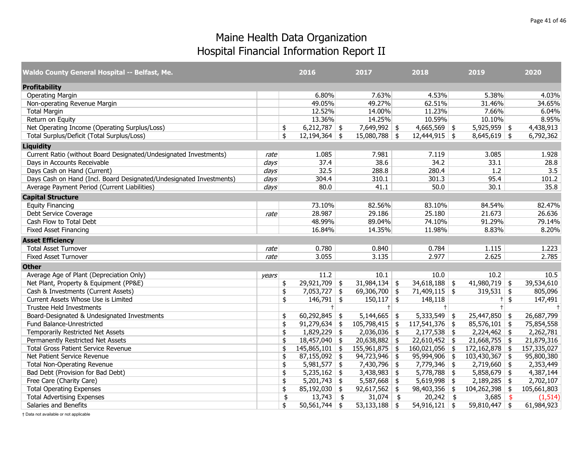| Waldo County General Hospital -- Belfast, Me.                       |                  | 2016                   | 2017             | 2018                  | 2019             | 2020          |
|---------------------------------------------------------------------|------------------|------------------------|------------------|-----------------------|------------------|---------------|
| <b>Profitability</b>                                                |                  |                        |                  |                       |                  |               |
| <b>Operating Margin</b>                                             |                  | 6.80%                  | 7.63%            | 4.53%                 | 5.38%            | 4.03%         |
| Non-operating Revenue Margin                                        |                  | 49.05%                 | 49.27%           | 62.51%                | 31.46%           | 34.65%        |
| <b>Total Margin</b>                                                 |                  | 12.52%                 | 14.00%           | 11.23%                | 7.66%            | 6.04%         |
| Return on Equity                                                    |                  | 13.36%                 | 14.25%           | 10.59%                | 10.10%           | 8.95%         |
| Net Operating Income (Operating Surplus/Loss)                       |                  | \$<br>$6,212,787$ \$   | 7,649,992 \$     | $4,665,569$ \$        | $5,925,959$ \$   | 4,438,913     |
| Total Surplus/Deficit (Total Surplus/Loss)                          |                  | \$<br>$12,194,364$ \$  | $15,080,788$ \$  | $12,444,915$ \$       | $8,645,619$ \$   | 6,792,362     |
| <b>Liquidity</b>                                                    |                  |                        |                  |                       |                  |               |
| Current Ratio (without Board Designated/Undesignated Investments)   | rate             | 1.085                  | 7.981            | 7.119                 | 3.085            | 1.928         |
| Days in Accounts Receivable                                         | $\frac{days}{ }$ | 37.4                   | 38.6             | 34.2                  | 33.1             | 28.8          |
| Days Cash on Hand (Current)                                         | $\frac{days}{ }$ | 32.5                   | 288.8            | 280.4                 | $\overline{1.2}$ | 3.5           |
| Days Cash on Hand (Incl. Board Designated/Undesignated Investments) | days             | 304.4                  | 310.1            | 301.3                 | 95.4             | 101.2         |
| Average Payment Period (Current Liabilities)                        | days             | 80.0                   | 41.1             | 50.0                  | 30.1             | 35.8          |
| <b>Capital Structure</b>                                            |                  |                        |                  |                       |                  |               |
| <b>Equity Financing</b>                                             |                  | 73.10%                 | 82.56%           | 83.10%                | 84.54%           | 82.47%        |
| Debt Service Coverage                                               | rate             | 28.987                 | 29.186           | 25.180                | 21.673           | 26.636        |
| Cash Flow to Total Debt                                             |                  | 48.99%                 | 89.04%           | 74.10%                | 91.29%           | 79.14%        |
| <b>Fixed Asset Financing</b>                                        |                  | 16.84%                 | 14.35%           | 11.98%                | 8.83%            | 8.20%         |
| <b>Asset Efficiency</b>                                             |                  |                        |                  |                       |                  |               |
| <b>Total Asset Turnover</b>                                         | rate             | 0.780                  | 0.840            | 0.784                 | 1.115            | 1.223         |
| <b>Fixed Asset Turnover</b>                                         | rate             | 3.055                  | 3.135            | 2.977                 | 2.625            | 2.785         |
| <b>Other</b>                                                        |                  |                        |                  |                       |                  |               |
| Average Age of Plant (Depreciation Only)                            | years            | 11.2                   | 10.1             | 10.0                  | 10.2             | 10.5          |
| Net Plant, Property & Equipment (PP&E)                              |                  | \$<br>$29,921,709$ \$  | $31,984,134$ \$  | $34,618,188$ \$       | $41,980,719$ \$  | 39,534,610    |
| Cash & Investments (Current Assets)                                 |                  | \$<br>$7,053,727$ \$   | 69,306,700 \$    | $71,409,115$ \$       | $319,531$ \$     | 805,096       |
| Current Assets Whose Use is Limited                                 |                  | \$<br>$146,791$ \$     | $150,117$ \$     | 148,118               | $+$              | \$<br>147,491 |
| Trustee Held Investments                                            |                  | $+$                    | $+$              | $\pm$                 | $+$              | $\ddagger$    |
| Board-Designated & Undesignated Investments                         |                  | \$<br>$60,292,845$ \$  | $5,144,665$ \$   | $5,333,549$ \$        | $25,447,850$ \$  | 26,687,799    |
| Fund Balance-Unrestricted                                           |                  | \$<br>$91,279,634$ \$  | $105,798,415$ \$ | $117,541,376$ \$      | $85,576,101$ \$  | 75,854,558    |
| Temporarily Restricted Net Assets                                   |                  | \$<br>$1,829,229$ \$   | $2,036,036$ \$   | $\sqrt{2,177,538}$ \$ | $2,224,462$ \$   | 2,262,781     |
| Permanently Restricted Net Assets                                   |                  | \$<br>$18,457,040$ \$  | $20,638,882$ \$  | $22,610,452$ \$       | $21,668,755$ \$  | 21,879,316    |
| <b>Total Gross Patient Service Revenue</b>                          |                  | \$<br>$145,865,101$ \$ | $155,961,875$ \$ | $160,021,056$ \$      | $172,162,878$ \$ | 157,335,027   |
| Net Patient Service Revenue                                         |                  | \$<br>$87,155,092$ \$  | $94,723,946$ \$  | $95,994,906$ \$       | $103,430,367$ \$ | 95,800,380    |
| <b>Total Non-Operating Revenue</b>                                  |                  | \$<br>$5,981,577$ \$   | 7,430,796 \$     | 7,779,346 \$          | $2,719,660$ \$   | 2,353,449     |
| Bad Debt (Provision for Bad Debt)                                   |                  | \$<br>$5,235,162$ \$   | $3,438,983$ \$   | $5,778,788$ \$        | $5,858,679$ \$   | 4,387,144     |
| Free Care (Charity Care)                                            |                  | \$<br>$5,201,743$ \$   | $5,587,668$ \$   | $5,619,998$ \$        | $2,189,285$ \$   | 2,702,107     |
| <b>Total Operating Expenses</b>                                     |                  | \$<br>$85,192,030$ \$  | $92,617,562$ \$  | $98,403,356$ \$       | $104,262,398$ \$ | 105,661,803   |
| <b>Total Advertising Expenses</b>                                   |                  | \$<br>$13,743$ \$      | $31,074$ \$      | $20,242$ \$           | $3,685$ \$       | (1, 514)      |
| Salaries and Benefits                                               |                  | \$<br>$50,561,744$ \$  | $53,133,188$ \$  | $54,916,121$ \$       | 59,810,447 \\$   | 61,984,923    |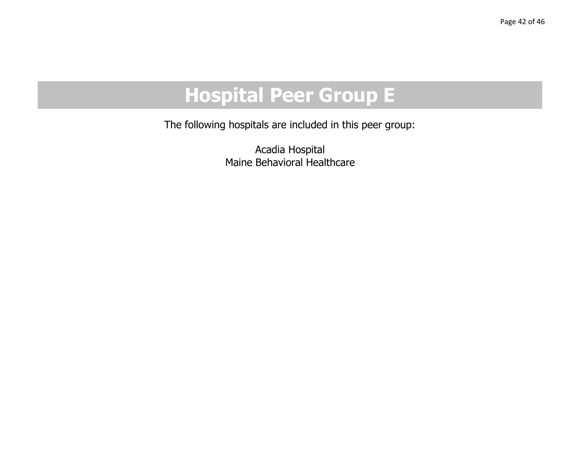# **Hospital Peer Group E**

The following hospitals are included in this peer group:

Acadia Hospital Maine Behavioral Healthcare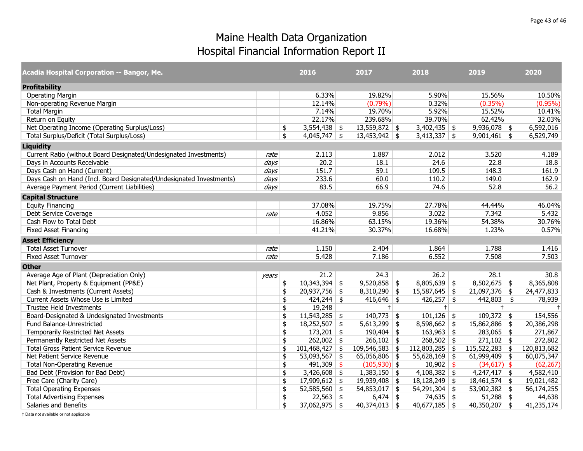| Acadia Hospital Corporation -- Bangor, Me.                          |       | 2016                   |               | 2017            | 2018                   | 2019             | 2020        |
|---------------------------------------------------------------------|-------|------------------------|---------------|-----------------|------------------------|------------------|-------------|
| <b>Profitability</b>                                                |       |                        |               |                 |                        |                  |             |
| <b>Operating Margin</b>                                             |       | 6.33%                  |               | 19.82%          | 5.90%                  | 15.56%           | 10.50%      |
| Non-operating Revenue Margin                                        |       | 12.14%                 |               | $(0.79\%)$      | 0.32%                  | $(0.35\%)$       | $(0.95\%)$  |
| <b>Total Margin</b>                                                 |       | 7.14%                  |               | 19.70%          | 5.92%                  | 15.52%           | 10.41%      |
| Return on Equity                                                    |       | 22.17%                 |               | 239.68%         | 39.70%                 | 62.42%           | 32.03%      |
| Net Operating Income (Operating Surplus/Loss)                       |       | \$<br>$3,554,438$ \$   |               | $13,559,872$ \$ | $3,402,435$ \$         | $9,936,078$ \$   | 6,592,016   |
| Total Surplus/Deficit (Total Surplus/Loss)                          |       | \$<br>$4,045,747$ \$   |               | $13,453,942$ \$ | $3,413,337$ \$         | $9,901,461$ \$   | 6,529,749   |
| <b>Liquidity</b>                                                    |       |                        |               |                 |                        |                  |             |
| Current Ratio (without Board Designated/Undesignated Investments)   | rate  | 2.113                  |               | 1.887           | 2.012                  | 3.520            | 4.189       |
| Days in Accounts Receivable                                         | days  | 20.2                   |               | 18.1            | 24.6                   | 22.8             | 18.8        |
| Days Cash on Hand (Current)                                         | days  | 151.7                  |               | 59.1            | 109.5                  | 148.3            | 161.9       |
| Days Cash on Hand (Incl. Board Designated/Undesignated Investments) | days  | 233.6                  |               | 60.0            | 110.2                  | 149.0            | 162.9       |
| Average Payment Period (Current Liabilities)                        | days  | 83.5                   |               | 66.9            | 74.6                   | 52.8             | 56.2        |
| <b>Capital Structure</b>                                            |       |                        |               |                 |                        |                  |             |
| <b>Equity Financing</b>                                             |       | 37.08%                 |               | 19.75%          | 27.78%                 | 44.44%           | 46.04%      |
| Debt Service Coverage                                               | rate  | 4.052                  |               | 9.856           | 3.022                  | 7.342            | 5.432       |
| Cash Flow to Total Debt                                             |       | 16.86%                 |               | 63.15%          | 19.36%                 | 54.38%           | 30.76%      |
| <b>Fixed Asset Financing</b>                                        |       | 41.21%                 |               | 30.37%          | 16.68%                 | 1.23%            | 0.57%       |
| <b>Asset Efficiency</b>                                             |       |                        |               |                 |                        |                  |             |
| <b>Total Asset Turnover</b>                                         | rate  | 1.150                  |               | 2.404           | 1.864                  | 1.788            | 1.416       |
| <b>Fixed Asset Turnover</b>                                         | rate  | 5.428                  |               | 7.186           | 6.552                  | 7.508            | 7.503       |
| <b>Other</b>                                                        |       |                        |               |                 |                        |                  |             |
| Average Age of Plant (Depreciation Only)                            | vears | 21.2                   |               | 24.3            | 26.2                   | 28.1             | 30.8        |
| Net Plant, Property & Equipment (PP&E)                              |       | \$<br>$10,343,394$ \$  |               | $9,520,858$ \$  | $8,805,639$ \$         | $8,502,675$ \$   | 8,365,808   |
| Cash & Investments (Current Assets)                                 |       | \$<br>$20,937,756$ \$  |               | $8,310,290$ \$  | $15,587,645$ \$        | $21,097,376$ \$  | 24,477,833  |
| Current Assets Whose Use is Limited                                 |       | \$<br>424,244          | \$            | $416,646$ \$    | $426,257$ \$           | $442,803$ \$     | 78,939      |
| <b>Trustee Held Investments</b>                                     |       | \$<br>19,248           |               | $+$             | $+$                    | $+$              | $\pm$       |
| Board-Designated & Undesignated Investments                         |       | \$<br>11,543,285       | \$            | $140,773$ \$    | $101,126$ \$           | $109,372$ \$     | 154,556     |
| Fund Balance-Unrestricted                                           |       | \$<br>$18,252,507$ \$  |               | $5,613,299$ \$  | $8,598,662$ \$         | 15,862,886 \$    | 20,386,298  |
| Temporarily Restricted Net Assets                                   |       | \$<br>$173,201$ \$     |               | 190,404         | \$<br>$163,963$ \$     | $283,065$ \$     | 271,867     |
| Permanently Restricted Net Assets                                   |       | \$<br>$262,002$ \$     |               | $266,102$ \$    | $268,502$ \$           | $271,102$ \$     | 272,802     |
| <b>Total Gross Patient Service Revenue</b>                          |       | \$<br>$101,468,427$ \$ |               | 109,546,583     | \$<br>$112,803,285$ \$ | $115,522,283$ \$ | 120,813,682 |
| Net Patient Service Revenue                                         |       | \$<br>53,093,567 \$    |               | $65,056,806$ \$ | $55,628,169$ \$        | $61,999,409$ \$  | 60,075,347  |
| <b>Total Non-Operating Revenue</b>                                  |       | \$<br>491,309          | $\frac{1}{2}$ | $(105,930)$ \$  | $10,902$ \$            | $(34,617)$ \$    | (62, 267)   |
| Bad Debt (Provision for Bad Debt)                                   |       | \$<br>$3,426,608$ \$   |               | $1,383,150$ \$  | $4,108,382$ \$         | $4,247,417$ \$   | 4,582,410   |
| Free Care (Charity Care)                                            |       | \$<br>$17,909,612$ \$  |               | $19,939,408$ \$ | $18,128,249$ \$        | $18,461,574$ \$  | 19,021,482  |
| <b>Total Operating Expenses</b>                                     |       | \$<br>$52,585,560$ \$  |               | $54,853,017$ \$ | $54,291,304$ \$        | 53,902,382 \$    | 56,174,255  |
| <b>Total Advertising Expenses</b>                                   |       | \$<br>$22,563$ \$      |               | 6,474           | \$<br>$74,635$ \$      | $51,288$ \$      | 44,638      |
| Salaries and Benefits                                               |       | \$<br>$37,062,975$ \$  |               | $40,374,013$ \$ | $40,677,185$ \$        | $40,350,207$ \$  | 41,235,174  |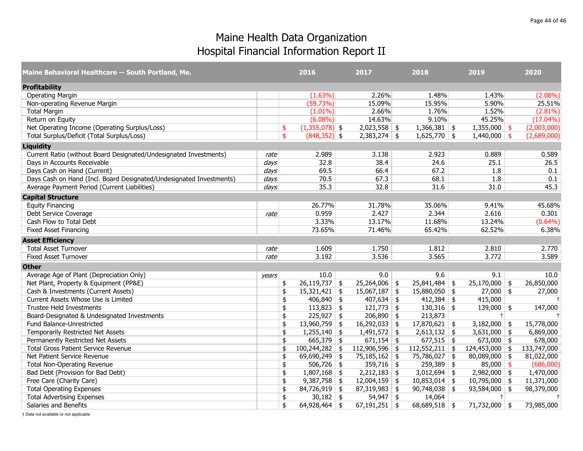| Maine Behavioral Healthcare -- South Portland, Me.                  |                  | 2016                       | 2017            | 2018                   | 2019             | 2020        |
|---------------------------------------------------------------------|------------------|----------------------------|-----------------|------------------------|------------------|-------------|
| <b>Profitability</b>                                                |                  |                            |                 |                        |                  |             |
| <b>Operating Margin</b>                                             |                  | $(1.63\%)$                 | 2.26%           | 1.48%                  | 1.43%            | $(2.08\%)$  |
| Non-operating Revenue Margin                                        |                  | (59.73%)                   | 15.09%          | 15.95%                 | 5.90%            | 25.51%      |
| <b>Total Margin</b>                                                 |                  | $(1.01\%)$                 | 2.66%           | 1.76%                  | 1.52%            | $(2.81\%)$  |
| Return on Equity                                                    |                  | $(6.08\%)$                 | 14.63%          | 9.10%                  | 45.25%           | $(17.04\%)$ |
| Net Operating Income (Operating Surplus/Loss)                       |                  | $(1,355,078)$ \$<br>\$     | $2,023,558$ \$  | $1,366,381$ \$         | $1,355,000$ \$   | (2,003,000) |
| Total Surplus/Deficit (Total Surplus/Loss)                          |                  | $(848, 352)$ \$<br>\$      | $2,383,274$ \$  | $1,625,770$ \$         | $1,440,000$ \$   | (2,689,000) |
| <b>Liquidity</b>                                                    |                  |                            |                 |                        |                  |             |
| Current Ratio (without Board Designated/Undesignated Investments)   | rate             | 2.989                      | 3.138           | 2.923                  | 0.889            | 0.589       |
| Days in Accounts Receivable                                         | $\frac{days}{ }$ | 32.8                       | 38.4            | 24.6                   | 25.1             | 26.5        |
| Days Cash on Hand (Current)                                         | days             | 69.5                       | 66.4            | 67.2                   | 1.8              | 0.1         |
| Days Cash on Hand (Incl. Board Designated/Undesignated Investments) | days             | 70.5                       | 67.3            | 68.1                   | 1.8              | 0.1         |
| Average Payment Period (Current Liabilities)                        | days             | 35.3                       | 32.8            | 31.6                   | 31.0             | 45.3        |
| <b>Capital Structure</b>                                            |                  |                            |                 |                        |                  |             |
| <b>Equity Financing</b>                                             |                  | 26.77%                     | 31.78%          | 35.06%                 | 9.41%            | 45.68%      |
| Debt Service Coverage                                               | rate             | 0.959                      | 2.427           | 2.344                  | 2.616            | 0.301       |
| Cash Flow to Total Debt                                             |                  | 3.33%                      | 13.17%          | 11.68%                 | 13.24%           | $(0.64\%)$  |
| <b>Fixed Asset Financing</b>                                        |                  | 73.65%                     | 71.46%          | 65.42%                 | 62.52%           | 6.38%       |
| <b>Asset Efficiency</b>                                             |                  |                            |                 |                        |                  |             |
| <b>Total Asset Turnover</b>                                         | rate             | 1.609                      | 1.750           | 1.812                  | 2.810            | 2.770       |
| <b>Fixed Asset Turnover</b>                                         | rate             | 3.192                      | 3.536           | 3.565                  | 3.772            | 3.589       |
| <b>Other</b>                                                        |                  |                            |                 |                        |                  |             |
| Average Age of Plant (Depreciation Only)                            | years            | 10.0                       | 9.0             | 9.6                    | 9.1              | 10.0        |
| Net Plant, Property & Equipment (PP&E)                              |                  | $26,119,737$ \$<br>\$      | 25,264,006      | $25,841,484$ \$<br>\$  | $25,170,000$ \$  | 26,850,000  |
| Cash & Investments (Current Assets)                                 |                  | \$<br>$15,321,421$ \$      | 15,067,187      | $15,880,050$ \$<br>\$  | $27,000$ \$      | 27,000      |
| Current Assets Whose Use is Limited                                 |                  | $406,840$ \$<br>\$         | $407,634$ \$    | $412,384$ \$           | 415,000          | $\ddagger$  |
| Trustee Held Investments                                            |                  | $113,823$ \$<br>\$         | $121,773$ \$    | $130,316$ \$           | $139,000$ \$     | 147,000     |
| Board-Designated & Undesignated Investments                         |                  | $225,927$ \$<br>\$         | $206,890$ \$    | 213,873                | $+$              | $^{+}$      |
| Fund Balance-Unrestricted                                           |                  | $13,960,759$ \$<br>\$      | $16,292,033$ \$ | $17,870,621$ \$        | $3,182,000$ \$   | 15,778,000  |
| Temporarily Restricted Net Assets                                   |                  | $1,255,140$ \$<br>\$       | 1,491,572       | $2,613,132$ \$<br>\$   | $3,631,000$ \$   | 6,869,000   |
| Permanently Restricted Net Assets                                   |                  | $665,379$ \$<br>\$         | $671,154$ \$    | $677,515$ \$           | $673,000$ \$     | 678,000     |
| <b>Total Gross Patient Service Revenue</b>                          |                  | $100,244,282$ \$<br>\$     | 112,906,596     | $112,552,211$ \$<br>\$ | $124,453,000$ \$ | 133,747,000 |
| Net Patient Service Revenue                                         |                  | 69,690,249 \$<br>\$        | $75,185,162$ \$ | 75,786,027 \$          | $80,089,000$ \$  | 81,022,000  |
| <b>Total Non-Operating Revenue</b>                                  |                  | $506,726$ \$<br>\$         | $359,716$ \$    | $259,389$ \$           | $85,000$ \$      | (686,000)   |
| Bad Debt (Provision for Bad Debt)                                   |                  | $1,807,168$ \$<br>\$       | $2,212,183$ \$  | $3,012,694$ \$         | $2,982,000$ \$   | 1,470,000   |
| Free Care (Charity Care)                                            |                  | \$<br>$9,387,758$ \$       | $12,004,159$ \$ | $10,853,014$ \$        | $10,795,000$ \$  | 11,371,000  |
| <b>Total Operating Expenses</b>                                     |                  | $84,726,919$ \$<br>\$      | $87,319,983$ \$ | $90,748,038$ \$        | $93,584,000$ \$  | 98,379,000  |
| <b>Total Advertising Expenses</b>                                   |                  | \$<br>30,182 $\frac{1}{2}$ | $54,947$ \$     | 14,064                 | $+$              | $\ddagger$  |
| Salaries and Benefits                                               |                  | \$<br>$64,928,464$ \$      | $67,191,251$ \$ | $68,689,518$ \$        | $71,732,000$ \$  | 73,985,000  |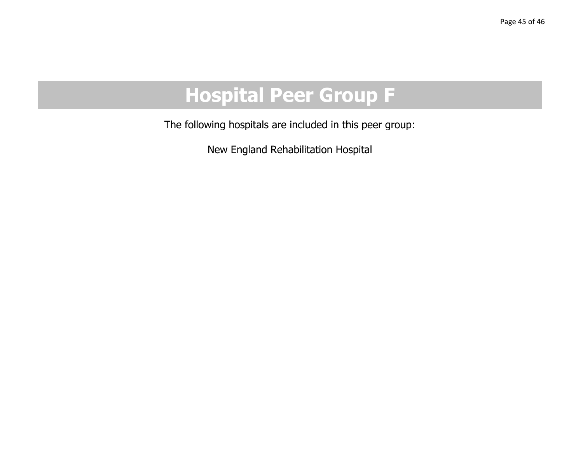# **Hospital Peer Group F**

The following hospitals are included in this peer group:

New England Rehabilitation Hospital